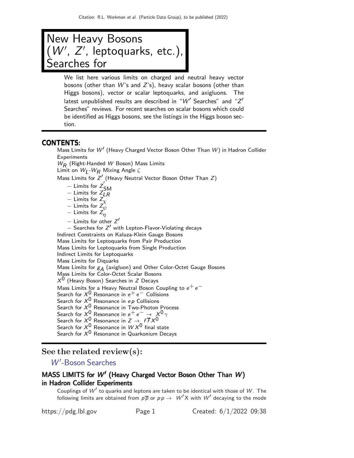

We list here various limits on charged and neutral heavy vector bosons (other than  $W$ 's and  $Z$ 's), heavy scalar bosons (other than Higgs bosons), vector or scalar leptoquarks, and axigluons. The latest unpublished results are described in " $W'$  Searches" and "Z $^\prime$ Searches" reviews. For recent searches on scalar bosons which could be identified as Higgs bosons, see the listings in the Higgs boson section.

### CONTENTS:

Mass Limits for W′ (Heavy Charged Vector Boson Other Than W) in Hadron Collider **Experiments**  $W_R$  (Right-Handed W Boson) Mass Limits Limit on  $W_{\textsf{L}}\text{-}W_{\textsf{R}}$  Mixing Angle  $\zeta$ Mass Limits for  $Z'$  (Heavy Neutral Vector Boson Other Than  $Z$ )  $-$  Limits for  $Z'_0$ SM  $-$  Limits for  $Z_{LR}$ − Limits for  $Z_{\chi}$ − Limits for  $Z_{\psi}$ <sup>\*</sup> − Limits for  $Z_{\eta}^{\tau}$ − Limits for other Z ′ − Searches for Z ′ with Lepton-Flavor-Violating decays Indirect Constraints on Kaluza-Klein Gauge Bosons Mass Limits for Leptoquarks from Pair Production Mass Limits for Leptoquarks from Single Production Indirect Limits for Leptoquarks Mass Limits for Diquarks Mass Limits for  $g_A$  (axigluon) and Other Color-Octet Gauge Bosons Mass Limits for Color-Octet Scalar Bosons  $X^{\mathsf{U}}$  (Heavy Boson) Searches in Z Decays Mass Limits for a Heavy Neutral Boson Coupling to  $e^+e^-$ Search for  $X^0$  Resonance in  $e^+e^-$  Collisions Search for  $X^0$  Resonance in ep Collisions Search for  $X^0$  Resonance in Two-Photon Process Search for  $X^0$  Resonance in  $e^+e^- \rightarrow X^0 \gamma$ Search for  $X^0$  Resonance in  $Z \rightarrow f \overline{f} X^0$ Search for  $\mathcal{X}^\mathbf{0}$  Resonance in  $\mathcal{W} \mathcal{X}^\mathbf{0}$  final state Search for  $X^0$  Resonance in Quarkonium Decays

## See the related review(s):

W'[-Boson Searches](http://pdg.lbl.gov/2022/reviews/rpp2021-rev-wprime-searches.pdf)

## MASS LIMITS for  $W'$  (Heavy Charged Vector Boson Other Than  $W$ ) in Hadron Collider Experiments

Couplings of  $W'$  to quarks and leptons are taken to be identical with those of  $W$ . The following limits are obtained from  $p\overline{p}$  or  $p\overline{p} \rightarrow W'X$  with  $W'$  decaying to the mode

https://pdg.lbl.gov Page 1 Created: 6/1/2022 09:38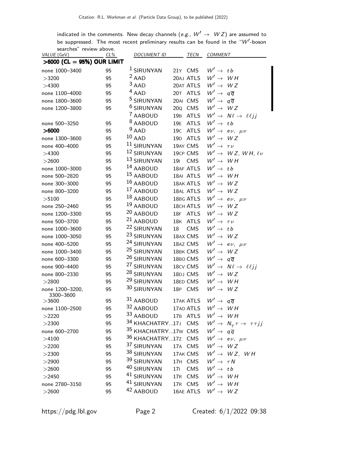indicated in the comments. New decay channels (e.g.,  $W' \rightarrow WZ$ ) are assumed to be suppressed. The most recent preliminary results can be found in the " $W'$ -boson

| <i>VALUE</i> (GeV)           | searches" review above.<br>$CL\%$ | <b>DOCUMENT ID</b>             | <b>TECN</b>                    | <b>COMMENT</b>                                           |
|------------------------------|-----------------------------------|--------------------------------|--------------------------------|----------------------------------------------------------|
|                              | >6000 (CL = 95%) OUR LIMIT        |                                |                                |                                                          |
| none 1000-3400               | 95                                | <sup>1</sup> SIRUNYAN          | 21Y CMS                        | $W' \rightarrow tb$                                      |
| >3200                        | 95                                | $2$ AAD                        | 20AJ ATLS                      | $W' \rightarrow WH$                                      |
| >4300                        | 95                                | $3$ AAD                        | 20AT ATLS                      | $W' \rightarrow WZ$                                      |
| none 1100-4000               | 95                                | $4$ AAD                        | 20T ATLS                       | $W' \rightarrow q\overline{q}$                           |
| none 1800-3600               | 95                                | <sup>5</sup> SIRUNYAN          | 20AI CMS                       | $W' \rightarrow q\overline{q}$                           |
| none 1200-3800               | 95                                | <sup>6</sup> SIRUNYAN          | CMS<br>20Q                     | $W' \rightarrow WZ$                                      |
|                              |                                   | <sup>7</sup> AABOUD            | <b>ATLS</b><br>19B             | $W' \rightarrow N\ell \rightarrow \ell\ell jj$           |
| none 500-3250                | 95                                | <sup>8</sup> AABOUD            | <b>ATLS</b><br>19 <sub>E</sub> | $W' \rightarrow tb$                                      |
| >6000                        | 95                                | $9$ AAD                        | 19 <sub>C</sub><br><b>ATLS</b> | $W' \rightarrow e \nu, \mu \nu$                          |
| none 1300-3600               | 95                                | $10$ AAD                       | 19D ATLS                       | $W' \rightarrow$<br>W Z                                  |
| none 400-4000                | 95                                | 11 SIRUNYAN                    | 19AY CMS                       | $W' \rightarrow \tau \nu$                                |
| >4300                        | 95                                | 12 SIRUNYAN                    | 19CP CMS                       | $W' \rightarrow WZ$ , WH, $\ell \nu$                     |
| >2600                        | 95                                | <sup>13</sup> SIRUNYAN         | <b>CMS</b><br><b>191</b>       | $W' \rightarrow WH$                                      |
| none 1000-3000               | 95                                | 14 AABOUD                      | 18AF ATLS                      | $W' \rightarrow tb$                                      |
| none 500-2820                | 95                                | 15 AABOUD                      | 18AI ATLS                      | $W' \rightarrow WH$                                      |
| none 300-3000                | 95                                | 16 AABOUD                      | 18AK ATLS                      | $W' \rightarrow WZ$                                      |
| none 800-3200                | 95                                | <sup>17</sup> AABOUD           | 18AL ATLS                      | $W' \rightarrow WZ$                                      |
| >5100                        | 95                                | <sup>18</sup> AABOUD           | 18BG ATLS                      | $W' \rightarrow e \nu, \mu \nu$                          |
| none 250-2460                | 95                                | <sup>19</sup> AABOUD           | <b>18CH ATLS</b>               | $W' \rightarrow WZ$                                      |
| none 1200-3300               | 95                                | 20 AABOUD                      | 18F ATLS                       | $W' \rightarrow WZ$                                      |
| none 500-3700                | 95                                | <sup>21</sup> AABOUD           | 18K<br><b>ATLS</b>             | $W' \rightarrow \tau \nu$                                |
| none 1000-3600               | 95                                | <sup>22</sup> SIRUNYAN         | <b>CMS</b><br>18               | $W' \rightarrow tb$                                      |
| none 1000-3050               | 95                                | 23 SIRUNYAN                    | 18AX CMS                       | $W' \rightarrow$<br>W Z                                  |
| none 400-5200                | 95                                | <sup>24</sup> SIRUNYAN         | 18AZ CMS                       | $W' \rightarrow e \nu, \mu \nu$                          |
| none 1000-3400               | 95                                | <sup>25</sup> SIRUNYAN         | 18BK CMS                       | $W' \rightarrow WZ$                                      |
| none 600-3300                | 95                                | 26 SIRUNYAN                    | 18BO CMS                       | $W' \rightarrow q\overline{q}$                           |
| none 900-4400                | 95                                | <sup>27</sup> SIRUNYAN         | 18CV CMS                       | $W' \rightarrow N\ell \rightarrow \ell\ell jj$           |
| none 800-2330                | 95                                | <sup>28</sup> SIRUNYAN         | 18DJ CMS                       | $W' \rightarrow WZ$                                      |
| >2800                        | 95                                | <sup>29</sup> SIRUNYAN         | 18ED CMS                       | $W' \rightarrow WH$                                      |
| none 1200-3200,<br>3300-3600 | 95                                | 30 SIRUNYAN                    | 18P CMS                        | $W' \rightarrow WZ$                                      |
| >3600                        | 95                                | 31 AABOUD                      | 17AK ATLS                      | $W' \rightarrow q\overline{q}$                           |
| none 1100-2500               | 95                                | 32 AABOUD                      | 17AO ATLS                      | $W' \rightarrow WH$                                      |
| >2220                        | 95                                | 33 AABOUD                      | 17B ATLS                       | $W' \rightarrow WH$                                      |
| >2300                        | 95                                | 34 KHACHATRY17J CMS            |                                | $W' \rightarrow N_{\tau} \tau \rightarrow \tau \tau j j$ |
| none 600-2700                | 95                                | <sup>35</sup> KHACHATRY17w CMS |                                | $W' \rightarrow q\overline{q}$                           |
| >4100                        | 95                                | 36 KHACHATRY17Z CMS            |                                | $W' \rightarrow e \nu, \mu \nu$                          |
| >2200                        | 95                                | 37 SIRUNYAN                    | 17A CMS                        | $W' \rightarrow WZ$                                      |
| >2300                        | 95                                | 38 SIRUNYAN                    | 17AK CMS                       | $W' \rightarrow WZ$ , WH                                 |
| >2900                        | 95                                | 39 SIRUNYAN                    | 17H CMS                        | $W' \rightarrow \tau N$                                  |
| >2600                        | 95                                | 40 SIRUNYAN                    | CMS<br>17 <sub>1</sub>         | $W' \rightarrow tb$                                      |
| >2450                        | 95                                | <sup>41</sup> SIRUNYAN         | 17R CMS                        | $W' \rightarrow WH$                                      |
| none 2780-3150               | 95                                | 41 SIRUNYAN                    | 17R CMS                        | $W' \rightarrow WH$                                      |
| >2600                        | 95                                | 42 AABOUD                      | 16AE ATLS                      | $W' \rightarrow WZ$                                      |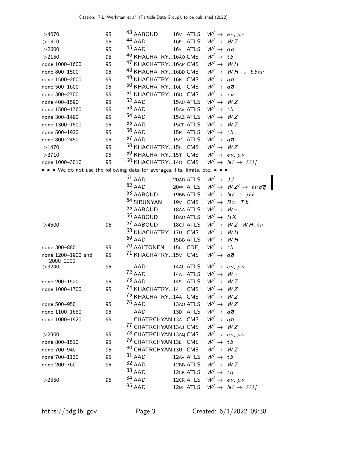| >4070                                                                         | 95 | 43 AABOUD                                          | 16 <sub>V</sub> ATLS          |                                | $W' \rightarrow e \nu, \mu \nu$                          |
|-------------------------------------------------------------------------------|----|----------------------------------------------------|-------------------------------|--------------------------------|----------------------------------------------------------|
| >1810                                                                         | 95 | 44 AAD                                             | 16R ATLS                      | $W' \rightarrow WZ$            |                                                          |
| $>$ 2600                                                                      | 95 | 45 AAD                                             | 16s ATLS                      | $W' \rightarrow q\overline{q}$ |                                                          |
| >2150                                                                         | 95 | <sup>46</sup> KHACHATRY16AO CMS                    |                               | $W' \rightarrow tb$            |                                                          |
| none 1000-1600                                                                | 95 | <sup>47</sup> KHACHATRY16AP CMS                    |                               | $W' \rightarrow WH$            |                                                          |
| none 800-1500                                                                 | 95 | <sup>48</sup> KHACHATRY16BD CMS                    |                               |                                | $W' \rightarrow WH \rightarrow b\overline{b} \ell \nu$   |
| none 1500-2600                                                                | 95 | <sup>49</sup> KHACHATRY16K CMS                     |                               | $W' \rightarrow q\overline{q}$ |                                                          |
| none 500-1600                                                                 | 95 | $^{50}$ KHACHATRY $16$ L                           | <b>CMS</b>                    | $W' \rightarrow q\overline{q}$ |                                                          |
| none 300-2700                                                                 | 95 | <sup>51</sup> KHACHATRY160 CMS                     |                               | $W' \rightarrow \tau \nu$      |                                                          |
| none 400-1590                                                                 | 95 | $52$ AAD                                           | 15AU ATLS                     | $W' \rightarrow WZ$            |                                                          |
| none 1500-1760                                                                | 95 | $53$ AAD                                           | 15AV ATLS                     | $W' \rightarrow tb$            |                                                          |
| none 300-1490                                                                 | 95 | $54$ AAD                                           | 15AZ ATLS                     | $W' \rightarrow WZ$            |                                                          |
| none 1300-1500                                                                | 95 | $55$ AAD                                           | 15CP ATLS                     | $W' \rightarrow WZ$            |                                                          |
| none 500-1920                                                                 | 95 | $56$ AAD                                           | 15R ATLS                      | $W' \rightarrow tb$            |                                                          |
| none 800-2450                                                                 | 95 | $57$ AAD                                           | 15 <sub>V</sub> ATLS          | $W' \rightarrow q\overline{q}$ |                                                          |
| $>\!\!1470$                                                                   | 95 | <sup>58</sup> KHACHATRY15C CMS                     |                               | $W' \rightarrow WZ$            |                                                          |
| >3710                                                                         | 95 | 59 KHACHATRY15T CMS                                |                               |                                | $W' \rightarrow e \nu, \mu \nu$                          |
| none 1000-3010                                                                | 95 | <sup>60</sup> KHACHATRY140 CMS                     |                               |                                | $W' \rightarrow N\ell \rightarrow \ell\ell jj$           |
| • • • We do not use the following data for averages, fits, limits, etc. • • • |    |                                                    |                               |                                |                                                          |
|                                                                               |    | $61$ AAD                                           | 20AD ATLS                     | $W' \rightarrow JJ$            |                                                          |
|                                                                               |    | $62$ AAD                                           | 20w ATLS                      |                                | $W' \rightarrow WZ' \rightarrow \ell \nu q \overline{q}$ |
|                                                                               |    | 63 AABOUD                                          | 19BB ATLS                     |                                | $W' \rightarrow N\ell \rightarrow j\ell\ell$             |
|                                                                               |    | <sup>64</sup> SIRUNYAN                             | 19 <sub>V</sub> CMS           |                                | $W' \rightarrow Bt$ , Tb                                 |
|                                                                               |    | <sup>65</sup> AABOUD                               | 18AA ATLS                     | $W' \rightarrow W \gamma$      |                                                          |
|                                                                               |    | <sup>66</sup> AABOUD                               | 18AD ATLS                     | $W' \rightarrow HX$            |                                                          |
| >4500                                                                         | 95 | <sup>67</sup> AABOUD                               | 18CJ ATLS                     |                                | $W' \rightarrow WZ, WH, \ell\nu$                         |
|                                                                               |    | 68 KHACHATRY17U CMS                                |                               | $W' \rightarrow WH$            |                                                          |
|                                                                               |    | $69$ AAD                                           | 15BB ATLS                     | $W' \rightarrow WH$            |                                                          |
| none 300-880                                                                  | 95 | <sup>70</sup> AALTONEN                             | 15c CDF                       | $W' \rightarrow tb$            |                                                          |
| none 1200-1900 and                                                            | 95 | <sup>71</sup> KHACHATRY15V CMS                     |                               | $W' \rightarrow q\overline{q}$ |                                                          |
| 2000-2200                                                                     |    |                                                    |                               |                                |                                                          |
| >3240                                                                         | 95 | AAD                                                | 14AI ATLS                     |                                | $W' \rightarrow e \nu, \mu \nu$                          |
|                                                                               |    | $72$ AAD                                           | 14AT ATLS                     | $W' \rightarrow W \gamma$      |                                                          |
| none 200-1520                                                                 | 95 | $73$ AAD                                           | 14s ATLS                      | $W' \rightarrow WZ$            |                                                          |
| none 1000-1700                                                                | 95 | <sup>74</sup> KHACHATRY14 CMS                      |                               | $W' \rightarrow WZ$            |                                                          |
|                                                                               |    | <sup>75</sup> KHACHATRY14A CMS $W' \rightarrow WZ$ |                               |                                |                                                          |
| none 500-950                                                                  | 95 | <sup>76</sup> AAD                                  | 13AO ATLS $W' \rightarrow WZ$ |                                |                                                          |
| none 1100-1680                                                                | 95 | AAD                                                | 13D ATLS                      | $W' \rightarrow q\overline{q}$ |                                                          |
| none 1000-1920                                                                | 95 | CHATRCHYAN 13A CMS                                 |                               | $W' \rightarrow q\overline{q}$ |                                                          |
|                                                                               |    | <sup>77</sup> CHATRCHYAN 13AJ CMS                  |                               | $W' \rightarrow WZ$            |                                                          |
| >2900                                                                         | 95 | <sup>78</sup> CHATRCHYAN 13AQ CMS                  |                               |                                | $W' \rightarrow e \nu, \mu \nu$                          |
| none 800-1510                                                                 | 95 | <sup>79</sup> CHATRCHYAN 13E CMS                   |                               | $W' \rightarrow tb$            |                                                          |
| none 700-940                                                                  | 95 | 80 CHATRCHYAN 13U CMS                              |                               | $W' \rightarrow WZ$            |                                                          |
| none 700-1130                                                                 | 95 | $81$ AAD                                           | 12AV ATLS                     | $W' \rightarrow tb$            |                                                          |
| none 200-760                                                                  | 95 | $82$ AAD                                           | 12BB ATLS                     | $W' \rightarrow WZ$            |                                                          |
|                                                                               |    | $83$ AAD                                           | 12CK ATLS                     | $W' \rightarrow \overline{t}q$ |                                                          |
| >2550                                                                         | 95 | $84$ AAD                                           | 12CR ATLS                     |                                | $W' \rightarrow e \nu, \mu \nu$                          |
|                                                                               |    | $85$ AAD                                           | 12M ATLS                      |                                | $W' \rightarrow N\ell \rightarrow \ell\ell jj$           |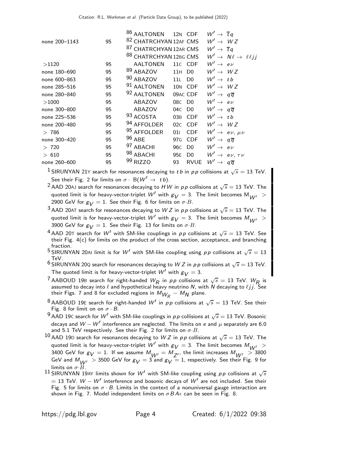| 87 CHATRCHYAN 12AR CMS<br>$W' \rightarrow \overline{t}q$<br>88 CHATRCHYAN 12BG CMS<br>$W' \rightarrow N\ell \rightarrow \ell\ell jj$<br>$W' \rightarrow e \nu$<br><b>AALTONEN</b><br>11C CDF<br>95<br>>1120<br>$89$ ABAZOV<br>$W' \rightarrow WZ$<br>11H<br>95<br>D <sub>0</sub><br>none 180-690<br>$90$ ABAZOV<br>$W' \rightarrow tb$<br>95<br>11L<br>D <sub>0</sub><br>none 600-863<br>91 AALTONEN<br>$W' \rightarrow WZ$<br>10N CDF<br>none 285-516<br>95<br>92 AALTONEN<br>$W' \rightarrow q\overline{q}$<br>09AC CDF<br>95<br>none 280-840<br>$W' \rightarrow e \nu$<br>ABAZOV<br>95<br>08C D0<br>>1000<br>$W' \rightarrow q\overline{q}$<br>ABAZOV<br>04C DO<br>none 300-800<br>95<br>93 ACOSTA<br>$W' \rightarrow tb$<br>03B CDF<br>none 225-536<br>95<br>94 AFFOLDER<br>$W' \rightarrow WZ$<br>02C CDF<br>none 200-480<br>95<br>95 AFFOLDER<br>$W' \rightarrow e \nu, \mu \nu$<br><b>CDF</b><br>95<br>>786<br>011<br>$96$ ABE<br>$W' \rightarrow q\overline{q}$<br>97G CDF<br>none 300-420<br>95<br>97 ABACHI<br>$W' \rightarrow e \nu$<br>> 720<br>95<br>96C<br>D <sub>0</sub><br>98 ABACHI<br>$W' \rightarrow e \nu, \tau \nu$<br>95<br>95E<br>D <sub>0</sub><br>> 610<br>99 RIZZO<br>$W' \rightarrow q\overline{q}$<br>93<br><b>RVUE</b><br>95<br>none 260–600 | none 200-1143 | 95 | <sup>86</sup> AALTONEN<br>82 CHATRCHYAN 12AF CMS | 12N CDF | $W' \rightarrow \overline{t}q$<br>$W' \rightarrow WZ$ |  |
|---------------------------------------------------------------------------------------------------------------------------------------------------------------------------------------------------------------------------------------------------------------------------------------------------------------------------------------------------------------------------------------------------------------------------------------------------------------------------------------------------------------------------------------------------------------------------------------------------------------------------------------------------------------------------------------------------------------------------------------------------------------------------------------------------------------------------------------------------------------------------------------------------------------------------------------------------------------------------------------------------------------------------------------------------------------------------------------------------------------------------------------------------------------------------------------------------------------------------------------------------------------------------|---------------|----|--------------------------------------------------|---------|-------------------------------------------------------|--|
|                                                                                                                                                                                                                                                                                                                                                                                                                                                                                                                                                                                                                                                                                                                                                                                                                                                                                                                                                                                                                                                                                                                                                                                                                                                                           |               |    |                                                  |         |                                                       |  |
|                                                                                                                                                                                                                                                                                                                                                                                                                                                                                                                                                                                                                                                                                                                                                                                                                                                                                                                                                                                                                                                                                                                                                                                                                                                                           |               |    |                                                  |         |                                                       |  |
|                                                                                                                                                                                                                                                                                                                                                                                                                                                                                                                                                                                                                                                                                                                                                                                                                                                                                                                                                                                                                                                                                                                                                                                                                                                                           |               |    |                                                  |         |                                                       |  |
|                                                                                                                                                                                                                                                                                                                                                                                                                                                                                                                                                                                                                                                                                                                                                                                                                                                                                                                                                                                                                                                                                                                                                                                                                                                                           |               |    |                                                  |         |                                                       |  |
|                                                                                                                                                                                                                                                                                                                                                                                                                                                                                                                                                                                                                                                                                                                                                                                                                                                                                                                                                                                                                                                                                                                                                                                                                                                                           |               |    |                                                  |         |                                                       |  |
|                                                                                                                                                                                                                                                                                                                                                                                                                                                                                                                                                                                                                                                                                                                                                                                                                                                                                                                                                                                                                                                                                                                                                                                                                                                                           |               |    |                                                  |         |                                                       |  |
|                                                                                                                                                                                                                                                                                                                                                                                                                                                                                                                                                                                                                                                                                                                                                                                                                                                                                                                                                                                                                                                                                                                                                                                                                                                                           |               |    |                                                  |         |                                                       |  |
|                                                                                                                                                                                                                                                                                                                                                                                                                                                                                                                                                                                                                                                                                                                                                                                                                                                                                                                                                                                                                                                                                                                                                                                                                                                                           |               |    |                                                  |         |                                                       |  |
|                                                                                                                                                                                                                                                                                                                                                                                                                                                                                                                                                                                                                                                                                                                                                                                                                                                                                                                                                                                                                                                                                                                                                                                                                                                                           |               |    |                                                  |         |                                                       |  |
|                                                                                                                                                                                                                                                                                                                                                                                                                                                                                                                                                                                                                                                                                                                                                                                                                                                                                                                                                                                                                                                                                                                                                                                                                                                                           |               |    |                                                  |         |                                                       |  |
|                                                                                                                                                                                                                                                                                                                                                                                                                                                                                                                                                                                                                                                                                                                                                                                                                                                                                                                                                                                                                                                                                                                                                                                                                                                                           |               |    |                                                  |         |                                                       |  |
|                                                                                                                                                                                                                                                                                                                                                                                                                                                                                                                                                                                                                                                                                                                                                                                                                                                                                                                                                                                                                                                                                                                                                                                                                                                                           |               |    |                                                  |         |                                                       |  |
|                                                                                                                                                                                                                                                                                                                                                                                                                                                                                                                                                                                                                                                                                                                                                                                                                                                                                                                                                                                                                                                                                                                                                                                                                                                                           |               |    |                                                  |         |                                                       |  |
|                                                                                                                                                                                                                                                                                                                                                                                                                                                                                                                                                                                                                                                                                                                                                                                                                                                                                                                                                                                                                                                                                                                                                                                                                                                                           |               |    |                                                  |         |                                                       |  |
|                                                                                                                                                                                                                                                                                                                                                                                                                                                                                                                                                                                                                                                                                                                                                                                                                                                                                                                                                                                                                                                                                                                                                                                                                                                                           |               |    |                                                  |         |                                                       |  |
|                                                                                                                                                                                                                                                                                                                                                                                                                                                                                                                                                                                                                                                                                                                                                                                                                                                                                                                                                                                                                                                                                                                                                                                                                                                                           |               |    |                                                  |         |                                                       |  |

 $^1$ SIRUNYAN 21Y search for resonances decaying to t b in pp collisions at  $\sqrt{s}=13$  TeV. See their Fig. 2 for limits on  $\sigma \cdot B(W' \rightarrow t b)$ .

 $^2$  AAD 20AJ search for resonances decaying to  $\hat{HW}$  in  $pp$  collisions at  $\sqrt{s}=13$  TeV. The quoted limit is for heavy-vector-triplet W' with  $g_V = 3$ . The limit becomes M<sub>W'</sub> 2900 GeV for  $g_V = 1$ . See their Fig. 6 for limits on  $\sigma \cdot B$ .

 $^3$  AAD 20AT search for resonances decaying to  $WZ$  in  $p\,p$  collisions at  $\sqrt{s}=13$  TeV. The quoted limit is for heavy-vector-triplet W' with  $g_V = 3$ . The limit becomes  $M_{M''} >$ 3900 GeV for  $g_V = 1$ . See their Fig. 13 for limits on  $\sigma \cdot B$ .

 $^4$  AAD 20T search for  $W'$  with SM-like couplings in  $p \, p$  collisions at  $\sqrt{s} = 13$  TeV. See their Fig. 4(c) for limits on the product of the cross section, acceptance, and branching fraction.

 $^5$ SIRUNYAN 20AI limit is for  $W'$  with SM-like coupling using pp collisions at  $\sqrt{s}=13$ TeV.

 $\frac{6}{10}$ SIRUNYAN 20Q search for resonances decaying to W Z in pp collisions at  $\sqrt{s} = 13$  TeV. The quoted limit is for heavy-vector-triplet  $W'$  with  $g_V = 3$ .

<sup>7</sup> AABOUD 19B search for right-handed  $W_R$  in pp collisions at  $\sqrt{s} = 13$  TeV.  $W_R$  is assumed to decay into  $\ell$  and hypothetical heavy neutrino  $N$ , with  $N$  decaying to  $\ell jj$ . See their Figs. 7 and 8 for excluded regions in  $M_{\tilde{W}_{R}}$   $M_{\small \textrm{\textbf{N}}}$  plane.

 $^8$ AABOUD 19E search for right-handed  $W'$  in  $p\,p$  collisions at  $\sqrt{s}=$  13 TeV. See their Fig. 8 for limit on on  $\sigma \cdot B$ .

 $^9$  AAD 19C search for  $W'$  with SM-like couplings in  $p\,p$  collisions at  $\sqrt{s}=$  13 TeV. Bosonic decays and  $W - W'$  interference are neglected. The limits on e and  $\mu$  separately are 6.0 and 5.1 TeV respectively. See their Fig. 2 for limits on  $\sigma$ . B.

 $^{10}$  AAD 19D search for resonances decaying to  $WZ$  in pp collisions at  $\sqrt{s} = 13$  TeV. The quoted limit is for heavy-vector-triplet W' with  $g_V = 3$ . The limit becomes  $M_{W'} >$ 3400 GeV for  $g_V = 1$ . If we assume  $M_{W'} = M_{Z'}$ , the limit increases  $M_{W'} > 3800$ GeV and  $M_{\stackrel{\smile}{W}'}\,>\,$  3500 GeV for  $g_V=3$  and  $g_V=1$ , respectively. See their Fig. 9 for limits on  $\sigma \cdot B$ .

 $^{11}$  SIRUNYAN 19AY limits shown for  $W'$  with SM-like coupling using  $pp$  collisions at  $\sqrt{s}$  $= 13$  TeV.  $W - W'$  interference and bosonic decays of  $W'$  are not included. See their Fig. 5 for limits on  $\sigma \cdot B$ . Limits in the context of a nonuniversal gauge interaction are shown in Fig. 7. Model independent limits on  $\sigma BA\epsilon$  can be seen in Fig. 8.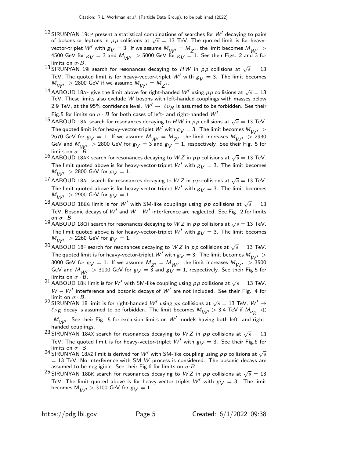- $12$  SIRUNYAN 19CP present a statistical combinations of searches for  $W'$  decaying to pairs of bosons or leptons in  $pp$  collisions at  $\sqrt{s} = 13$  TeV. The quoted limit is for heavyvector-triplet W' with  $g_V = 3$ . If we assume  $M_{W'} = M_{Z'}$ , the limit becomes  $M_{W'} >$ 4500 GeV for  $g_V = 3$  and  $M_{M//} > 5000$  GeV for  $g_V = 1$ . See their Figs. 2 and 3 for limits on  $\sigma$ ·B.
- 13 SIRUNYAN 191 search for resonances decaying to  $HW$  in pp collisions at  $\sqrt{s} = 13$ TeV. The quoted limit is for heavy-vector-triplet W' with  $g_V = 3$ . The limit becomes  $M_{W'}$   $>$  2800 GeV if we assume  $M_{W'} = M_{Z'}$ .
- $^{14}$  AABOUD 18AF give the limit above for right-handed  $W'$  using pp collisions at  $\sqrt{s}=13$ TeV. These limits also exclude W bosons with left-handed couplings with masses below 2.9 TeV, at the 95% confidence level.  $\,W'\rightarrow\,\ell\nu_R^{}$  is assumed to be forbidden. See their Fig.5 for limits on  $\sigma \cdot B$  for both cases of left- and right-handed  $W'.$
- $^{15}$  AABOUD 18AI search for resonances decaying to  $HW$  in  $pp$  collisions at  $\sqrt{s}=$  13 TeV. The quoted limit is for heavy-vector-triplet  $W'$  with  $g_V = 3$ . The limit becomes  $M_{W'}$   $>$ 2670 GeV for  $g_V = 1$ . If we assume  $M_{W'} = M_{Z'}$ , the limit increases  $M_{W'} > 2930$ GeV and  $M_{UV}$  > 2800 GeV for  $g_V = 3$  and  $g_V = 1$ , respectively. See their Fig. 5 for limits on  $\sigma \cdot B$ .
- 16 AABOUD 18AK search for resonances decaying to W Z in pp collisions at  $\sqrt{s} = 13$  TeV. The limit quoted above is for heavy-vector-triplet W' with  $g_V = 3$ . The limit becomes  $M_{W'}$  > 2800 GeV for  $g_V = 1$ .
- 17 AABOUD 18AL search for resonances decaying to W Z in pp collisions at  $\sqrt{s} = 13$  TeV. The limit quoted above is for heavy-vector-triplet  $W'$  with  $g_V = 3$ . The limit becomes  $M_{\rm W} > 2900$  GeV for  $g_V = 1$ .
- $^{18}$  AABOUD 18BG limit is for  $W'$  with SM-like couplings using  $pp$  collisions at  $\sqrt{s}=13$ TeV. Bosonic decays of  $W'$  and  $W - W'$  interference are neglected. See Fig. 2 for limits on  $\sigma \cdot B$ .
- 19 AABOUD 18CH search for resonances decaying to W Z in pp collisions at  $\sqrt{s} = 13$  TeV. The limit quoted above is for heavy-vector-triplet  $W'$  with  $g_V = 3$ . The limit becomes  $M_{\rm W} > 2260$  GeV for  $g_V = 1$ .
- $^{20}$  AABOUD 18F search for resonances decaying to  $WZ$  in  $pp$  collisions at  $\sqrt{s}=$  13 TeV. The quoted limit is for heavy-vector-triplet  $W'$  with  $g_V = 3$ . The limit becomes  $M_{WW} > 0$ 3000 GeV for  $g_V = 1$ . If we assume  $M_{Z'} = M_{W'}$ , the limit increases  $M_{W'} > 3500$ GeV and  $M_{W'}$   $>$  3100 GeV for  $g_V = 3$  and  $g_V = 1$ , respectively. See their Fig.5 for limits on  $\sigma \cdot B$ .

<sup>21</sup> AABOUD 18K limit is for W' with SM-like coupling using  $p p$  collisions at  $\sqrt{s} = 13$  TeV. W − W' interference and bosonic decays of W' are not included. See their Fig. 4 for limit on  $\sigma \cdot B$ .

<sup>22</sup> SIRUNYAN 18 limit is for right-handed W<sup>'</sup> using pp collisions at  $\sqrt{s} = 13$  TeV. W<sup>'</sup> →  $\ell\nu_R$  decay is assumed to be forbidden. The limit becomes  $M_{W'}$   $>$  3.4 TeV if  $M_{\nu_R}$   $\ll$ 

 $M_{W'}$ . See their Fig. 5 for exclusion limits on  $W'$  models having both left- and righthanded couplings.

- <sup>23</sup> SIRUNYAN 18AX search for resonances decaying to WZ in pp collisions at  $\sqrt{s} = 13$ TeV. The quoted limit is for heavy-vector-triplet W' with  $g_V = 3$ . See their Fig.6 for limits on  $\sigma \cdot B$ .
- <sup>24</sup> SIRUNYAN 18AZ limit is derived for  $W'$  with SM-like coupling using  $p \, p$  collisions at  $\sqrt{s}$  $=$  13 TeV. No interference with SM W process is considered. The bosonic decays are assumed to be negligible. See their Fig.6 for limits on  $\sigma \cdot B$ .
- <sup>25</sup> SIRUNYAN 18BK search for resonances decaying to WZ in pp collisions at  $\sqrt{s} = 13$ TeV. The limit quoted above is for heavy-vector-triplet  $W'$  with  $g_V = 3$ . The limit becomes  $M_{M/J} > 3100$  GeV for  $g_V = 1$ .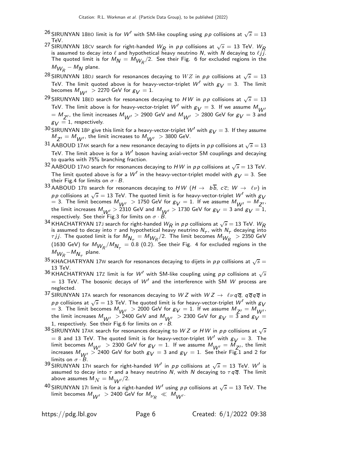- $^{26}$  SIRUNYAN 18B0 limit is for  $W'$  with SM-like coupling using  $\rho \rho$  collisions at  $\sqrt{s}=13$ TeV.
- <sup>27</sup> SIRUNYAN 18 $\text{CV}$  search for right-handed  $W_R$  in pp collisions at  $\sqrt{s} = 13$  TeV.  $W_R$ is assumed to decay into  $\ell$  and hypothetical heavy neutrino N, with N decaying to  $\ell j j$ . The quoted limit is for  $M_N = M_{W_R}/2$ . See their Fig. 6 for excluded regions in the  $M_{W_R}$  –  $M_N$  plane.
- $^{28}$ SIRUNYAN 18<code>DJ</code> search for resonances decaying to  $WZ$  in  ${\rho}{\rho}$  collisions at  $\sqrt{s}=13$ TeV. The limit quoted above is for heavy-vector-triplet  $W'$  with  $g_V = 3$ . The limit becomes  $M_{\text{MII}} > 2270$  GeV for  $g_V = 1$ .
- <sup>29</sup> SIRUNYAN 18ED search for resonances decaying to  $HW$  in  $pp$  collisions at  $\sqrt{s}=13$ TeV. The limit above is for heavy-vector-triplet W' with  $g_V = 3$ . If we assume  $M_{W'}$  $=$   $M_{Z^{\prime}}$ , the limit increases  $M_{W^{\prime}} >$  2900 GeV and  $M_{W^{\prime}} >$  2800 GeV for  $g_{V} =$  3 and  $g_V = 1$ , respectively.
- 30 SIRUNYAN 18P give this limit for a heavy-vector-triplet  $W'$  with  $g_V = 3$ . If they assume  $M_{Z^{\prime}}=M_{W^{\prime}}$ , the limit increases to  $M_{W^{\prime}}$   $>$  3800 GeV.
- $31$  AABOUD 17AK search for a new resonance decaying to dijets in  $p \, p$  collisions at  $\sqrt{s} = 13$ TeV. The limit above is for a  $W'$  boson having axial-vector SM couplings and decaying to quarks with 75% branching fraction.
- $^{32}$  AABOUD 17A0 search for resonances decaying to  $HW$  in  $pp$  collisions at  $\sqrt{s}=$  13 TeV. The limit quoted above is for a  $W'$  in the heavy-vector-triplet model with  $g_V = 3$ . See their Fig.4 for limits on  $\sigma \cdot B$ .
- 33 AABOUD 17B search for resonances decaying to HW  $(H \to b\overline{b}, c\overline{c}; W \to \ell\nu)$  in pp collisions at  $\sqrt{s} = 13$  TeV. The quoted limit is for heavy-vector-triplet W' with  $g_V$ = 3. The limit becomes  $M_{W'} > 1750$  GeV for  $g_V = 1$ . If we assume  $M_{W'} = M_{Z'}.$ the limit increases  $M_{W'} > 2310$  GeV and  $M_{W'} > 1730$  GeV for  $g_V = 3$  and  $g_V = 1$ , respectively. See their Fig.3 for limits on  $\sigma \cdot B$ .
- $^{34}$  KHACHATRYAN 17J search for right-handed  $W_R$  in  $\rho \, p$  collisions at  $\sqrt{s}=$  13 TeV.  $W_R$ is assumed to decay into  $\tau$  and hypothetical heavy neutrino  $N_{\tau}$ , with  $N_{\tau}$  decaying into  $\tau$ jj. The quoted limit is for  $M_{N_\tau} = M_{W_R}/2$ . The limit becomes  $M_{W_R}$   $>$  2350 GeV (1630 GeV) for  $M_{W_R}/M_{N_\tau}=$  0.8 (0.2). See their Fig. 4 for excluded regions in the  $M_{W_R}$ – $M_{N_\tau}$  plane.
- $^{35}$ KHACHATRYAN 17W search for resonances decaying to dijets in  $\rho\, \rho$  collisions at  $\sqrt{s} =$ 13 TeV.
- 36 KHACHATRYAN 17Z limit is for  $W'$  with SM-like coupling using pp collisions at  $\sqrt{s}$  $= 13$  TeV. The bosonic decays of W' and the interference with SM W process are neglected.
- 37 SIRUNYAN 17A search for resonances decaying to W Z with  $WZ \to \ell \nu q \overline{q}$ ,  $q \overline{q} q \overline{q}$  in pp collisions at  $\sqrt{s} = 13$  TeV. The quoted limit is for heavy-vector-triplet W' with  $g_V$ = 3. The limit becomes  $M_{W'} > 2000$  GeV for  $g_V = 1$ . If we assume  $M_{Z'} = M_{W'}$ , the limit increases  $M_{W'} > 2400$  GeV and  $M_{W'} > 2300$  GeV for  $g_V = 3$  and  $g_V = 100$ 1, respectively. See their Fig.6 for limits on  $\sigma \cdot B$ .
- $^{38}$  SIRUNYAN 17AK search for resonances decaying to  $WZ$  or  $HW$  in  $pp$  collisions at  $\sqrt{s}$  $= 8$  and 13 TeV. The quoted limit is for heavy-vector-triplet W' with  $g_V = 3$ . The limit becomes  $M_{W'} > 2300$  GeV for  $g_V = 1$ . If we assume  $M_{W'} = M_{Z'}$ , the limit increases  $M_{\text{UV}} > 2400$  GeV for both  $g_V = 3$  and  $g_V = 1$ . See their Fig. 1 and 2 for limits on  $\sigma \cdot B$ .
- <sup>39</sup> SIRUNYAN 17H search for right-handed W<sup>1</sup> in pp collisions at  $\sqrt{s} = 13$  TeV. W<sup>1</sup> is assumed to decay into  $\tau$  and a heavy neutrino N, with N decaying to  $\tau q \overline{q}$ . The limit above assumes  $M_N = M_{MN}/2$ .
- $^{40}$ SIRUNYAN 171 limit is for a right-handed  $W'$  using  $\rho \rho$  collisions at  $\sqrt{s}=$  13 TeV. The limit becomes  $M_{W'}^{}>2400$  GeV for  $M_{\nu_R}^{} \,\ll\,M_{W'}^{}$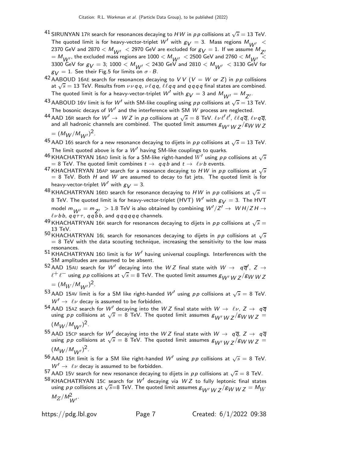- $^{41}$  SIRUNYAN 17R search for resonances decaying to  $HW$  in  $\rho\,p$  collisions at  $\sqrt{s}=$  13 TeV. The quoted limit is for heavy-vector-triplet W' with  $g_V = 3$ . Mass regions  $M_{V}$  < 2370 GeV and 2870  $< M_{W'}$   $<$  2970 GeV are excluded for  $g_V = 1$ . If we assume  $M_{Z'}$  $= M_{W'}$ , the excluded mass regions are 1000  $< M_{W'} < 2500$  GeV and 2760  $< M_{W'} < 2500$ 3300 GeV for  $g_V =$  3; 1000  $<$   $M_{W'}$   $<$  2430 GeV and 2810  $<$   $M_{W'}$   $<$  3130 GeV for  $g_V = 1$ . See their Fig.5 for limits on  $\sigma \cdot B$ .
- 42 AABOUD 16AE search for resonances decaying to VV ( $V = W$  or Z) in pp collisions at  $\sqrt{s} = 13$  TeV. Results from  $\nu \nu q q$ ,  $\nu \ell qq$ ,  $\ell \ell qq$  and  $qqqq$  final states are combined. The quoted limit is for a heavy-vector-triplet  $W'$  with  $g_{\bigvee}=3$  and  $M_{W'}=M_{Z'}$ .
- $^{43}$  AABOUD 16V limit is for  $W'$  with SM-like coupling using  $p \, p$  collisions at  $\sqrt{s} = 13$  TeV. The bosonic decays of  $W'$  and the interference with SM  $W$  process are neglected.
- 44 AAD 16R search for  $W' \to WZ$  in pp collisions at  $\sqrt{s} = 8$  TeV.  $\ell \nu \ell' \ell'$ ,  $\ell \ell q \overline{q}$ ,  $\ell \nu q \overline{q}$ , and all hadronic channels are combined. The quoted limit assumes  $g_{WWM}$   $\frac{1}{2}$  /gw W Z

$$
= (M_W/M_{W'})^2.
$$

- $^{45}$  AAD 16S search for a new resonance decaying to dijets in  $p\,p$  collisions at  $\sqrt{s}=13$  TeV. The limit quoted above is for a  $\mathcal{W}'$  having SM-like couplings to quarks.
- $^{46}$ KHACHATRYAN 16A0 limit is for a SM-like right-handed  $W'$  using  $\rho \rho$  collisions at  $\sqrt{s}$  $= 8$  TeV. The quoted limit combines  $t \rightarrow q q b$  and  $t \rightarrow \ell \nu b$  events.
- $^{47}$ KHACHATRYAN 16AP search for a resonance decaying to  $HW$  in  $pp$  collisions at  $\sqrt{s}$  $=$  8 TeV. Both  $H$  and  $W$  are assumed to decay to fat jets. The quoted limit is for heavy-vector-triplet  $W'$  with  $g_V = 3$ .
- $^{48}$ KHACHATRYAN 16BD search for resonance decaying to  $HW$  in  $pp$  collisions at  $\sqrt{s} =$ 8 TeV. The quoted limit is for heavy-vector-triplet (HVT)  $W'$  with  $g_V = 3$ . The HVT model  $m_{W'} = m_{Z'} > 1.8$  TeV is also obtained by combining  $W'/Z' \rightarrow \ W$  H/Z H  $\rightarrow$  $\ell\nu$  b b,  $q\overline{q}\tau\tau$ ,  $q\overline{q}$  b b, and  $q\overline{q}q\overline{q}q\overline{q}$  channels.
- $^{49}$ KHACHATRYAN 16K search for resonances decaying to dijets in  $pp$  collisions at  $\sqrt{s}=$ 13 TeV.
- $^{50}$  KHACHATRYAN 16L search for resonances decaying to dijets in  $pp$  collisions at  $\sqrt{s}$  $= 8$  TeV with the data scouting technique, increasing the sensitivity to the low mass resonances.
- $51$  KHACHATRYAN 160 limit is for  $W'$  having universal couplings. Interferences with the SM amplitudes are assumed to be absent.
- $^{52}$  AAD 15AU search for  $W'$  decaying into the  $WZ$  final state with  $W \rightarrow q \overline{q}'$ ,  $Z \rightarrow$  $\ell^+\ell^-$  using  $\rho\rho$  collisions at  $\sqrt{s}=8$  TeV. The quoted limit assumes  $s_{W'}$   $_W$   $_Z/s_W$   $_W$   $_Z$  $= (M_W / M_{W'})^2$ .
- $^{53}$  AAD 15AV limit is for a SM like right-handed  $W'$  using  $pp$  collisions at  $\sqrt{s}=8$  TeV.  $W' \rightarrow \ell \nu$  decay is assumed to be forbidden.
- $^{54}$  AAD 15AZ search for  $W'$  decaying into the W Z final state with  $W\rightarrow \ell\nu,\,Z\rightarrow q\overline{q}$ using pp collisions at  $\sqrt{s} = 8$  TeV. The quoted limit assumes  $g_{W'} w_Z / g_W w_Z =$  $(M_W/M_{W'})^2$ .
- $^{55}$  AAD 15CP search for  $W'$  decaying into the  $WZ$  final state with  $W\rightarrow~$   $q\overline{q},~$   $Z$   $\rightarrow~$   $q\overline{q}$ using pp collisions at  $\sqrt{s} = 8$  TeV. The quoted limit assumes  $g_{W'}$   $_{WZ}/g_{W}$   $_{WZ} =$  $(M_W/M_{W'})^2$ .
- $^{56}$  AAD 15R limit is for a SM like right-handed  $W'$  using pp collisions at  $\sqrt{s} = 8$  TeV.  $W' \rightarrow \ell \nu$  decay is assumed to be forbidden.
- 57 AAD 15V search for new resonance decaying to dijets in  $pp$  collisions at  $\sqrt{s} = 8$  TeV.
- <sup>58</sup> KHACHATRYAN 15C search for W' decaying via  $WZ$  to fully leptonic final states using p p collisions at  $\sqrt{s}=8$  TeV. The quoted limit assumes  $g_{W'}$   $_W$   $_Z$ / $g_W$   $WZ = M_W$  $M_Z/M_{W'}^2$ .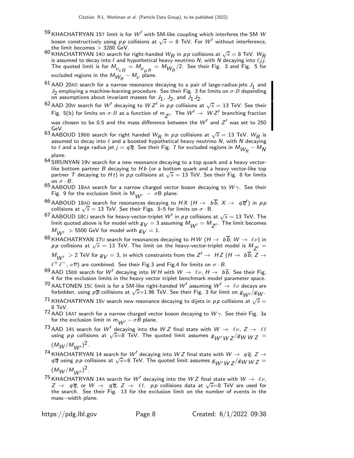- <sup>59</sup> KHACHATRYAN 15T limit is for  $W'$  with SM-like coupling which interferes the SM  $W$ boson constructively using  $pp$  collisions at  $\sqrt{s} = 8$  TeV. For  $W'$  without interference, the limit becomes  $> 3280$  GeV.
- 60 KHACHATRYAN 140 search for right-handed  $W_R$  in pp collisions at  $\sqrt{s} = 8$  TeV.  $W_R$ is assumed to decay into  $\ell$  and hypothetical heavy neutrino N, with N decaying into  $\ell j j$ . The quoted limit is for  $M_{\nu_{eR}}^{}=M_{\nu_{\mu R}^{}}^{}=M_{W_{\!R}^{}}/2.$  See their Fig. 3 and Fig. 5 for excluded regions in the  $M_{\tilde{W}_{R}} - M_{\nu}$  plane.
- $^{61}$  AAD 20AD search for a narrow resonance decaying to a pair of large-radius-jets  $J_1$  and  $J_2$  employing a machine-learning procedure. See their Fig. 3 for limits on  $\sigma \cdot B$  depending on assumptions about invariant masses for  $J_1$ ,  $J_2$ , and  $J_1 J_2$ .
- <sup>62</sup> AAD 20W search for W' decaying to W Z' in pp collisions at  $\sqrt{s} = 13$  TeV. See their Fig. 5(b) for limits on  $\sigma \cdot B$  as a function of  $m_{Z'}$ . The  $W' \to W Z'$  branching fraction

was chosen to be 0.5 and the mass difference between the  $W'$  and  $Z'$  was set to 250  $\,$ GeV.

- 63 AABOUD 19BB search for right handed  $W_R$  in pp collisions at  $\sqrt{s} = 13$  TeV.  $W_R$  is assumed to decay into  $\ell$  and a boosted hypothetical heavy neutrino N, with N decaying to  $\ell$  and a large radius jet  $j=q\overline{q}.$  See their Fig. 7 for excluded regions in  $M_{\overline{\mathcal{W}}_R}-M_{\overline{\mathcal{N}}}$ plane.
- $64$  SIRUNYAN 19V search for a new resonance decaying to a top quark and a heavy vectorlike bottom partner  $B$  decaying to  $Hb$  (or a bottom quark and a heavy vector-like top partner T decaying to Ht) in pp collisions at  $\sqrt{s} = 13$  TeV. See their Fig. 8 for limits on  $\sigma \cdot B$ .
- 65 AABOUD 18AA search for a narrow charged vector boson decaying to  $W\gamma$ . See their Fig. 9 for the exclusion limit in  $M_{UV} - \sigma B$  plane.
- <sup>66</sup> AABOUD 18AD search for resonances decaying to  $HX$   $(H \rightarrow b\overline{b}, X \rightarrow q\overline{q}')$  in pp collisions at  $\sqrt{s} = 13$  TeV. See their Figs. 3–5 for limits on  $\sigma \cdot B$ .
- $^{67}$  AABOUD 18CJ search for heavy-vector-triplet  $W'$  in  $\rho \rho$  collisions at  $\sqrt{s}=$  13 TeV. The limit quoted above is for model with  $g_V = 3$  assuming  $M_{W'} = M_{Z'}$ . The limit becomes  $M_{\text{MII}} > 5500$  GeV for model with  $g_V = 1$ .
- 68 KHACHATRYAN 17U search for resonances decaying to HW  $(H \to b\overline{b}; W \to \ell\nu)$  in pp collisions at  $\sqrt{s} = 13$  TeV. The limit on the heavy-vector-triplet model is  $M_{Z'} =$  $M_{W'}$   $>$  2 TeV for  $g_V^{}=$  3, in which constraints from the  $Z'\rightarrow$   $\;HZ$   $(H\rightarrow$   $\;bb)$  b;  $Z\rightarrow$

 $\ell^+\ell^-$ ,  $\nu\overline{\nu}$ ) are combined. See their Fig.3 and Fig.4 for limits on  $\sigma\cdot B$ .

- 69 AAD 15BB search for W' decaying into W H with  $W \to \ell \nu$ ,  $H \to b\overline{b}$ . See their Fig. 4 for the exclusion limits in the heavy vector triplet benchmark model parameter space.
- $^{70}$  AALTONEN 15C limit is for a SM-like right-handed  $W'$  assuming  $W' \rightarrow \ \ell \nu$  decays are forbidden, using  $p\overline{p}$  collisions at  $\sqrt{s}=1.96$  TeV. See their Fig. 3 for limit on  $g_{W'}/g_W$ .
- $^{71}$ KHACHATRYAN 15V search new resonance decaying to dijets in  $p\,p$  collisions at  $\sqrt{s}=$ 8 TeV.
- $72$  AAD 14AT search for a narrow charged vector boson decaying to  $W\gamma$ . See their Fig. 3a for the exclusion limit in  $m_{W'} - \sigma B$  plane.
- <sup>73</sup> AAD 14S search for W<sup>'</sup> decaying into the W Z final state with  $W \to \ell \nu$ ,  $Z \to \ell \ell$  using pp collisions at  $\sqrt{s} = 8$  TeV. The quoted limit assumes  $g_{W'} w_Z / g_W w_Z =$  $(M_W/M_{W'})^2$ .
- 74 KHACHATRYAN 14 search for W' decaying into W Z final state with  $W \rightarrow q \overline{q}$ ,  $Z \rightarrow$  $q\bar{q}$  using pp collisions at  $\sqrt{s}$ =8 TeV. The quoted limit assumes  $g_{W'}$   $_{WZ}/g_{W}$   $_{WZ}$  =  $(M_W/M_{W'})^2$ .
- <sup>75</sup> KHACHATRYAN 14A search for W<sup>'</sup> decaying into the W Z final state with  $W \rightarrow \ell \nu$ ,  $Z \rightarrow q\overline{q}$ , or  $W \rightarrow q\overline{q}$ ,  $Z \rightarrow \ell\ell$ . pp collisions data at  $\sqrt{s}=8$  TeV are used for the search. See their Fig. 13 for the exclusion limit on the number of events in the mass−width plane.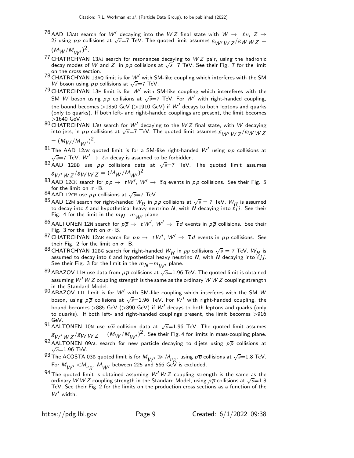$^{76}$  AAD 13A0 search for  $W'$  decaying into the  $WZ$  final state with  $W$   $\rightarrow$   $\ell\nu$ ,  $Z$   $\rightarrow$ 2j using pp collisions at  $\sqrt{s}$ =7 TeV. The quoted limit assumes  $g_{W'}$  W  $\frac{1}{2}$ /gW W  $\frac{1}{2}$  =

 $(M_W/M_{W'})^2$ .

- $77$  CHATRCHYAN 13AJ search for resonances decaying to  $WZ$  pair, using the hadronic decay modes of W and Z, in  $pp$  collisions at  $\sqrt{s}$ =7 TeV. See their Fig. 7 for the limit on the cross section.
- $^{78}$  CHATRCHYAN 13AQ limit is for  $W'$  with SM-like coupling which interferes with the SM W boson using  $pp$  collisions at  $\sqrt{s}$ =7 TeV.
- $79$  CHATRCHYAN 13E limit is for  $W'$  with SM-like coupling which intereferes with the SM W boson using pp collisions at  $\sqrt{s}$ =7 TeV. For W' with right-handed coupling, the bound becomes >1850 GeV (>1910 GeV) if  $W'$  decays to both leptons and quarks (only to quarks). If both left- and right-handed couplings are present, the limit becomes
- $>$  1640 GeV.<br><sup>80</sup> CHATRCHYAN 13∪ search for  $W'$  decaying to the  $W\,Z$  final state, with  $W$  decaying into jets, in *pp* collisions at  $\sqrt{s}$ =7 TeV. The quoted limit assumes  $g_{W'WZ}/g_W$   $Z$

 $= (M_W / M_{W'})^2$ .

- $81$  The AAD 12AV quoted limit is for a SM-like right-handed  $W'$  using pp collisions at  $\sqrt{s}$ =7 TeV.  $W' \rightarrow \ell \nu$  decay is assumed to be forbidden.
- $^{82}$  AAD 12BB use  $pp$  collisions data at  $\sqrt{s}$ =7 TeV. The quoted limit assumes  $\mathcal{E}_{\pmb{W}'\pmb{W}}$  y  $\mathcal{Z}$  /  $\mathcal{E}_{\pmb{W}}$  w  $\mathcal{Z} = (\mathcal{M}_{\pmb{W}}/\mathcal{M}_{\pmb{W'}})^2$  .
- <sup>83</sup> AAD 12CK search for  $p p \to t W'$ ,  $W' \to \overline{t} q$  events in  $p p$  collisions. See their Fig. 5
- for the limit on  $\sigma \cdot B$ .<br>84 AAD 12CR use *p p* collisions at  $\sqrt{s}$ =7 TeV.
- $^{85}$  AAD 12M search for right-handed  $W_R$  in  $pp$  collisions at  $\sqrt{s}=7$  TeV.  $W_R$  is assumed to decay into  $\ell$  and hypothetical heavy neutrino N, with N decaying into  $\ell j j$ . See their Fig. 4 for the limit in the  $m_N - m_{M}$  plane.
- $^{86}$  AALTONEN 12N search for  $p\overline{p} \rightarrow \ t \, W', \ W' \rightarrow \ \overline{t}d$  events in  $p\overline{p}$  collisions. See their Fig. 3 for the limit on  $\sigma \cdot B$ .
- <sup>87</sup> CHATRCHYAN 12AR search for  $p p \rightarrow t W'$ ,  $W' \rightarrow \overline{t} d$  events in  $p p$  collisions. See their Fig. 2 for the limit on  $\sigma \cdot B$ .
- $^{88}$ CHATRCHYAN 12BG search for right-handed  $W_R$  in  $pp$  collisions  $\sqrt{s} = 7$  TeV.  $W_R$  is assumed to decay into  $\ell$  and hypothetical heavy neutrino N, with N decaying into  $\ell j j$ . See their Fig. 3 for the limit in the  $m_N - m_{W'}$  plane.
- $^{89}$  ABAZOV 11H use data from  $p\overline{p}$  collisions at  $\sqrt{s}{=}1.96$  TeV. The quoted limit is obtained assuming  $W'WZ$  coupling strength is the same as the ordinary  $WWZ$  coupling strength in the Standard Model.
- 90 ABAZOV 11<sup>L</sup> limit is for W′ with SM-like coupling which interferes with the SM W boson, using  $p\overline{p}$  collisions at  $\sqrt{s}{=}1.96$  TeV. For  $W'$  with right-handed coupling, the bound becomes >885 GeV (>890 GeV) if  $W'$  decays to both leptons and quarks (only to quarks). If both left- and right-handed couplings present, the limit becomes  $>916$ GeV.
- 91 AALTONEN 10N use  $p\overline{p}$  collision data at  $\sqrt{s}=1.96$  TeV. The quoted limit assumes  ${\cal E}_{W^{\prime}WZ}/{\cal E}$ W  $WZ=(M_{W}/M_{W^{\prime}})^{2}$ . See their Fig. 4 for limits in mass-coupling plane.
- $^{92}$  AALTONEN 09AC search for new particle decaying to dijets using  $p\overline{p}$  collisions at  $\sqrt{s}$ =1.96 TeV.
- 93 The ACOSTA 03B quoted limit is for  $M_{W'} \gg M_{V_R}$ , using  $p\overline{p}$  collisions at  $\sqrt{s}$ =1.8 TeV. For  $M_{W'}^{}$   $<$   $M_{\nu_R^{}},$   $M_{W'}^{}$  between 225 and 566 GeV is excluded.
- 94 The quoted limit is obtained assuming  $W' W Z$  coupling strength is the same as the ordinary W W Z coupling strength in the Standard Model, using  $p\bar{p}$  collisions at  $\sqrt{s}$ =1.8 TeV. See their Fig. 2 for the limits on the production cross sections as a function of the W′ width.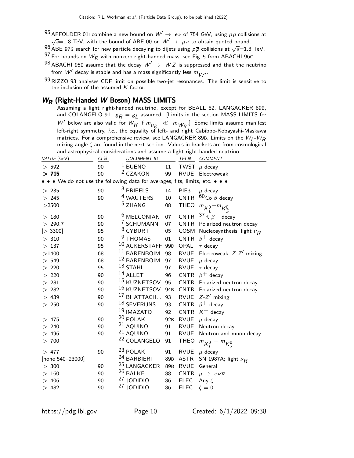- $^{95}$  AFFOLDER 011 combine a new bound on  $W' \rightarrow\ e \nu$  of 754 GeV, using  $p\overline{p}$  collisions at  $\sqrt{s}$ =1.8 TeV, with the bound of ABE 00 on  $W' \rightarrow \ \mu \nu$  to obtain quoted bound.
- $^{96}$  ABE 97G search for new particle decaying to dijets using  $\rho\overline{\rho}$  collisions at  $\sqrt{s}{=}1.8$  TeV. 97 For bounds on  $W_R$  with nonzero right-handed mass, see Fig. 5 from ABACHI 96C.

- 98 ABACHI 95E assume that the decay  $W' \rightarrow WZ$  is suppressed and that the neutrino from  $W'$  decay is stable and has a mass significantly less  $m_{W'}^{}$  .
- $99$  RIZZO 93 analyses CDF limit on possible two-jet resonances. The limit is sensitive to the inclusion of the assumed  $K$  factor.

## $W_R$  (Right-Handed W Boson) MASS LIMITS

Assuming a light right-handed neutrino, except for BEALL 82, LANGACKER 89B, and COLANGELO 91.  $g_{\pmb{R}}=g_{\pmb{L}}$  assumed. [Limits in the section MASS LIMITS for W' below are also valid for  $W_R$  if  $m_{V_R} \ll m_{W_R}$ . Some limits assume manifest left-right symmetry, i.e., the equality of left- and right Cabibbo-Kobayashi-Maskawa matrices. For a comprehensive review, see LANGACKER 89B. Limits on the  $W_{\text{\scriptsize L}}$ - $W_{\text{\scriptsize R}}$ mixing angle  $\zeta$  are found in the next section. Values in brackets are from cosmological and astrophysical considerations and assume a light right-handed neutrino.

| VALUE (GeV)                                                                   | $CL\%$ | <b>DOCUMENT ID</b>      |                 | TECN             | COMMENT                                |
|-------------------------------------------------------------------------------|--------|-------------------------|-----------------|------------------|----------------------------------------|
| > 592                                                                         | 90     | $1$ BUENO               | 11              |                  | TWST $\mu$ decay                       |
| >715                                                                          | 90     | <sup>2</sup> CZAKON     | 99              |                  | RVUE Electroweak                       |
| • • • We do not use the following data for averages, fits, limits, etc. • • • |        |                         |                 |                  |                                        |
| >235                                                                          | 90     | <sup>3</sup> PRIEELS    | 14              | PIE <sub>3</sub> | $\mu$ decay                            |
| > 245                                                                         | 90     | <sup>4</sup> WAUTERS    | 10              | <b>CNTR</b>      | $60$ Co $\beta$ decay                  |
| $>$ 2500                                                                      |        | <sup>5</sup> ZHANG      | 08              | <b>THEO</b>      | ${}^m\kappa_l^0 - {}^m\kappa_s^0$      |
| >180                                                                          | 90     | <sup>6</sup> MELCONIAN  | 07              | CNTR             | $37$ K $\beta$ <sup>+</sup> decay      |
| > 290.7                                                                       | 90     | <sup>7</sup> SCHUMANN   | 07              |                  | CNTR Polarized neutron decay           |
| [> 3300]                                                                      | 95     | <sup>8</sup> CYBURT     | 05              | COSM             | Nucleosynthesis; light $\nu_R$         |
| >310                                                                          | 90     | <sup>9</sup> THOMAS     | 01              | <b>CNTR</b>      | $\beta^+$ decay                        |
| >137                                                                          | 95     | 10 ACKERSTAFF 99D       |                 | OPAL             | $\tau$ decay                           |
| >1400                                                                         | 68     | 11 BARENBOIM            | 98              | <b>RVUE</b>      | Electroweak, $Z-Z'$ mixing             |
| > 549                                                                         | 68     | 12 BARENBOIM            | 97              | <b>RVUE</b>      | $\mu$ decay                            |
| > 220                                                                         | 95     | $13$ STAHL              | 97              | <b>RVUE</b>      | $\tau$ decay                           |
| > 220                                                                         | 90     | 14 ALLET                | 96              |                  | CNTR $\beta^+$ decay                   |
| >281                                                                          | 90     | <sup>15</sup> KUZNETSOV | 95              | CNTR             | Polarized neutron decay                |
| >282                                                                          | 90     | $16$ KUZNETSOV          | 94 <sub>B</sub> |                  | CNTR Polarized neutron decay           |
| >439                                                                          | 90     | <sup>17</sup> BHATTACH  | 93              | <b>RVUE</b>      | $Z-Z'$ mixing                          |
| > 250                                                                         | 90     | 18 SEVERIJNS            | 93              | <b>CNTR</b>      | $\beta^+$ decay                        |
|                                                                               |        | <sup>19</sup> IMAZATO   | 92              | <b>CNTR</b>      | $K^+$ decay                            |
| 475<br>$\geq$                                                                 | 90     | 20 POLAK                | 92 <sub>B</sub> | <b>RVUE</b>      | $\mu$ decay                            |
| > 240                                                                         | 90     | $21$ AQUINO             | 91              | RVUE             | Neutron decay                          |
| >496                                                                          | 90     | 21 AQUINO               | 91              | RVUE             | Neutron and muon decay                 |
| >700                                                                          |        | <sup>22</sup> COLANGELO | 91              | <b>THEO</b>      | $m_{K_l^0} - m_{K_S^0}$                |
| >477                                                                          | 90     | <sup>23</sup> POLAK     | 91              | <b>RVUE</b>      | $\mu$ decay                            |
| [none 540-23000]                                                              |        | <sup>24</sup> BARBIERI  | 89 <sub>B</sub> | <b>ASTR</b>      | SN 1987A; light $\nu_R$                |
| > 300                                                                         | 90     | <sup>25</sup> LANGACKER | 89 <sub>B</sub> | <b>RVUE</b>      | General                                |
| >160                                                                          | 90     | 26 BALKE                | 88              | <b>CNTR</b>      | $\mu \rightarrow e \nu \overline{\nu}$ |
| >406                                                                          | 90     | 27 JODIDIO              | 86              | <b>ELEC</b>      | Any $\zeta$                            |
| >482                                                                          | 90     | 27 JODIDIO              | 86              | <b>ELEC</b>      | $\zeta=0$                              |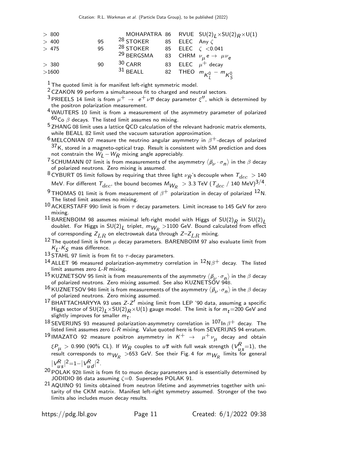| > 800       |    |                                                                     |  | MOHAPATRA 86 RVUE $SU(2)_I \times SU(2)_R \times U(1)$ |
|-------------|----|---------------------------------------------------------------------|--|--------------------------------------------------------|
| $>400$      | 95 | <sup>28</sup> STOKER 85 ELEC Any $\zeta$                            |  |                                                        |
| $>475$      | 95 | <sup>28</sup> STOKER 85 ELEC $\zeta$ <0.041                         |  |                                                        |
|             |    | <sup>29</sup> BERGSMA 83 CHRM $\nu_{\mu} e \rightarrow \mu \nu_{e}$ |  |                                                        |
| >380        | 90 | $30$ CARR                                                           |  | 83 ELEC $\mu^+$ decay                                  |
| $>\!\!1600$ |    | $^{31}$ BEALL                                                       |  | 82 THEO $m_{K_1^0} - m_{K_5^0}$                        |
|             |    |                                                                     |  |                                                        |

 $1$  The quoted limit is for manifest left-right symmetric model.

 $2$  CZAKON 99 perform a simultaneous fit to charged and neutral sectors.

<sup>3</sup> PRIEELS 14 limit is from  $\mu^+ \to~e^+ \nu \overline{\nu}$  decay parameter  $\xi''$ , which is determined by the positron polarization measurement.

4 WAUTERS 10 limit is from a measurement of the asymmetry parameter of polarized <sup>60</sup>Co  $β$  decays. The listed limit assumes no mixing.

<sup>5</sup> ZHANG 08 limit uses a lattice QCD calculation of the relevant hadronic matrix elements, while BEALL 82 limit used the vacuum saturation approximation.

- $6$  MELCONIAN 07 measure the neutrino angular asymmetry in  $\beta^+$ -decays of polarized  $37$ K, stored in a magneto-optical trap. Result is consistent with SM prediction and does not constrain the  $W_{L}-W_{R}$  mixing angle appreciably.
- <sup>7</sup> SCHUMANN 07 limit is from measurements of the asymmetry  $\langle \vec{p}_\nu \cdot \sigma_n \rangle$  in the  $\beta$  decay of polarized neutrons. Zero mixing is assumed.

 $^8$ CYBURT 05 limit follows by requiring that three light  $\nu_R$ 's decouple when  $T_{dec}$   $>$  140 MeV. For different  $\tau_{dec}$ , the bound becomes  $M_{W_R}$   $>$  3.3 TeV (  $\tau_{dec}$  / 140 MeV) $^{3/4}.$ 

 $^{9}$ THOMAS 01 limit is from measurement of  $\beta^{+}$  polarization in decay of polarized  $^{12}$ N. The listed limit assumes no mixing.

10 ACKERSTAFF 99D limit is from  $\tau$  decay parameters. Limit increase to 145 GeV for zero mixing.

11 BARENBOIM 98 assumes minimal left-right model with Higgs of  $SU(2)_R$  in  $SU(2)_L$ doublet. For Higgs in SU(2) $_L$  triplet,  $m_{W_R} > 1100$  GeV. Bound calculated from effect of corresponding  $Z_{LR}$  on electroweak data through  $Z-Z_{LR}$  mixing.

<sup>12</sup> The quoted limit is from  $\mu$  decay parameters. BARENBOIM 97 also evaluate limit from  $\kappa_L$ - $\kappa_S$  mass difference.

13 STAHL 97 limit is from fit to  $\tau$ -decay parameters.

<sup>14</sup> ALLET 96 measured polarization-asymmetry correlation in  ${}^{12}N\beta^+$  decay. The listed limit assumes zero  $L-R$  mixing.

15 KUZNETSOV 95 limit is from measurements of the asymmetry  $\langle \vec{p}_1 \cdot \sigma_n \rangle$  in the  $\beta$  decay of polarized neutrons. Zero mixing assumed. See also KUZNETSOV 948.

- $^{16}$  KUZNETSOV 94B limit is from measurements of the asymmetry  $\langle \vec p_\nu \cdot \sigma_{\bm n} \rangle$  in the  $\beta$  decay of polarized neutrons. Zero mixing assumed.
- $^{17}$ BHATTACHARYYA 93 uses Z-Z $'$  mixing limit from LEP '90 data, assuming a specific Higgs sector of  $SU(2)_L \times SU(2)_R \times U(1)$  gauge model. The limit is for  $m_t$ =200 GeV and slightly improves for smaller  $m_{\boldsymbol{t}}.$

 $^{18}$  SEVERIJNS 93 measured polarization-asymmetry correlation in  $^{107}$ In  $\beta^+$  decay. The disted limit assumes zero L-R mixing. Value quoted here is from SEVERIJNS 94 erratum.

 $^{19}$ IMAZATO 92 measure positron asymmetry in  $\kappa^+$   $\rightarrow$   $\;\mu^+\nu_\mu^{}$  decay and obtain

 $\{\mathcal{P}_\mu>$  0.990 (90% CL). If  $W_{\pmb{R}}$  couples to  $u$ s with full weak strength  $(V_{\pmb{\mu_S}}^{\pmb{R}}\!=\!1)$ , the result corresponds to  $m_{W_R} > 653$  GeV. See their Fig. 4 for  $m_{W_R}$  limits for general  $|2$ .

 $|V_{us}^R$  $|^{2}=1-|V_{ud}^{R}|$ 

 $20$  POLAK 92B limit is from fit to muon decay parameters and is essentially determined by JODIDIO 86 data assuming  $\zeta$ =0. Supersedes POLAK 91.

21 AQUINO 91 limits obtained from neutron lifetime and asymmetries together with unitarity of the CKM matrix. Manifest left-right symmetry assumed. Stronger of the two limits also includes muon decay results.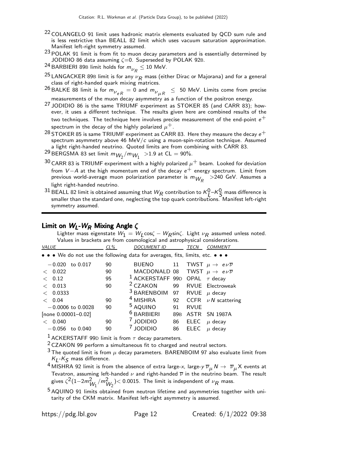- <sup>22</sup> COLANGELO 91 limit uses hadronic matrix elements evaluated by QCD sum rule and is less restrictive than BEALL 82 limit which uses vacuum saturation approximation. Manifest left-right symmetry assumed.
- $23$  POLAK 91 limit is from fit to muon decay parameters and is essentially determined by JODIDIO 86 data assuming  $\zeta = 0$ . Superseded by POLAK 92B.
- <sup>24</sup> BARBIERI 89B limit holds for  $m_{\nu_R}^{} \le 10$  MeV.
- <sup>25</sup> LANGACKER 89B limit is for any  $\nu_R$  mass (either Dirac or Majorana) and for a general class of right-handed quark mixing matrices.
- $^{26}$  BALKE 88 limit is for  $m_{\nu_{eR}}^{}=0$  and  $m_{\nu_{\mu R}}^{}~\leq~$  50 MeV. Limits come from precise measurements of the muon decay asymmetry as a function of the positron energy.
- <sup>27</sup> JODIDIO 86 is the same TRIUMF experiment as STOKER 85 (and CARR 83); however, it uses a different technique. The results given here are combined results of the two techniques. The technique here involves precise measurement of the end-point  $e^+$ spectrum in the decay of the highly polarized  $\mu^+$ .
- $^{28}$  STOKER 85 is same TRIUMF experiment as CARR 83. Here they measure the decay  $e^+$ spectrum asymmetry above 46 MeV/ $\epsilon$  using a muon-spin-rotation technique. Assumed a light right-handed neutrino. Quoted limits are from combining with CARR 83.
- <sup>29</sup> BERGSMA 83 set limit  $m_{W_2}/m_{W_1} >$  1.9 at CL  $=$  90%.
- $30$  CARR 83 is TRIUMF experiment with a highly polarized  $\mu^+$  beam. Looked for deviation from  $V - A$  at the high momentum end of the decay  $e^+$  energy spectrum. Limit from previous world-average muon polarization parameter is  $m_{W_R}$   $>$ 240 GeV. Assumes a light right-handed neutrino.
- $^{31}$  BEALL 82 limit is obtained assuming that  $W_R$  contribution to  $\kappa_L^0$  –K  $_S^0$  mass difference is smaller than the standard one, neglecting the top quark contributions. Manifest left-right symmetry assumed.

#### Limit on  $W_l$ -W<sub>R</sub> Mixing Angle  $\zeta$

Lighter mass eigenstate  $W_1 = W_L \cos \zeta - W_R \sin \zeta$ . Light  $\nu_R$  assumed unless noted. Values in brackets are from cosmological and astrophysical considerations.<br>CONSIDED TECN COMMENT

| VALUE                                                                         | $CL\%$   | <b>DOCUMENT ID</b>                               |                       | TECN         | <b>COMMENT</b>                                                                   |
|-------------------------------------------------------------------------------|----------|--------------------------------------------------|-----------------------|--------------|----------------------------------------------------------------------------------|
| • • • We do not use the following data for averages, fits, limits, etc. • • • |          |                                                  |                       |              |                                                                                  |
| $-0.020$<br>to 0.017<br>< 0.022                                               | 90<br>90 | BUENO<br>MACDONALD 08                            | 11                    |              | TWST $\mu \rightarrow e \nu \overline{\nu}$<br>TWST $\mu \to e\nu\overline{\nu}$ |
| 0.12<br>$\,<\,$                                                               | 95       | <sup>1</sup> ACKERSTAFF 99D OPAL $\tau$ decay    |                       |              |                                                                                  |
| 0.013<br>$\,<\,$<br>0.0333<br>$\lt$                                           | 90       | <sup>2</sup> CZAKON<br><sup>3</sup> BARENBOIM 97 | 99                    |              | <b>RVUE</b> Electroweak<br>RVUE $\mu$ decay                                      |
| 0.04<br>$\lt$                                                                 | 90       | <sup>4</sup> MISHRA                              |                       |              | 92 CCFR $\nu N$ scattering                                                       |
| $-0.0006$ to 0.0028<br>[none 0.00001-0.02]                                    | 90       | <sup>5</sup> AQUINO<br>$6$ BARBIERI              | 91<br>89 <sub>B</sub> | <b>RVUE</b>  | ASTR SN 1987A                                                                    |
| 0.040<br>$-0.056$<br>to 0.040                                                 | 90<br>90 | <b>JODIDIO</b><br><b>JODIDIO</b>                 | 86<br>86              | ELEC<br>ELEC | $\mu$ decay<br>$\mu$ decay                                                       |
|                                                                               |          |                                                  |                       |              |                                                                                  |

<sup>1</sup> ACKERSTAFF 99D limit is from  $\tau$  decay parameters.

2 CZAKON 99 perform a simultaneous fit to charged and neutral sectors.

- $3$  The quoted limit is from  $\mu$  decay parameters. BARENBOIM 97 also evaluate limit from  $\kappa_L$ - $\kappa_S$  mass difference.
- <sup>4</sup> MISHRA 92 limit is from the absence of extra large-x, large-y  $\overline{\nu}_{\mu}N \to \overline{\nu}_{\mu}X$  events at Tevatron, assuming left-handed  $\nu$  and right-handed  $\overline{\nu}$  in the neutrino beam. The result gives  $\zeta^2(1-2m_{W_1}^2/m_{W_2}^2)$ < 0.0015. The limit is independent of  $\nu_R$  mass.
- 5 AQUINO 91 limits obtained from neutron lifetime and asymmetries together with unitarity of the CKM matrix. Manifest left-right asymmetry is assumed.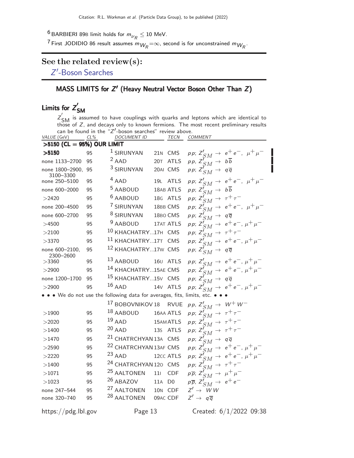$^6$ BARBIERI 89B limit holds for  $m_{\nu_R}^{}\leq 10$  MeV.

 $^7$ First JODIDIO 86 result assumes  $m_{W_R}{=}\infty$ , second is for unconstrained  $m_{W_R}{\cdot}$ 

# See the related review(s):

Z'[-Boson Searches](http://pdg.lbl.gov/2022/reviews/rpp2021-rev-zprime-searches.pdf)

## MASS LIMITS for  $Z'$  (Heavy Neutral Vector Boson Other Than  $Z$ )

#### Limits for  $Z'$ SM

 $Z'_{\text{SM}}$  is assumed to have couplings with quarks and leptons which are identical to<br>those of Z, and decays only to known fermions. The most recent preliminary results can be found in the " $Z'$ -boson searches" review above.

| VALUE (GeV)                     | $CL\%$ | <b>DOCUMENT ID</b>                                                        |          | TECN                 | <b>COMMENT</b>                                                                   |
|---------------------------------|--------|---------------------------------------------------------------------------|----------|----------------------|----------------------------------------------------------------------------------|
| $>5150$ (CL = 95%) OUR LIMIT    |        |                                                                           |          |                      |                                                                                  |
| >5150                           | 95     | <sup>1</sup> SIRUNYAN                                                     |          | 21N CMS              | pp; $Z'_{SM} \to e^+e^-$ , $\mu^+\mu^-$                                          |
| none 1133-2700                  | 95     | $2$ AAD                                                                   |          | 20T ATLS             | pp, $Z'_{SM} \rightarrow b\overline{b}$                                          |
| none 1800-2900, 95<br>3100-3300 |        | <sup>3</sup> SIRUNYAN                                                     |          | 20AI CMS             | pp; $Z_{SM}^{V} \rightarrow q\overline{q}$                                       |
| none 250-5100                   | 95     | $4$ AAD                                                                   |          | 19L ATLS             | pp; $Z'_{SM} \to e^+e^-$ , $\mu^+\mu^-$                                          |
| none 600-2000                   | 95     | <sup>5</sup> AABOUD                                                       |          | 18AB ATLS            | pp; $Z'_{SM} \rightarrow b\overline{b}$                                          |
| >2420                           | 95     | $6$ AABOUD                                                                |          | 18G ATLS             | pp; $Z'_{SM} \rightarrow \tau^+ \tau^-$                                          |
| none 200-4500                   | 95     | 7 SIRUNYAN                                                                |          | 18BB CMS             | pp; $Z_{SM}^{int} \rightarrow e^+e^-$ , $\mu^+\mu^-$                             |
| none 600-2700                   | 95     | <sup>8</sup> SIRUNYAN                                                     |          | 18BO CMS             | pp; $Z'_{SM} \rightarrow q\overline{q}$                                          |
| >4500                           | 95     | $9$ AABOUD                                                                |          | 17AT ATLS            | $\textit{pp; Z}'_{SM} \rightarrow \textit{e}^+\textit{e}^-, \mu^+\mu^-$          |
| >2100                           | 95     | <sup>10</sup> KHACHATRY17H CMS                                            |          |                      | pp; $Z'_{SM} \rightarrow \tau^+ \tau^-$                                          |
| >3370                           | 95     | 11 KHACHATRY17T CMS                                                       |          |                      | pp; $Z'_{SM} \to e^+e^-$ , $\mu^+\mu^-$                                          |
| none 600-2100,<br>2300-2600     | 95     | <sup>12</sup> KHACHATRY17W CMS                                            |          |                      | pp; $Z'_{SM} \rightarrow q\overline{q}$                                          |
| >3360                           | 95     | $13$ AABOUD                                                               |          | 160 ATLS             | $\textit{pp; Z}'_{SM} \rightarrow \textit{e}^+\textit{e}^-, \mu^+\mu^-$          |
| >2900                           | 95     | <sup>14</sup> KHACHATRY15AE CMS                                           |          |                      | pp; $Z_{SM}^{f} \to e^+e^-$ , $\mu^+\mu^-$                                       |
| none 1200-1700                  | 95     | <sup>15</sup> KHACHATRY15V CMS                                            |          |                      | pp; $Z'_{SM} \rightarrow q\overline{q}$                                          |
| $>$ 2900                        | 95     | $16$ AAD                                                                  |          | 14 <sub>V</sub> ATLS | $\label{eq:3.1} \rho\,p;\,Z'_{SM}\,\rightarrow\,\,e^+\,e^-\text{, }\mu^+\,\mu^-$ |
|                                 |        | • • We do not use the following data for averages, fits, limits, etc. • • |          |                      |                                                                                  |
|                                 |        | <sup>17</sup> BOBOVNIKOV 18 RVUE                                          |          |                      | pp, $Z'_{SM} \rightarrow W^+W^-$                                                 |
| $>$ 1900                        | 95     | $18$ AABOUD                                                               |          | 16AA ATLS            | pp; $Z'_{SM} \rightarrow \tau^+ \tau^-$                                          |
| >2020                           | 95     | $19$ AAD                                                                  |          | 15AM ATLS            | pp; $Z'_{SM} \rightarrow \tau^+\tau^-$                                           |
| >1400                           | 95     | $20$ AAD                                                                  |          | 13s ATLS             | pp; $Z'_{SM} \rightarrow \tau^+ \tau^-$                                          |
| >1470                           | 95     | <sup>21</sup> CHATRCHYAN 13A CMS                                          |          |                      | pp; $Z'_{SM} \rightarrow q\overline{q}$                                          |
| >2590                           | 95     | <sup>22</sup> CHATRCHYAN 13AF CMS                                         |          |                      | $\textit{pp; Z}'_{SM} \rightarrow \textit{e}^+\textit{e}^-, \mu^+\mu^-$          |
| >2220                           | 95     | $^{23}$ AAD                                                               |          | 12cc ATLS            | pp; $Z_{SM}^{T} \rightarrow e^+e^-, \mu^+\mu^-$                                  |
| >1400                           | 95     | <sup>24</sup> CHATRCHYAN 120 CMS                                          |          |                      | рр; $Z'_{SM} \rightarrow \tau^+ \tau^-$                                          |
| >1071                           | 95     | <sup>25</sup> AALTONEN                                                    | 111      | <b>CDF</b>           | $p\overline{p}$ ; $Z'_{SM} \rightarrow \mu^+\mu^-$                               |
| >1023                           | 95     | <sup>26</sup> ABAZOV                                                      | 11A D0   |                      | $p\overline{p}$ , $Z'_{SM} \rightarrow e^+e^-$                                   |
| none 247-544                    | 95     | <sup>27</sup> AALTONEN                                                    | 10N CDF  |                      | $Z' \rightarrow W W$                                                             |
| none 320-740                    | 95     | <sup>28</sup> AALTONEN                                                    | 09AC CDF |                      | $Z' \rightarrow q\overline{q}$                                                   |
|                                 |        |                                                                           |          |                      |                                                                                  |

https://pdg.lbl.gov Page 13 Created: 6/1/2022 09:38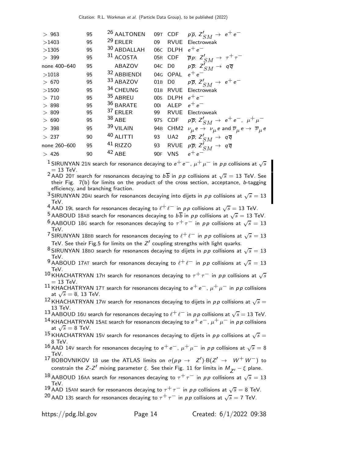| 95 | <sup>26</sup> AALTONEN |                 |                 | $p\overline{p}$ , $Z'_{SM} \rightarrow e^+e^-$                                                                 |
|----|------------------------|-----------------|-----------------|----------------------------------------------------------------------------------------------------------------|
| 95 | $29$ ERLER             | 09              |                 | Electroweak                                                                                                    |
| 95 | 30 ABDALLAH            |                 |                 | $e^+e^-$                                                                                                       |
| 95 | 31 ACOSTA              |                 |                 | $\overline{p}p: Z'_{SM} \rightarrow \tau^+\tau^-$                                                              |
| 95 | ABAZOV                 |                 |                 | $p\overline{p}$ : $Z'_{SM} \rightarrow q\overline{q}$                                                          |
| 95 | 32 ABBIENDI            |                 |                 | $e^+e^-$                                                                                                       |
| 95 | 33 ABAZOV              | 01 <sub>B</sub> |                 | $p\overline{p}$ , $Z'_{SM} \rightarrow e^+e^-$                                                                 |
| 95 | 34 CHEUNG              | 01B             |                 | Electroweak                                                                                                    |
| 95 | 35 ABREU               | 00 <sub>S</sub> | <b>DLPH</b>     | $e^+e^-$                                                                                                       |
| 95 | 36 BARATE              | 001             | <b>ALEP</b>     | $e^+e^-$                                                                                                       |
| 95 | 37 ERLER               | 99              | <b>RVUE</b>     | Electroweak                                                                                                    |
| 95 |                        | 97s             | CDF             | $p\overline{p}$ ; $Z'_{SM} \rightarrow e^+e^-$ , $\mu^+\mu^-$                                                  |
| 95 | 39 VILAIN              |                 |                 | 94B CHM2 $\nu_{\mu} e \rightarrow \nu_{\mu} e$ and $\overline{\nu}_{\mu} e \rightarrow \overline{\nu}_{\mu} e$ |
| 90 | 40 ALITTI              | 93              | UA <sub>2</sub> | $p\overline{p}$ ; $Z'_{SM} \rightarrow q\overline{q}$                                                          |
| 95 | 41 RIZZO               | 93              |                 | RVUE $p\overline{p}$ ; $Z'_{SM} \rightarrow q\overline{q}$                                                     |
| 90 | $42$ ABE               | 90F             | <b>VNS</b>      | $e^+e^-$                                                                                                       |
|    |                        | $38$ ABE        |                 | 09T CDF<br>RVUE<br>06C DLPH<br>05R CDF<br>04C D0<br>04G OPAL<br>D0<br>RVUE                                     |

 $^1$ SIRUNYAN 21N search for resonance decaying to  $e^+ \, e^-$ ,  $\mu^+ \, \mu^-$  in  $\rho \rho$  collisions at  $\sqrt{s}$  $= 13$  TeV.

 $^2$ AAD 20T search for resonances decaying to  $b\overline{b}$  in  $pp$  collisions at  $\sqrt{s} = 13$  TeV. See their Fig. 7(b) for limits on the product of the cross section, acceptance, b-tagging efficiency, and branching fraction.

3 SIRUNYAN 20AI search for resonances decaying into dijets in pp collisions at  $\sqrt{s} = 13$ TeV.

4 AAD 19L search for resonances decaying to  $\ell^+ \ell^-$  in pp collisions at  $\sqrt{s} = 13$  TeV.

 $^5$  AABOUD 18AB search for resonances decaying to  $b\overline{b}$  in  $\rho\overline{\rho}$  collisions at  $\sqrt{s}=13$  TeV.  $^6$  AABOUD 18G search for resonances decaying to  $\tau^+\tau^-$  in  $\rho\, \rho$  collisions at  $\sqrt{s}=13$ TeV.

<sup>7</sup> SIRUNYAN 18BB search for resonances decaying to  $\ell^+ \ell^-$  in pp collisions at  $\sqrt{s} = 13$ TeV. See their Fig.5 for limits on the  $Z'$  coupling strengths with light quarks.

<sup>8</sup> SIRUNYAN 18BO search for resonances decaying to dijets in pp collisions at  $\sqrt{s} = 13$ TeV.

9 AABOUD 17AT search for resonances decaying to  $\ell^+ \ell^-$  in pp collisions at  $\sqrt{s} = 13$ TeV.

10 KHACHATRYAN 17H search for resonances decaying to  $\tau^+\tau^-$  in pp collisions at  $\sqrt{s}$  $= 13$  TeV.

11 KHACHATRYAN 17T search for resonances decaying to  $e^+e^-$ ,  $\mu^+\mu^-$  in pp collisions at  $\sqrt{s} = 8$ , 13 TeV.

 $^{12}$ KHACHATRYAN 17W search for resonances decaying to dijets in  $\rho\, \rho$  collisions at  $\sqrt{s} =$ 13 TeV.

13 AABOUD 160 search for resonances decaying to  $\ell^+ \ell^-$  in pp collisions at  $\sqrt{s} = 13$  TeV.

<sup>14</sup> KHACHATRYAN 15AE search for resonances decaying to  $e^+e^-$ ,  $\mu^+\mu^-$  in pp collisions at  $\sqrt{s} = 8$  TeV.

 $^{15}$ KHACHATRYAN 15V search for resonances decaying to dijets in  $pp$  collisions at  $\sqrt{s}=$ 8 TeV.

16 AAD 14V search for resonances decaying to  $e^+e^-$ ,  $\mu^+\mu^-$  in pp collisions at  $\sqrt{s} = 8$ TeV.

<sup>17</sup> BOBOVNIKOV 18 use the ATLAS limits on  $\sigma(p \, p \to Z') \cdot B(Z' \to W^+ W^-)$  to constrain the Z-Z $^{\prime}$  mixing parameter  $\xi$ . See their Fig. 11 for limits in  $M_{\overline{Z}^{\prime}}-\xi$  plane.

 $^{18}$  AABOUD 16AA search for resonances decaying to  $\tau^+\tau^-$  in  $\rho\rho$  collisions at  $\sqrt{s}=13$ TeV.

- 19 AAD 15AM search for resonances decaying to  $\tau^+\tau^-$  in pp collisions at  $\sqrt{s} = 8$  TeV.
- $^{20}$  AAD 13S search for resonances decaying to  $\tau^+\tau^-$  in  $\rho\, \rho$  collisions at  $\sqrt{s}=$  7 TeV.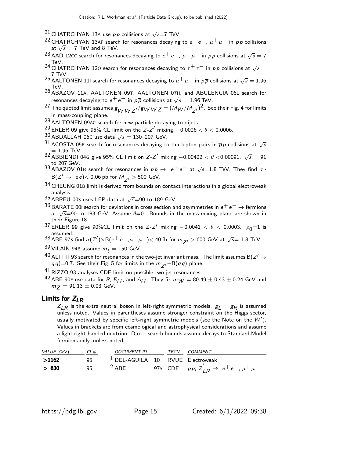- <sup>21</sup> CHATRCHYAN 13A use  $p \, p$  collisions at  $\sqrt{s}$ =7 TeV.
- <sup>22</sup> CHATRCHYAN 13AF search for resonances decaying to  $e^+e^-$ ,  $\mu^+\mu^-$  in pp collisions at  $\sqrt{s} = 7$  TeV and 8 TeV.
- $^{23}$  AAD 12CC search for resonances decaying to  $e^+ \, e^-$ ,  $\mu^+ \, \mu^-$  in  $\rho \rho$  collisions at  $\sqrt{s} = 7$ TeV.
- <sup>24</sup> CHATRCHYAN 120 search for resonances decaying to  $\tau^+\tau^-$  in pp collisions at  $\sqrt{s} =$ 7 TeV.
- <sup>25</sup> AALTONEN 111 search for resonances decaying to  $\mu^+ \mu^-$  in  $\rho \overline{\rho}$  collisions at  $\sqrt{s} = 1.96$ TeV.
- 26 ABAZOV 11A, AALTONEN 09T, AALTONEN 07H, and ABULENCIA 06<sup>L</sup> search for resonances decaying to  $e^+ \, e^-$  in  $\rho \overline{\rho}$  collisions at  $\sqrt{s} = 1.96$  TeV.
- $^{27}$  The quoted limit assumes  $g_{WW\,Z'}/g_{WW\,Z}=(M_W/M_{Z'})^2$ . See their Fig. 4 for limits in mass-coupling plane.
- 28 AALTONEN 09AC search for new particle decaying to dijets.
- $^{29}$  ERLER 09 give 95% CL limit on the Z-Z $^{\prime}$  mixing  $-0.0026 < \theta < 0.0006$ .
- $30$  ABDALLAH 06C use data  $\sqrt{s} = 130-207$  GeV.
- $^{31}$  ACOSTA 05R search for resonances decaying to tau lepton pairs in  $\overline{p}$ p collisions at  $\sqrt{s}$  $= 1.96$  TeV.
- 32 ABBIENDI 04G give 95% CL limit on  $Z-Z'$  mixing  $-0.00422 < \theta < 0.00091$ .  $\sqrt{s} = 91$
- to 207 GeV.<br><sup>33</sup> ABAZOV 01B search for resonances in  $p\overline{p} \to e^+e^-$  at  $\sqrt{s}$ =1.8 TeV. They find  $\sigma \cdot$  $\mathsf{B}(Z'\rightarrow~$ ee) $<$  0.06 pb for  $M_{\overline{Z}'}$   $>$  500 GeV.
- 34 CHEUNG 01B limit is derived from bounds on contact interactions in a global electroweak analysis.
- $35$  ABREU 00S uses LEP data at  $\sqrt{s}$ =90 to 189 GeV.
- $^{36}$  BARATE 00I search for deviations in cross section and asymmetries in  $e^+$   $e^ \rightarrow$  fermions at  $\sqrt{s}$ =90 to 183 GeV. Assume  $\theta$ =0. Bounds in the mass-mixing plane are shown in their Figure 18.
- <sup>37</sup> ERLER 99 give 90%CL limit on the *Z-Z'* mixing  $-0.0041 < \theta < 0.0003$ .  $\rho_0=1$  is assumed.
- 38 ABE 97S find  $\sigma(Z') \times B(e^+e^-, \mu^+ \mu^-)$  < 40 fb for  $m_{Z'} > 600$  GeV at  $\sqrt{s}$  = 1.8 TeV.
- $39$  VILAIN 94B assume  $m_t = 150$  GeV.

 $^{40}$  ALITTI 93 search for resonances in the two-jet invariant mass. The limit assumes B( $Z' \rightarrow$  $q\overline{q}$ )=0.7. See their Fig. 5 for limits in the  $m_{z}$ ′−B( $q\overline{q}$ ) plane.

 $^{41}$  RIZZO 93 analyses CDF limit on possible two-jet resonances.

 $^{42}$  ABE 90F use data for R,  $R_{\ell\ell}$ , and  $A_{\ell\ell}$ . They fix  $m_W = 80.49 \pm 0.43 \pm 0.24$  GeV and  $m_Z = 91.13 \pm 0.03$  GeV.

## Limits for  $Z_{LR}$

 $Z_{LR}$  is the extra neutral boson in left-right symmetric models.  $g_L = g_R$  is assumed unless noted. Values in parentheses assume stronger constraint on the Higgs sector, usually motivated by specific left-right symmetric models (see the Note on the  $W'$ ). Values in brackets are from cosmological and astrophysical considerations and assume a light right-handed neutrino. Direct search bounds assume decays to Standard Model fermions only, unless noted.

| <i>VALUE</i> (GeV) | $CL\%$ | <i>DOCUMENT ID</i>                          | TECN | <i>COMMENT</i>                                                        |
|--------------------|--------|---------------------------------------------|------|-----------------------------------------------------------------------|
| >1162              | 95.    | <sup>1</sup> DEL-AGUILA 10 RVUE Electroweak |      |                                                                       |
| > 630              | 95     | $2$ ABE                                     |      | 975 CDF $p\overline{p}$ ; $Z'_{IR} \rightarrow e^+e^-$ , $\mu^+\mu^-$ |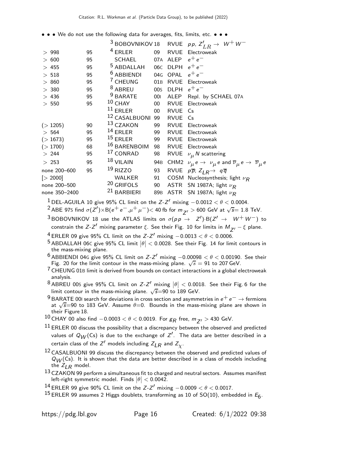• • • We do not use the following data for averages, fits, limits, etc. • • •

|               |    |                             |                 |                   | <sup>3</sup> BOBOVNIKOV 18 RVUE <i>pp</i> , $Z'_{LR} \rightarrow W^+W^-$                                   |
|---------------|----|-----------------------------|-----------------|-------------------|------------------------------------------------------------------------------------------------------------|
| >998          | 95 | $4$ ERLER                   | 09              |                   | RVUE Electroweak                                                                                           |
| > 600         | 95 | SCHAEL                      |                 | 07A ALEP          | $e^+e^-$                                                                                                   |
| >455          | 95 | <sup>5</sup> ABDALLAH       |                 | 06C DLPH $e^+e^-$ |                                                                                                            |
| > 518         | 95 | $6$ ABBIENDI                |                 | 04G OPAL $e^+e^-$ |                                                                                                            |
| > 860         | 95 | <sup>7</sup> CHEUNG         | 01B             |                   | RVUE Electroweak                                                                                           |
| > 380         | 95 | <sup>8</sup> ABREU          | 00S             |                   | DLPH $e^+e^-$                                                                                              |
| > 436         | 95 | <sup>9</sup> BARATE         | 001             | <b>ALEP</b>       | Repl. by SCHAEL 07A                                                                                        |
| $>550$        | 95 | $10$ CHAY                   | 00 <sup>1</sup> | <b>RVUE</b>       | Electroweak                                                                                                |
|               |    | $11$ ERLER                  | $00\,$          | RVUE              | Cs                                                                                                         |
|               |    | <sup>12</sup> CASALBUONI 99 |                 | <b>RVUE</b>       | Cs                                                                                                         |
| (>1205)       | 90 | <sup>13</sup> CZAKON        | 99              | <b>RVUE</b>       | Electroweak                                                                                                |
| >564          | 95 | $14$ ERLER                  | 99              | <b>RVUE</b>       | Electroweak                                                                                                |
| (>1673)       | 95 | $15$ ERLER                  | 99              |                   | <b>RVUE</b> Electroweak                                                                                    |
| (>1700)       | 68 | $^{16}$ BARENBOIM           | 98              |                   | <b>RVUE</b> Electroweak                                                                                    |
| > 244         | 95 | <sup>17</sup> CONRAD        | 98              |                   | RVUE $\nu_{\mu} N$ scattering                                                                              |
| > 253         | 95 | $18$ VILAIN                 | 94B             |                   | CHM2 $\nu_{\mu} e \rightarrow \nu_{\mu} e$ and $\overline{\nu}_{\mu} e \rightarrow \overline{\nu}_{\mu} e$ |
| none 200-600  | 95 | $19$ RIZZO                  | 93              |                   | RVUE $p\overline{p}$ ; $Z_{IR} \rightarrow q\overline{q}$                                                  |
| [> 2000]      |    | <b>WALKER</b>               | 91              |                   | COSM Nucleosynthesis; light $\nu_R$                                                                        |
| none 200-500  |    | <sup>20</sup> GRIFOLS       | 90              |                   | ASTR SN 1987A; light $\nu_R$                                                                               |
| none 350-2400 |    | <sup>21</sup> BARBIERI      | 89 <sub>B</sub> |                   | ASTR SN 1987A; light $\nu_R$                                                                               |

1 DEL-AGUILA 10 give 95% CL limit on the Z-Z' mixing  $-0.0012 < \theta < 0.0004$ .

 $^2$ ABE 97s find  $\sigma(\bar{Z'})\times B(e^+e^-, \mu^+\mu^-)$ < 40 fb for  $m_{\bar{Z'}}$   $>$  600 GeV at  $\sqrt{s}=$  1.8 TeV.

 $^3$ BOBOVNIKOV 18 use the ATLAS limits on  $\sigma(p \, \rho \, \rightarrow \, Z') \cdot B(Z' \, \rightarrow \, W^+ \, W^-)$  to constrain the Z-Z $^{\prime}$  mixing parameter  $\xi$ . See their Fig. 10 for limits in  $M_{\overline{Z}^{\prime}}-\xi$  plane.

 $^4$  ERLER 09 give 95% CL limit on the Z-Z $^\prime$  mixing  $-0.0013 < \theta < 0.0006$ .

 $^5$  ABDALLAH 06C give 95% CL limit  $|\theta| < 0.0028$ . See their Fig. 14 for limit contours in the mass-mixing plane.

<sup>6</sup> ABBIENDI 04G give 95% CL limit on Z-Z' mixing  $-0.00098 < \theta < 0.00190$ . See their Fig. 20 for the limit contour in the mass-mixing plane.  $\sqrt{s} = 91$  to 207 GeV.

7 CHEUNG 01<sup>B</sup> limit is derived from bounds on contact interactions in a global electroweak analysis.

 $^8$ ABREU 00S give 95% CL limit on Z-Z' mixing  $|\theta| <$  0.0018. See their Fig. 6 for the limit contour in the mass-mixing plane.  $\sqrt{s}$ =90 to 189 GeV.

 $^9$  BARATE 00I search for deviations in cross section and asymmetries in  $e^+e^-\rightarrow$  fermions at  $\sqrt{s}$ =90 to 183 GeV. Assume  $\theta$ =0. Bounds in the mass-mixing plane are shown in their Figure 18.

 $^{10}$  CHAY 00 also find  $-0.0003 < \theta < 0.0019$ . For  $g_R$  free,  $m_{Z'} >$  430 GeV.

- $11$  ERLER 00 discuss the possibility that a discrepancy between the observed and predicted values of  $Q_{\hbox{\scriptsize \rm $W$}}({\sf Cs})$  is due to the exchange of  $Z'.$  The data are better described in a certain class of the  $Z^\prime$  models including  $Z_{\c L R}$  and  $Z_{\chi}$ .
- <sup>12</sup> CASALBUONI 99 discuss the discrepancy between the observed and predicted values of  $Q_W$ (Cs). It is shown that the data are better described in a class of models including the  $Z_{LR}$  model.
- $13$  CZAKON 99 perform a simultaneous fit to charged and neutral sectors. Assumes manifest Left-right symmetric model. Finds  $|\theta| < 0.0042$ .
- $^{14}$  ERLER 99 give 90% CL limit on the Z-Z $^{\prime}$  mixing  $-0.0009 < \theta < 0.0017$ .
- $^{15}$  ERLER 99 assumes 2 Higgs doublets, transforming as 10 of SO(10), embedded in  $E_6$ .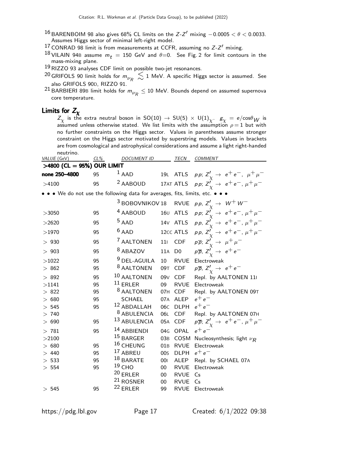- 16 BARENBOIM 98 also gives 68% CL limits on the Z-Z' mixing  $-0.0005 < \theta < 0.0033$ . Assumes Higgs sector of minimal left-right model.
- $17$  CONRAD 98 limit is from measurements at CCFR, assuming no  $Z-Z'$  mixing.
- 18 VILAIN 94B assume  $m_t = 150$  GeV and  $\theta = 0$ . See Fig. 2 for limit contours in the mass-mixing plane.
- 19RIZZO 93 analyses CDF limit on possible two-jet resonances.
- <sup>20</sup> GRIFOLS 90 limit holds for  $m_{\nu_R} \lesssim 1$  MeV. A specific Higgs sector is assumed. See also GRIFOLS 90D, RIZZO 91.
- $^{21}$  BARBIERI 89B limit holds for  $m_{\nu_R}^{} \leq$  10 MeV. Bounds depend on assumed supernova core temperature.

### Limits for  $Z_{\chi}$

 $Z_\chi$  is the extra neutral boson in SO(10)  $\to$  SU(5)  $\times$  U(1) $_\chi$ .  $\rm \, g_\chi$   $=$  e/cos $\rm \theta_W$  is assumed unless otherwise stated. We list limits with the assumption  $\rho=1$  but with no further constraints on the Higgs sector. Values in parentheses assume stronger constraint on the Higgs sector motivated by superstring models. Values in brackets are from cosmological and astrophysical considerations and assume a light right-handed neutrino.

| VALUE (GeV)                | $CL\%$ | <b>DOCUMENT ID</b>                                                          |                 | <b>TECN</b>    | <b>COMMENT</b>                                                    |
|----------------------------|--------|-----------------------------------------------------------------------------|-----------------|----------------|-------------------------------------------------------------------|
| >4800 (CL = 95%) OUR LIMIT |        |                                                                             |                 |                |                                                                   |
| none 250-4800              | 95     | $1$ AAD                                                                     |                 |                | 19L ATLS $pp; Z'_{\gamma} \to e^+e^-$ , $\mu^+\mu^-$              |
| >4100                      | 95     | <sup>2</sup> AABOUD                                                         |                 |                | 17AT ATLS $pp: Z'_{\gamma} \rightarrow e^+e^-, \mu^+\mu^-$        |
|                            |        | • • We do not use the following data for averages, fits, limits, etc. • • • |                 |                |                                                                   |
|                            |        | <sup>3</sup> BOBOVNIKOV 18                                                  |                 | <b>RVUE</b>    | pp, $Z'_{\gamma} \rightarrow W^{+}W^{-}$                          |
| >3050                      | 95     | <sup>4</sup> AABOUD                                                         |                 | 160 ATLS       | $pp; Z'_{\chi} \rightarrow e^+e^-, \mu^+\mu^-$                    |
| >2620                      | 95     | $5$ AAD                                                                     |                 | 14V ATLS       | pp, $Z'_{\gamma} \rightarrow e^+e^-, \mu^+\mu^-$                  |
| >1970                      | 95     | $6$ AAD                                                                     |                 | 12cc ATLS      | $pp, Z'_{\gamma} \rightarrow e^+e^-, \mu^+\mu^-$                  |
| >930                       | 95     | <sup>7</sup> AALTONEN                                                       | 111             | <b>CDF</b>     | $p\overline{p}$ ; $Z'_{\chi} \rightarrow \mu^+ \mu^-$             |
| >903                       | 95     | <sup>8</sup> ABAZOV                                                         | 11A             | D <sub>0</sub> | $p\overline{p}$ , $Z'_{\gamma} \rightarrow e^+e^-$                |
| >1022                      | 95     | <sup>9</sup> DEL-AGUILA                                                     | 10              | <b>RVUE</b>    | Electroweak                                                       |
| >862                       | 95     | <sup>8</sup> AALTONEN                                                       | 09T             | CDF            | $p\overline{p}$ , $Z'_{\gamma} \rightarrow e^+e^-$                |
| >892                       | 95     | 10 AALTONEN                                                                 | 09 <sub>V</sub> | <b>CDF</b>     | Repl. by AALTONEN 11                                              |
| >1141                      | 95     | $11$ ERLER                                                                  | 09              | <b>RVUE</b>    | Electroweak                                                       |
| > 822                      | 95     | <sup>8</sup> AALTONEN                                                       | 07H             | <b>CDF</b>     | Repl. by AALTONEN 09T                                             |
| > 680                      | 95     | <b>SCHAEL</b>                                                               | 07A             | ALEP           | $e^+e^-$                                                          |
| > 545                      | 95     | 12 ABDALLAH                                                                 | 06C             | <b>DLPH</b>    | $e^+e^-$                                                          |
| >740                       |        | 8 ABULENCIA                                                                 | 06L             | <b>CDF</b>     | Repl. by AALTONEN 07H                                             |
| > 690                      | 95     | 13 ABULENCIA                                                                | 05A             | <b>CDF</b>     | $p\overline{p}$ ; $Z'_{\gamma} \rightarrow e^+e^-$ , $\mu^+\mu^-$ |
| > 781                      | 95     | 14 ABBIENDI                                                                 | 04 <sub>G</sub> | OPAL           | —م+م                                                              |
| >2100                      |        | <sup>15</sup> BARGER                                                        | 03B             | COSM           | Nucleosynthesis; light $\nu_R$                                    |
| > 680                      | 95     | 16 CHEUNG                                                                   | 01B             | <b>RVUE</b>    | Electroweak                                                       |
| >440                       | 95     | 17 ABREU                                                                    | 00s             | <b>DLPH</b>    | $e^+e^-$                                                          |
| > 533                      | 95     | $18$ BARATE                                                                 | 001             | ALEP           | Repl. by SCHAEL 07A                                               |
| > 554                      | 95     | $19$ CHO                                                                    | $00\,$          | <b>RVUE</b>    | Electroweak                                                       |
|                            |        | $20$ ERLER                                                                  | 00              | <b>RVUE</b>    | Cs                                                                |
|                            |        | $21$ ROSNER                                                                 | 00              | <b>RVUE</b>    | Cs                                                                |
| > 545                      | 95     | $22$ ERLER                                                                  | 99              | <b>RVUE</b>    | Electroweak                                                       |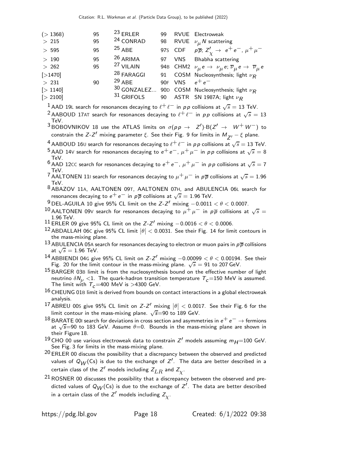| $23$ ERLER<br>( > 1368)<br>95<br>99                            | RVUE Electroweak                                                                                             |
|----------------------------------------------------------------|--------------------------------------------------------------------------------------------------------------|
| <sup>24</sup> CONRAD<br>$>215$<br>95<br>98                     | RVUE $\nu_{\mu} N$ scattering                                                                                |
| $25$ ABE<br>>595<br>95                                         | 975 CDF $p\overline{p}$ ; $Z'_{\sqrt{2}} \rightarrow e^+e^-$ , $\mu^+\mu^-$                                  |
| $26$ ARIMA<br>95<br>>190<br>97                                 | VNS Bhabha scattering                                                                                        |
| <sup>27</sup> VILAIN<br>95<br>> 262                            | 94B CHM2 $\nu_{\mu} e \rightarrow \nu_{\mu} e$ ; $\overline{\nu}_{\mu} e \rightarrow \overline{\nu}_{\mu} e$ |
| <sup>28</sup> FARAGGI<br>[>1470]                               | 91 COSM Nucleosynthesis; light $\nu_R$                                                                       |
| $29$ ABE<br>90F VNS $e^+e^-$<br>$>231$<br>90                   |                                                                                                              |
| 30 GONZALEZ 90D COSM Nucleosynthesis; light $\nu_R$<br>[>1140] |                                                                                                              |
| $31$ GRIFOLS<br>[> 2100]                                       | 90 ASTR SN 1987A; light $\nu_R$                                                                              |

 $^1$  AAD 19L search for resonances decaying to  $\ell^+\ell^-$  in  $\rho\, \rho$  collisions at  $\sqrt{s}=$  13 TeV.

<sup>2</sup> AABOUD 17AT search for resonances decaying to  $\ell^+\ell^-$  in pp collisions at  $\sqrt{s}=13$ TeV.

 $^3$ BOBOVNIKOV 18 use the ATLAS limits on  $\sigma(p \, p \, \rightarrow \, Z') \cdot B(Z' \rightarrow \, W^+ \, W^-)$  to constrain the Z-Z $^{\prime}$  mixing parameter  $\xi$ . See their Fig. 9 for limits in  $M_{\overline{Z}^{\prime}}-\xi$  plane.

 $^4$  AABOUD 16U search for resonances decaying to  $\ell^+\, \ell^-$  in  $\rho\, \rho$  collisions at  $\sqrt{s}=$  13 TeV.

- $^5$  AAD 14V search for resonances decaying to  $e^+ \, e^-$ ,  $\mu^+ \, \mu^-$  in  $\rho \, p$  collisions at  $\sqrt{s} = 8$ TeV.
- $^6$  AAD 12CC search for resonances decaying to  $e^+e^-, \mu^+\mu^-$  in pp collisions at  $\sqrt{s} = 7$ TeV.

<sup>7</sup> AALTONEN 111 search for resonances decaying to  $\mu^+ \mu^-$  in  $\rho \overline{\rho}$  collisions at  $\sqrt{s} = 1.96$ TeV.

- 8 ABAZOV 11A, AALTONEN 09T, AALTONEN 07H, and ABULENCIA 06<sup>L</sup> search for resonances decaying to  $e^+ \, e^-$  in  $\rho \overline{\rho}$  collisions at  $\sqrt{s} = 1.96$  TeV.
- $\frac{9}{10}$  DEL-AGUILA 10 give 95% CL limit on the Z-Z $^{\prime}$  mixing  $-0.0011 < \theta < 0.0007$ .
- 10 AALTONEN 09V search for resonances decaying to  $\mu^+ \mu^-$  in  $p\overline{p}$  collisions at  $\sqrt{s} =$ 1.96 TeV.
- <sup>11</sup> ERLER 09 give 95% CL limit on the *Z-Z'* mixing  $-0.0016 < \theta < 0.0006$ .
- 12 ABDALLAH 06C give 95% CL limit  $|\theta| < 0.0031$ . See their Fig. 14 for limit contours in the mass-mixing plane.
- 13 ABULENCIA 05A search for resonances decaying to electron or muon pairs in  $p\overline{p}$  collisions at  $\sqrt{s} = 1.96$  TeV.
- <sup>14</sup> ABBIENDI 04G give 95% CL limit on  $Z-Z'$  mixing  $-0.00099 < \theta < 0.00194$ . See their Fig. 20 for the limit contour in the mass-mixing plane.  $\sqrt{s} = 91$  to 207 GeV.
- $15$  BARGER 03B limit is from the nucleosynthesis bound on the effective number of light neutrino  $\delta N_{\nu}$  <1. The quark-hadron transition temperature  $T_c$  =150 MeV is assumed. The limit with  $T_c = 400$  MeV is >4300 GeV.
- $16$  CHEUNG 01B limit is derived from bounds on contact interactions in a global electroweak analysis.
- $^{17}$  ABREU 00S give 95% CL limit on Z-Z $^\prime$  mixing  $\left|\theta\right| <$  0.0017. See their Fig. 6 for the limit contour in the mass-mixing plane.  $\sqrt{s}$ =90 to 189 GeV.
- $18$  BARATE 00I search for deviations in cross section and asymmetries in  $e^+e^-\rightarrow$  fermions at  $\sqrt{s}$ =90 to 183 GeV. Assume  $\theta$ =0. Bounds in the mass-mixing plane are shown in their Figure 18.
- <sup>19</sup> CHO 00 use various electroweak data to constrain Z' models assuming  $m_{H}$ =100 GeV. See Fig. 3 for limits in the mass-mixing plane.
- $20$  ERLER 00 discuss the possibility that a discrepancy between the observed and predicted values of  $Q_{\hbox{\scriptsize \rm $W$}}({\sf Cs})$  is due to the exchange of  $Z'.$  The data are better described in a certain class of the  $Z^\prime$  models including  $Z_{LR}$  and  $Z_{\chi}$ .
- 21 ROSNER 00 discusses the possibility that a discrepancy between the observed and predicted values of  $Q_{\mathcal{W}}(\mathsf{Cs})$  is due to the exchange of  $\mathsf{Z}^{\prime}.$  The data are better described in a certain class of the  $\mathsf{Z}^\prime$  models including  $\mathsf{Z}_{\chi}^{}$  .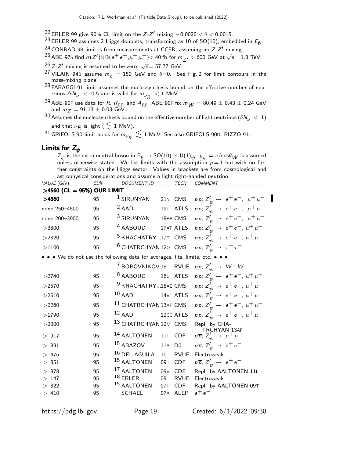- <sup>22</sup> ERLER 99 give 90% CL limit on the *Z-Z'* mixing  $-0.0020 < \theta < 0.0015$ .
- $^{23}$  ERLER 99 assumes 2 Higgs doublets, transforming as 10 of SO(10), embedded in  $E_6$ .
- <sup>24</sup> CONRAD 98 limit is from measurements at CCFR, assuming no  $Z-Z'$  mixing.

 $^{25}$  ABE 97s find  $\sigma(Z') \times B(e^+e^-, \mu^+ \mu^-) <$  40 fb for  $m_{Z'} > 600$  GeV at  $\sqrt{s} = 1.8$  TeV.

 $^{26}$  Z-Z $^{\prime}$  mixing is assumed to be zero.  $\sqrt{s}$ = 57.77 GeV.

- <sup>27</sup> VILAIN 94B assume  $m_t = 150$  GeV and  $\theta = 0$ . See Fig. 2 for limit contours in the mass-mixing plane.
- 28 FARAGGI 91 limit assumes the nucleosynthesis bound on the effective number of neutrinos  $\Delta N^{}_{\nu} \ < \ 0.5$  and is valid for  $m^{}_{\nu_R} \ < 1$  MeV.
- <sup>29</sup> ABE 90F use data for R,  $R_{\ell,\ell}$ , and  $A_{\ell,\ell}$ . ABE 90F fix  $m_W = 80.49 \pm 0.43 \pm 0.24$  GeV and  $m_Z = 91.13 \pm 0.03$  GeV.
- 30 Assumes the nucleosynthesis bound on the effective number of light neutrinos  $(\delta N_{\nu} < 1)$ and that  $\nu_R$  is light (  $\lesssim$  1 MeV).

 $^{31}$ GRIFOLS 90 limit holds for  $m_{\nu_R}^{} \lesssim$  1 MeV. See also GRIFOLS 90D, RIZZO 91.

### Limits for  $Z_\psi$

 $Z_\psi$  is the extra neutral boson in  $\mathsf{E}_6\to\mathsf{SO}(10)\times\mathsf{U}(1)_\psi.$   $\mathcal{g}_\psi=e/\mathsf{cos}\theta_W$  is assumed unless otherwise stated. We list limits with the assumption  $\rho = 1$  but with no further constraints on the Higgs sector. Values in brackets are from cosmological and astrophysical considerations and assume a light right-handed neutrino. DOCUMENT ID

| <i>VALUE</i> (GeV)           | CL% | DOCUMENT ID                                                                                                                   |                 | <b>IECN</b>    | <b>COMMENT</b>                                                        |
|------------------------------|-----|-------------------------------------------------------------------------------------------------------------------------------|-----------------|----------------|-----------------------------------------------------------------------|
| $>4560$ (CL = 95%) OUR LIMIT |     |                                                                                                                               |                 |                |                                                                       |
| >4560                        | 95  | <sup>1</sup> SIRUNYAN                                                                                                         |                 | 21N CMS        | pp; $Z'_{\psi} \rightarrow e^+e^-$ , $\mu^+\mu^-$                     |
| none 250-4500                | 95  | $2$ AAD                                                                                                                       |                 | 19L ATLS       | pp; $Z'_{\psi} \to e^+e^-$ , $\mu^+\mu^-$                             |
| none 200-3900                | 95  | <sup>3</sup> SIRUNYAN                                                                                                         |                 | 18BB CMS       | <i>pp</i> ; $Z'_{\psi} \rightarrow e^+e^-$ , $\mu^+\mu^-$             |
| >3800                        | 95  | <sup>4</sup> AABOUD                                                                                                           |                 | 17AT ATLS      | pp; $Z'_{\psi} \rightarrow e^+e^-$ , $\mu^+\mu^-$                     |
| >2820                        | 95  | <sup>5</sup> KHACHATRY17T CMS                                                                                                 |                 |                | pp; $Z'_{\psi} \to e^+e^-$ , $\mu^+\mu^-$                             |
| >1100                        | 95  | <sup>6</sup> CHATRCHYAN 120 CMS                                                                                               |                 |                | pp, $Z'_{ij} \rightarrow \tau^+ \tau^-$                               |
|                              |     | $\bullet$ $\bullet$ $\bullet$ We do not use the following data for averages, fits, limits, etc. $\bullet$ $\bullet$ $\bullet$ |                 |                |                                                                       |
|                              |     | <sup>7</sup> BOBOVNIKOV 18 RVUE                                                                                               |                 |                | pp, $Z'_{\psi} \rightarrow W^+ W^-$                                   |
| >2740                        | 95  | <sup>8</sup> AABOUD                                                                                                           |                 | 160 ATLS       | pp; $Z'_{\psi} \to e^+e^-$ , $\mu^+\mu^-$                             |
| >2570                        | 95  | <sup>9</sup> KHACHATRY15AE CMS                                                                                                |                 |                | pp; $Z'_{\psi} \to e^+e^-$ , $\mu^+\mu^-$                             |
| >2510                        | 95  | $10$ AAD                                                                                                                      |                 | 14V ATLS       | pp, $Z'_{\psi} \rightarrow e^+e^-, \mu^+\mu^-$                        |
| >2260                        | 95  | <sup>11</sup> CHATRCHYAN 13AF CMS                                                                                             |                 |                | $p p, Z'_{\psi} \rightarrow e^+ e^-, \mu^+ \mu^-$                     |
| >1790                        | 95  | $12$ AAD                                                                                                                      |                 | 12cc ATLS      | pp, $Z'_{\psi} \to e^+e^-$ , $\mu^+\mu^-$                             |
| >2000                        | 95  | 13 CHATRCHYAN 12M CMS                                                                                                         |                 |                | Repl. by CHA-                                                         |
| > 917                        | 95  | 14 AALTONEN                                                                                                                   | 111             | <b>CDF</b>     | TRCHYAN 13AF<br>$p\overline{p}$ ; $Z'_{\psi} \rightarrow \mu^+ \mu^-$ |
| >891                         | 95  | <sup>15</sup> ABAZOV                                                                                                          | 11A             | D <sub>0</sub> | $p\overline{p}$ , $Z'_{\psi} \rightarrow e^+e^-$                      |
| >476                         | 95  | 16 DEL-AGUILA                                                                                                                 | 10              | <b>RVUE</b>    | Electroweak                                                           |
| >851                         | 95  | <sup>15</sup> AALTONEN                                                                                                        | 09T             | <b>CDF</b>     | $p\overline{p}$ , $Z'_{\psi} \rightarrow e^+e^-$                      |
| > 878                        | 95  | <sup>17</sup> AALTONEN                                                                                                        | 09 <sub>V</sub> | <b>CDF</b>     | Repl. by AALTONEN 11                                                  |
| >147                         | 95  | $18$ ERLER                                                                                                                    | 09              | <b>RVUE</b>    | Electroweak                                                           |
| > 822                        | 95  | <sup>15</sup> AALTONEN                                                                                                        | 07H             | <b>CDF</b>     | Repl. by AALTONEN 09T                                                 |
| >410                         | 95  | <b>SCHAEL</b>                                                                                                                 |                 | 07A ALEP       | $e^+e^-$                                                              |
|                              |     |                                                                                                                               |                 |                |                                                                       |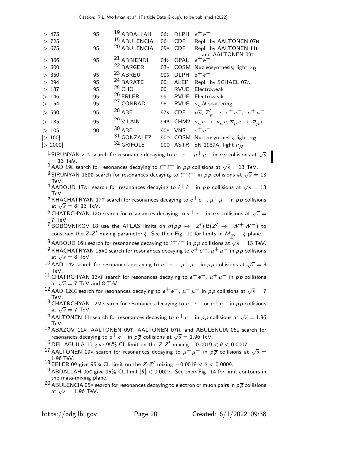| >475<br>> 725<br>> 675 | 95<br>95 | 19 ABDALLAH<br>15 ABULENCIA<br>20 ABULENCIA    | 06C<br>06L<br>05A | <b>DLPH</b><br><b>CDF</b><br><b>CDF</b> | $e^+e^-$<br>Repl. by AALTONEN 07H<br>Repl. by AALTONEN 11<br>and AALTONEN 09T                         |
|------------------------|----------|------------------------------------------------|-------------------|-----------------------------------------|-------------------------------------------------------------------------------------------------------|
| > 366<br>> 600         | 95       | <sup>21</sup> ABBIENDI<br><sup>22</sup> BARGER | 04G<br>03B        | <b>OPAL</b><br>COSM                     | $e^+e^-$<br>Nucleosynthesis; light $\nu_R$                                                            |
| >350                   | 95       | <sup>23</sup> ABREU                            | 00 <sub>S</sub>   | <b>DLPH</b>                             | $e^+e^-$                                                                                              |
| > 294                  | 95       | <sup>24</sup> BARATE                           | 001               | ALEP                                    | Repl. by SCHAEL 07A                                                                                   |
| >137                   | 95       | $25$ CHO                                       | 00                | <b>RVUE</b>                             | Electroweak                                                                                           |
| $>146$                 | 95       | $26$ ERLER                                     | 99                | <b>RVUE</b>                             | Electroweak                                                                                           |
| > 54                   | 95       | <sup>27</sup> CONRAD                           | 98                | RVUE                                    | $\nu_{\mu}$ N scattering                                                                              |
| > 590                  | 95       | $28$ ABE                                       | 97s               | CDF                                     | $p\overline{p}$ ; $Z_{\psi}^{\prime} \rightarrow e^+e^-$ , $\mu^+\mu^-$                               |
| >135                   | 95       | <sup>29</sup> VILAIN                           | 94B               |                                         | CHM2 $\nu_{\mu} e \rightarrow \nu_{\mu} e; \overline{\nu}_{\mu} e \rightarrow \overline{\nu}_{\mu} e$ |
| >105                   | 90       | $30$ ABE                                       | 90F               | <b>VNS</b>                              | $e^+e^-$                                                                                              |
| [>160]                 |          | $31$ GONZALEZ                                  | 90 <sub>D</sub>   |                                         | COSM Nucleosynthesis; light $\nu_R$                                                                   |
| [> 2000]               |          | 32 GRIFOLS                                     |                   |                                         | 90D ASTR SN 1987A; light $\nu_R$                                                                      |
|                        |          |                                                |                   |                                         |                                                                                                       |

 $^1$ SIRUNYAN 21N search for resonance decaying to  $e^+ \, e^-$ ,  $\mu^+ \, \mu^-$  in  $\rho \rho$  collisions at  $\sqrt{s}$ 

 $=$  13 TeV.<br><sup>2</sup> AAD 19L search for resonances decaying to  $\ell^+ \ell^-$  in  $\rho \rho$  collisions at  $\sqrt{s} =$  13 TeV.

 $^3$ SIRUNYAN 18BB search for resonances decaying to  $\ell^+\ell^-$  in  $\rho\,p$  collisions at  $\sqrt{s}=13$ TeV.

4 AABOUD 17AT search for resonances decaying to  $\ell^+\ell^-$  in pp collisions at  $\sqrt{s} = 13$ TeV.

<sup>5</sup> KHACHATRYAN 17T search for resonances decaying to  $e^+e^-$ ,  $\mu^+\mu^-$  in pp collisions at  $\sqrt{s} = 8$ , 13 TeV.

- <sup>6</sup> CHATRCHYAN 120 search for resonances decaying to  $\tau^+\tau^-$  in  $\rho\,p$  collisions at  $\sqrt{s}=$ 7 TeV.
- <sup>7</sup> BOBOVNIKOV 18 use the ATLAS limits on  $\sigma(p \, p \, \rightarrow \, Z') \cdot B(Z' \rightarrow \, W^+ \, W^-)$  to constrain the Z-Z $^\prime$  mixing parameter  $\xi$ . See their Fig. 10 for limits in  $M_{\overline{Z}^\prime} - \xi$  plane.

 $^8$  AABOUD 16 $\scriptstyle\rm U$  search for resonances decaying to  $\ell^+\, \ell^-$  in  $\rho\, \rho$  collisions at  $\sqrt{s}=$  13 TeV.

<sup>9</sup> KHACHATRYAN 15AE search for resonances decaying to  $e^+e^-, \mu^+\mu^-$  in pp collisions at  $\sqrt{s} = 8$  TeV.

- $^{10}$  AAD 14V search for resonances decaying to  $e^+ \, e^-$ ,  $\mu^+ \, \mu^-$  in  $\rho \rho$  collisions at  $\sqrt{s} = 8$ TeV.
- <sup>11</sup> CHATRCHYAN 13AF search for resonances decaying to  $e^+e^-$ ,  $\mu^+\mu^-$  in pp collisions at  $\sqrt{s} = 7$  TeV and 8 TeV.
- $^{12}$  AAD 12CC search for resonances decaying to  $e^+ \, e^-$ ,  $\mu^+ \, \mu^-$  in  $\rho \rho$  collisions at  $\sqrt{s} = 7$ TeV.
- <sup>13</sup> CHATRCHYAN 12M search for resonances decaying to  $e^+e^-$  or  $\mu^+\mu^-$  in pp collisions at  $\sqrt{s} = 7$  TeV.
- $^{14}$  AALTONEN 111 search for resonances decaying to  $\mu^+ \mu^-$  in  $\rho \overline{\rho}$  collisions at  $\sqrt{s}=1.96$ TeV.

15 ABAZOV 11A, AALTONEN 09T, AALTONEN 07H, and ABULENCIA 06<sup>L</sup> search for resonances decaying to  $e^+ \, e^-$  in  $\rho \overline{\rho}$  collisions at  $\sqrt{s} = 1.96$  TeV.

 $\frac{16}{17}$ DEL-AGUILA 10 give 95% CL limit on the Z-Z<sup>1</sup> mixing −0.0019 <  $\theta$  < 0.0007.

- 17 AALTONEN 09V search for resonances decaying to  $\mu^+ \mu^-$  in  $\rho \overline{\rho}$  collisions at  $\sqrt{s} =$ 1.96 TeV.
- $^{18}$  ERLER 09 give 95% CL limit on the  $Z-Z'$  mixing  $-0.0018 < \theta < 0.0009$ .
- 19 ABDALLAH 06c give 95% CL limit  $\left|\theta\right| <$  0.0027. See their Fig. 14 for limit contours in the mass-mixing plane.
- <sup>20</sup> ABULENCIA 05A search for resonances decaying to electron or muon pairs in  $p\overline{p}$  collisions at  $\sqrt{s} = 1.96$  TeV.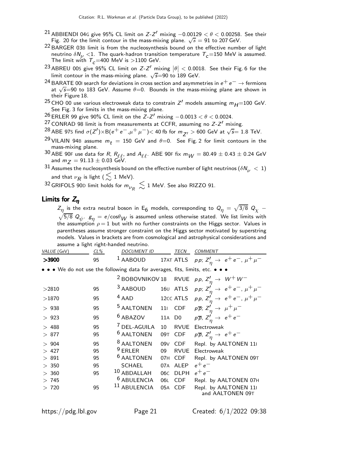- <sup>21</sup> ABBIENDI 04G give 95% CL limit on  $Z-Z'$  mixing  $-0.00129 < \theta < 0.00258$ . See their Fig. 20 for the limit contour in the mass-mixing plane.  $\sqrt{s} = 91$  to 207 GeV.
- 22 BARGER 03B limit is from the nucleosynthesis bound on the effective number of light neutrino  $\delta N_{\nu}$  <1. The quark-hadron transition temperature  $T_c$  =150 MeV is assumed. The limit with  $T_c = 400$  MeV is  $>1100$  GeV.
- 23 ABREU 00S give 95% CL limit on Z-Z' mixing  $|\theta| < 0.0018$ . See their Fig. 6 for the limit contour in the mass-mixing plane.  $\sqrt{s}$ =90 to 189 GeV.
- $^{24}$  BARATE 00I search for deviations in cross section and asymmetries in  $e^+$   $e^ \rightarrow$  fermions at  $\sqrt{s}$ =90 to 183 GeV. Assume  $\theta$ =0. Bounds in the mass-mixing plane are shown in their Figure 18.
- <sup>25</sup> CHO 00 use various electroweak data to constrain Z' models assuming  $m_{H}$ =100 GeV. See Fig. 3 for limits in the mass-mixing plane.
- $^{26}$  ERLER 99 give 90% CL limit on the Z-Z $^{\prime}$  mixing  $-0.0013 < \theta < 0.0024$ .
- <sup>27</sup> CONRAD 98 limit is from measurements at CCFR, assuming no  $Z-Z'$  mixing.
- $^{28}$  ABE 97s find  $\sigma(Z') \times B(e^+e^-, \mu^+ \mu^-) <$  40 fb for  $m_{Z'} > 600$  GeV at  $\sqrt{s} = 1.8$  TeV.
- <sup>29</sup> VILAIN 94B assume  $m_t = 150$  GeV and  $\theta = 0$ . See Fig. 2 for limit contours in the mass-mixing plane.
- $^{30}$  ABE 90F use data for R,  $R_{\ell,\ell}$  and  $A_{\ell,\ell}$ . ABE 90F fix  $m_W = 80.49 \pm 0.43 \pm 0.24$  GeV and  $m_Z = 91.13 \pm 0.03$  GeV.
- $31$  Assumes the nucleosynthesis bound on the effective number of light neutrinos  $(\delta N_\nu~<~1)$ and that  $\nu_R$  is light (  $\lesssim$  1 MeV).

 $^{32}$ GRIFOLS 90D limit holds for  $m_{\nu_R}\lesssim 1$  MeV. See also RIZZO 91.

### Limits for  $Z_n$

 $Z_{\eta}$  is the extra neutral boson in E<sub>6</sub> models, corresponding to  $Q_{\eta} = \sqrt{3/8} Q_{\chi} - \sqrt{5/8} Q_{\chi}$ 5/8  $Q_\psi$ .  $\textit{g}_{\eta} =$  e/cos $\theta_{\textit{W}}$  is assumed unless otherwise stated. We list limits with the assumption  $\rho = 1$  but with no further constraints on the Higgs sector. Values in parentheses assume stronger constraint on the Higgs sector motivated by superstring models. Values in brackets are from cosmological and astrophysical considerations and assume a light right-handed neutrino.

| VALUE (GeV)                                                                   | $CL\%$ | <b>DOCUMENT ID</b>      |                 | TECN           | <b>COMMENT</b>                                                        |
|-------------------------------------------------------------------------------|--------|-------------------------|-----------------|----------------|-----------------------------------------------------------------------|
| >3900                                                                         | 95     | <sup>1</sup> AABOUD     |                 |                | 17AT ATLS $pp: Z'_n \to e^+e^-, \mu^+\mu^-$                           |
| • • • We do not use the following data for averages, fits, limits, etc. • • • |        |                         |                 |                |                                                                       |
|                                                                               |        |                         |                 |                | <sup>2</sup> BOBOVNIKOV 18 RVUE <i>pp</i> , $Z'_n \rightarrow W^+W^-$ |
| >2810                                                                         | 95     | 3 AABOUD                |                 |                | 160 ATLS <i>pp</i> ; $Z'_n \to e^+e^-$ , $\mu^+\mu^-$                 |
| >1870                                                                         | 95     | $4$ AAD                 |                 |                | 12cc ATLS $p p, Z'_\eta \to e^+e^-, \mu^+\mu^-$                       |
| >938                                                                          | 95     | <sup>5</sup> AALTONEN   | 11 <sub>1</sub> | CDF            | $p\overline{p}$ ; $Z'_n \rightarrow \mu^+\mu^-$                       |
| >923                                                                          | 95     | <sup>6</sup> ABAZOV     | 11A             | D <sub>0</sub> | $p\overline{p}$ , $Z'_n \rightarrow e^+e^-$                           |
| >488                                                                          | 95     | <sup>7</sup> DEL-AGUILA | 10              | <b>RVUE</b>    | Electroweak                                                           |
| >877                                                                          | 95     | <sup>6</sup> AALTONEN   | 09T             | <b>CDF</b>     | $p\overline{p}$ , $Z'_n \rightarrow e^+e^-$                           |
| > 904                                                                         | 95     | <sup>8</sup> AALTONEN   | 09V             | <b>CDF</b>     | Repl. by AALTONEN 11                                                  |
| >427                                                                          | 95     | $9$ ERLER               | 09              | <b>RVUE</b>    | Electroweak                                                           |
| >891                                                                          | 95     | <sup>6</sup> AALTONEN   | 07H             | CDF            | Repl. by AALTONEN 09T                                                 |
| > 350                                                                         | 95     | <b>SCHAEL</b>           | 07A             | <b>ALEP</b>    | —م+م                                                                  |
| > 360                                                                         | 95     | 10 ABDALLAH             | 06 <sub>C</sub> | <b>DLPH</b>    | $e^+e^-$                                                              |
| >745                                                                          |        | <sup>6</sup> ABULENCIA  | 06L             | <b>CDF</b>     | Repl. by AALTONEN 07H                                                 |
| >720                                                                          | 95     | 11 ABULENCIA            | 05A             | <b>CDF</b>     | Repl. by AALTONEN 111<br>and AALTONEN 09T                             |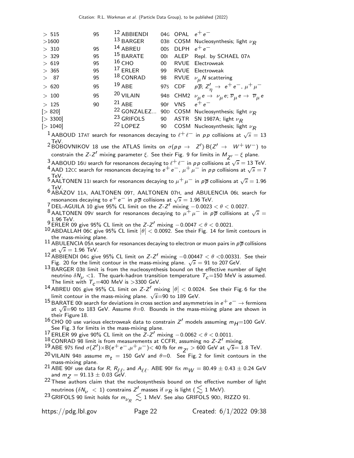| > 515                                                                                                               | 95 | 12 ABBIENDI                |     | 04G OPAL $e^+e^-$ |                                                                                                           |  |  |  |
|---------------------------------------------------------------------------------------------------------------------|----|----------------------------|-----|-------------------|-----------------------------------------------------------------------------------------------------------|--|--|--|
| >1600                                                                                                               |    | $13$ BARGER                |     |                   | 03B COSM Nucleosynthesis; light $\nu_R$                                                                   |  |  |  |
| >310                                                                                                                | 95 | 14 ABREU                   | 00s | DLPH $e^+e^-$     |                                                                                                           |  |  |  |
| > 329                                                                                                               | 95 | <sup>15</sup> BARATE       | 001 |                   | ALEP Repl. by SCHAEL 07A                                                                                  |  |  |  |
| > 619                                                                                                               | 95 | $16$ CHO                   | 00  |                   | RVUE Electroweak                                                                                          |  |  |  |
| > 365                                                                                                               | 95 | $17$ ERLER                 | 99  |                   | RVUE Electroweak                                                                                          |  |  |  |
| >87                                                                                                                 | 95 | $18$ CONRAD                | 98  |                   | RVUE $\nu_{\mu}$ N scattering                                                                             |  |  |  |
| > 620                                                                                                               | 95 | $19$ ABE                   |     |                   | 975 CDF $p\bar{p}$ ; $Z'_n \to e^+e^-$ , $\mu^+\mu^-$                                                     |  |  |  |
| >100                                                                                                                | 95 | 20 VILAIN                  |     |                   | 94B CHM2 $\nu_{\mu} e \rightarrow \nu_{\mu} e; \overline{\nu}_{\mu} e \rightarrow \overline{\nu}_{\mu} e$ |  |  |  |
| >125                                                                                                                | 90 | $21$ ABE                   |     | 90F VNS           | $e^+e^-$                                                                                                  |  |  |  |
| [> 820]                                                                                                             |    | <sup>22</sup> GONZALEZ 90D |     |                   | COSM Nucleosynthesis; light $\nu_R$                                                                       |  |  |  |
| [> 3300]                                                                                                            |    | <sup>23</sup> GRIFOLS      | 90  |                   | ASTR SN 1987A; light $\nu_R$                                                                              |  |  |  |
| [>1040]                                                                                                             |    | $22$ LOPEZ                 | 90  |                   | COSM Nucleosynthesis; light $\nu_R$                                                                       |  |  |  |
| <sup>1</sup> AABOUD 17AT search for resonances decaying to $\ell^+\ell^-$ in $\rho\rho$ collisions at $\sqrt{s}=13$ |    |                            |     |                   |                                                                                                           |  |  |  |

 $^2$ BOBOVNIKOV 18 use the ATLAS limits on  $\sigma(p \, \rho \, \rightarrow \, \, Z^{\prime})$ ·B $(Z^{\prime} \, \rightarrow \, \, W^+ \, W^-)$  to

constrain the Z-Z $^{\prime}$  mixing parameter  $\xi$ . See their Fig. 9 for limits in  $M_{Z^{\prime}}-\xi$  plane.

 $\frac{3}{3}$ AABOUD 160 search for resonances decaying to  $\ell^+ \ell^-$  in pp collisions at  $\sqrt{s} = 13$  TeV.

- <sup>4</sup> AAD 12CC search for resonances decaying to  $e^+e^-$ ,  $\mu^+\mu^-$  in pp collisions at  $\sqrt{s}=7$
- 5 TeV.<br>5 AALTONEN 111 search for resonances decaying to  $\mu^+ \, \mu^-$  in  $\overline{\rho} \overline{\rho}$  collisions at  $\sqrt{s} = 1.96$
- TeV. <sup>6</sup> ABAZOV 11A, AALTONEN 09T, AALTONEN 07H, and ABULENCIA 06<sup>L</sup> search for resonances decaying to  $e^+ \, e^-$  in  $\rho \overline{\rho}$  collisions at  $\sqrt{s} = 1.96$  TeV.
- 
- <sup>7</sup> DEL-AGUILA 10 give 95% CL limit on the Z-Z' mixing  $-0.0023 < \theta < 0.0027$ .<br><sup>8</sup> AALTONEN 09V search for resonances decaying to  $\mu^+ \mu^-$  in  $p\overline{p}$  collisions at  $\sqrt{s} =$ 1.96 TeV.<br><sup>9</sup> ERLER 09 give 95% CL limit on the *Z-Z'* mixing  $-0.0047 < θ < 0.0021$ .
- 
- 10 ABDALLAH 06c give 95% CL limit  $|\theta| < 0.0092$ . See their Fig. 14 for limit contours in the mass-mixing plane.

11 ABULENCIA 05A search for resonances decaying to electron or muon pairs in  $p\overline{p}$  collisions at  $\sqrt{s} = 1.96$  TeV.

12 ABBIENDI 04G give 95% CL limit on  $Z-Z'$  mixing  $-0.00447 < \theta < 0.00331$ . See their Fig. 20 for the limit contour in the mass-mixing plane.  $\sqrt{s} = 91$  to 207 GeV.

- 13 BARGER 03B limit is from the nucleosynthesis bound on the effective number of light neutrino  $\delta N_\nu$  <1. The quark-hadron transition temperature  $T_c$ =150 MeV is assumed. The limit with  $T_c$  =400 MeV is >3300 GeV.
- 14 ABREU 00S give 95% CL limit on Z-Z' mixing  $|\theta| < 0.0024$ . See their Fig. 6 for the limit contour in the mass-mixing plane.  $\sqrt{s}$ =90 to 189 GeV.
- $^{15}$  BARATE 00I search for deviations in cross section and asymmetries in  $e^+e^-\rightarrow$  fermions at  $\sqrt{s}$ =90 to 183 GeV. Assume  $\theta$ =0. Bounds in the mass-mixing plane are shown in their Figure 18.
- $^{16}$  CHO 00 use various electroweak data to constrain Z' models assuming  $m_{H}$ =100 GeV. See Fig. 3 for limits in the mass-mixing plane.
- <sup>17</sup> ERLER 99 give 90% CL limit on the  $Z-Z'$  mixing  $-0.0062 < \theta < 0.0011$ .
- 18 CONRAD 98 limit is from measurements at CCFR, assuming no  $Z-Z'$  mixing.

19 ABE 97s find  $\sigma(Z') \times B(e^+e^-, \mu^+ \mu^-)$  < 40 fb for  $m_{Z'} > 600$  GeV at  $\sqrt{s} = 1.8$  TeV.

- <sup>20</sup> VILAIN 94B assume  $m_t = 150$  GeV and  $\theta = 0$ . See Fig. 2 for limit contours in the mass-mixing plane.
- <sup>21</sup> ABE 90F use data for R,  $R_{\ell,\ell}$ , and  $A_{\ell,\ell}$ . ABE 90F fix  $m_W = 80.49 \pm 0.43 \pm 0.24$  GeV and  $m_Z = 91.13 \pm 0.03$  GeV.
- $22$  These authors claim that the nucleosynthesis bound on the effective number of light neutrinos ( $\delta N_\nu~<~1)$  constrains  $Z^\prime$  masses if  $\nu_R$  is light (  $\lesssim~1$  MeV).

<sup>23</sup> GRIFOLS 90 limit holds for  $m_{\nu_R}^+ \lesssim$  1 MeV. See also GRIFOLS 90D, RIZZO 91.

https://pdg.lbl.gov Page 22 Created: 6/1/2022 09:38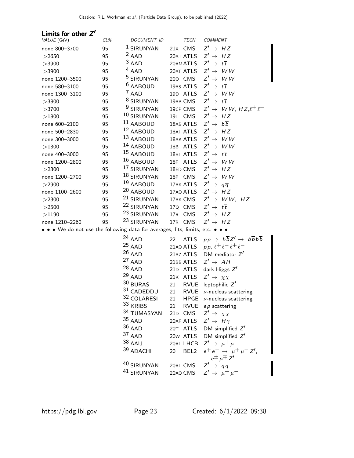| Limits for other Z'                                                           |        |                        |                        |                                                                         |
|-------------------------------------------------------------------------------|--------|------------------------|------------------------|-------------------------------------------------------------------------|
| VALUE (GeV)                                                                   | $CL\%$ | DOCUMENT ID            | TECN                   | <b>COMMENT</b>                                                          |
| none 800-3700                                                                 | 95     | <sup>1</sup> SIRUNYAN  | 21X CMS                | $Z' \rightarrow HZ$                                                     |
| >2650                                                                         | 95     | $2$ AAD                | 20AJ ATLS              | $Z' \rightarrow HZ$                                                     |
| >3900                                                                         | 95     | $3$ AAD                | 20AM ATLS              | $Z' \rightarrow t\overline{t}$                                          |
| >3900                                                                         | 95     | $4$ AAD                | 20AT ATLS              | $Z' \rightarrow WW$                                                     |
| none 1200-3500                                                                | 95     | <sup>5</sup> SIRUNYAN  | 20 <sub>Q</sub> CMS    | $Z' \rightarrow WW$                                                     |
| none 580-3100                                                                 | 95     | <sup>6</sup> AABOUD    | 19AS ATLS              | $Z' \rightarrow t\overline{t}$                                          |
| none 1300-3100                                                                | 95     | $7$ AAD                | 19D ATLS               | $Z' \rightarrow WW$                                                     |
| >3800                                                                         | 95     | <sup>8</sup> SIRUNYAN  | 19AA CMS               | $Z' \rightarrow t\overline{t}$                                          |
| >3700                                                                         | 95     | <sup>9</sup> SIRUNYAN  | 19CP CMS               | $Z' \rightarrow WW, HZ, \ell^+ \ell^-$                                  |
| >1800                                                                         | 95     | <sup>10</sup> SIRUNYAN | 191 CMS                | $Z' \rightarrow HZ$                                                     |
| none 600-2100                                                                 | 95     | $11$ AABOUD            | 18AB ATLS              | $Z' \rightarrow b\overline{b}$                                          |
| none 500-2830                                                                 | 95     | 12 AABOUD              | 18AI ATLS              | $Z' \rightarrow HZ$                                                     |
| none 300-3000                                                                 | 95     | 13 AABOUD              | 18AK ATLS              | $Z' \rightarrow WW$                                                     |
| >1300                                                                         | 95     | <sup>14</sup> AABOUD   | 18B ATLS               | $Z' \rightarrow WW$                                                     |
| none 400-3000                                                                 | 95     | <sup>15</sup> AABOUD   | 18BI ATLS              | $Z' \rightarrow t\overline{t}$                                          |
| none 1200-2800                                                                | 95     | 16 AABOUD              | 18F ATLS               | $Z' \rightarrow WW$                                                     |
| >2300                                                                         | 95     | <sup>17</sup> SIRUNYAN | 18ED CMS               | $Z' \rightarrow HZ$                                                     |
| none 1200-2700                                                                | 95     | 18 SIRUNYAN            | 18P CMS                | $Z' \rightarrow W W$                                                    |
| >2900                                                                         | 95     | 19 AABOUD              | 17AK ATLS              | $Z' \rightarrow q\overline{q}$                                          |
| none 1100-2600                                                                | 95     | <sup>20</sup> AABOUD   | 17A0 ATLS              | $Z' \rightarrow HZ$                                                     |
| >2300                                                                         | 95     | <sup>21</sup> SIRUNYAN | 17AK CMS               | $Z' \rightarrow WW, HZ$                                                 |
| >2500                                                                         | 95     | <sup>22</sup> SIRUNYAN | 17Q CMS                | $Z' \rightarrow t\overline{t}$                                          |
| >1190                                                                         | 95     | <sup>23</sup> SIRUNYAN | 17R CMS                | $Z' \rightarrow HZ$                                                     |
| none 1210-2260                                                                | 95     | <sup>23</sup> SIRUNYAN | 17R CMS                | $Z' \rightarrow HZ$                                                     |
| • • • We do not use the following data for averages, fits, limits, etc. • • • |        |                        |                        |                                                                         |
|                                                                               |        | $24$ AAD               | <b>ATLS</b><br>22      | $pp \rightarrow b\overline{b}Z' \rightarrow b\overline{b}b\overline{b}$ |
|                                                                               |        | $25$ AAD               | 21AQ ATLS              | pp, $\ell^+ \ell^- \ell^+ \ell^-$                                       |
|                                                                               |        | $26$ AAD               | 21AZ ATLS              | DM mediator $Z'$                                                        |
|                                                                               |        | $27$ AAD               | 21BB ATLS              | $Z' \rightarrow AH$                                                     |
|                                                                               |        | $28$ AAD               | 21D ATLS               | dark Higgs $Z'$                                                         |
|                                                                               |        | $29$ AAD               | 21K ATLS               | $Z' \rightarrow \chi \chi$                                              |
|                                                                               |        | 30 BURAS               | <b>RVUE</b><br>21      | leptophilic $Z'$                                                        |
|                                                                               |        | $31$ CADEDDU           | 21<br><b>RVUE</b>      | $\nu$ -nucleus scattering                                               |
|                                                                               |        | 32 COLARESI            | 21                     | HPGE $\nu$ -nucleus scattering                                          |
|                                                                               |        | 33 KRIBS               | 21                     | RVUE $ep$ scattering                                                    |
|                                                                               |        | 34 TUMASYAN            | 21D CMS                | $Z' \rightarrow \chi \chi$                                              |
|                                                                               |        | $35$ AAD               | 20AF ATLS              | $Z' \rightarrow H \gamma$                                               |
|                                                                               |        | $36$ AAD               | 20T ATLS               | DM simplified $Z'$                                                      |
|                                                                               |        | 37 AAD                 | 20w ATLS               | DM simplified $Z'$                                                      |
|                                                                               |        | $38$ AAIJ              | 20AL LHCB              | $Z' \rightarrow \mu^+ \mu^-$                                            |
|                                                                               |        | 39 ADACHI              |                        | $e^+e^- \to \mu^+\mu^- Z'$ ,                                            |
|                                                                               |        |                        | BEL <sub>2</sub><br>20 | $e^{\pm}$ $\mu$ <sup><math>\mp</math></sup> $Z'$                        |
|                                                                               |        | 40 SIRUNYAN            | 20AI CMS               | $Z' \rightarrow q\overline{q}$                                          |
|                                                                               |        | 41 SIRUNYAN            | 20AQ CMS               | $Z' \rightarrow \mu^+ \mu^-$                                            |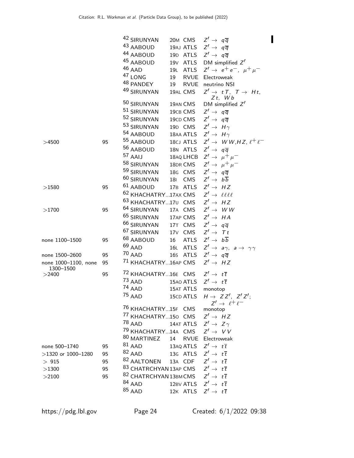|                                            |          | 42 SIRUNYAN                                                                                      |    | 20M CMS             | $Z' \rightarrow q\overline{q}$                           |
|--------------------------------------------|----------|--------------------------------------------------------------------------------------------------|----|---------------------|----------------------------------------------------------|
|                                            |          | 43 AABOUD                                                                                        |    | 19AJ ATLS           | $Z' \rightarrow q\overline{q}$                           |
|                                            |          | 44 AABOUD                                                                                        |    |                     | 19D ATLS $Z' \rightarrow q\overline{q}$                  |
|                                            |          | 45 AABOUD                                                                                        |    |                     | 19 $V$ ATLS DM simplified $Z'$                           |
|                                            |          | $46$ AAD                                                                                         |    |                     | 19L ATLS $Z' \to e^+e^-$ , $\mu^+\mu^-$                  |
|                                            |          | <sup>47</sup> LONG                                                                               | 19 | RVUE                | Electroweak                                              |
|                                            |          | 48 PANDEY                                                                                        | 19 | RVUE                | neutrino NSI                                             |
|                                            |          | 49 SIRUNYAN                                                                                      |    | 19AL CMS            | $Z' \rightarrow tT$ , $T \rightarrow Ht$ ,<br>$Zt$ , Wb  |
|                                            |          | 50 SIRUNYAN                                                                                      |    | 19AN CMS            | DM simplified $Z'$                                       |
|                                            |          | 51 SIRUNYAN                                                                                      |    | 19CB CMS            | $Z' \rightarrow q\overline{q}$                           |
|                                            |          | 52 SIRUNYAN                                                                                      |    | 19CD CMS            | $Z' \rightarrow q\overline{q}$                           |
|                                            |          | 53 SIRUNYAN                                                                                      |    | 19D CMS             | $Z' \rightarrow H \gamma$                                |
|                                            |          | 54 AABOUD                                                                                        |    | 18AA ATLS           | $Z' \rightarrow H \gamma$                                |
| >4500                                      | 95       | 55 AABOUD                                                                                        |    | 18CJ ATLS           | $Z' \rightarrow WW, HZ, \ell^+ \ell^-$                   |
|                                            |          | 56 AABOUD                                                                                        |    | 18N ATLS            | $Z' \rightarrow q\overline{q}$                           |
|                                            |          | 57 AAIJ                                                                                          |    | 18AQ LHCB           | $Z' \rightarrow \mu^+ \mu^-$                             |
|                                            |          | 58 SIRUNYAN                                                                                      |    | 18DR CMS            | $Z' \rightarrow \mu^+ \mu^-$                             |
|                                            |          | 59 SIRUNYAN                                                                                      |    | 18G CMS             | $Z' \rightarrow q\overline{q}$                           |
|                                            |          | <sup>60</sup> SIRUNYAN                                                                           |    | 181 CMS             | $Z' \rightarrow b\overline{b}$                           |
| >1580                                      | 95       | $61$ AABOUD                                                                                      |    |                     | 17B ATLS $Z' \rightarrow HZ$                             |
|                                            |          | <sup>62</sup> KHACHATRY17AX CMS                                                                  |    |                     | $Z' \rightarrow \ell \ell \ell \ell$                     |
|                                            |          | 63 KHACHATRY17U CMS                                                                              |    |                     | $Z' \rightarrow HZ$                                      |
|                                            | 95       | 64 SIRUNYAN                                                                                      |    | 17A CMS             | $Z' \rightarrow WW$                                      |
| >1700                                      |          | <sup>65</sup> SIRUNYAN                                                                           |    | 17AP CMS            | $Z' \rightarrow HA$                                      |
|                                            |          | 66 SIRUNYAN                                                                                      |    | 17T CMS             | $Z' \rightarrow q\overline{q}$                           |
|                                            |          | <sup>67</sup> SIRUNYAN                                                                           |    |                     | $Z' \rightarrow Tt$                                      |
|                                            |          | 68 AABOUD                                                                                        |    | 17 <sub>V</sub> CMS | $Z' \rightarrow b\overline{b}$                           |
| none 1100-1500                             | 95       | $69$ AAD                                                                                         |    | 16 ATLS             |                                                          |
|                                            |          | $70$ AAD                                                                                         |    | 16L ATLS            | $Z' \rightarrow a\gamma$ , $a \rightarrow \gamma\gamma$  |
| none 1500-2600                             | 95       |                                                                                                  |    | 16s ATLS            | $Z' \rightarrow q\overline{q}$                           |
| none 1000-1100, none<br>1300-1500<br>>2400 | 95<br>95 | <sup>71</sup> KHACHATRY16AP CMS<br><sup>72</sup> KHACHATRY16E CMS $Z' \rightarrow t\overline{t}$ |    |                     | $Z' \rightarrow HZ$                                      |
|                                            |          | $73$ AAD                                                                                         |    | 15AO ATLS           | $Z' \rightarrow t\overline{t}$                           |
|                                            |          | $74$ AAD                                                                                         |    | 15AT ATLS           | monotop                                                  |
|                                            |          | $^{75}$ AAD                                                                                      |    | 15CD ATLS           | $H \rightarrow Z Z^{\prime}$ , $Z^{\prime} Z^{\prime}$ ; |
|                                            |          | <sup>76</sup> KHACHATRY15F CMS monotop                                                           |    |                     | $Z' \rightarrow \ell^+ \ell^-$                           |
|                                            |          | <sup>77</sup> KHACHATRY150 CMS $Z' \rightarrow HZ$                                               |    |                     |                                                          |
|                                            |          | $^{78}$ AAD                                                                                      |    |                     |                                                          |
|                                            |          | <sup>79</sup> KHACHATRY14A CMS $Z' \rightarrow VV$                                               |    |                     | 14AT ATLS $Z' \rightarrow Z \gamma$                      |
|                                            |          | <sup>80</sup> MARTINEZ                                                                           |    |                     | 14 RVUE Electroweak                                      |
|                                            |          | $81$ AAD                                                                                         |    |                     |                                                          |
| none 500-1740                              | 95       |                                                                                                  |    |                     | 13AQ ATLS $Z' \rightarrow t\overline{t}$                 |
| $>1320$ or 1000-1280                       | 95       | $82$ AAD                                                                                         |    |                     | 13G ATLS $Z' \rightarrow t\overline{t}$                  |
| $>915$                                     | 95       | <sup>82</sup> AALTONEN 13A CDF $Z' \rightarrow t\overline{t}$                                    |    |                     |                                                          |
| >1300                                      | 95       | <sup>83</sup> CHATRCHYAN 13AP CMS $Z' \rightarrow t\overline{t}$                                 |    |                     |                                                          |
| >2100                                      | 95       | <sup>82</sup> CHATRCHYAN 13BM CMS $Z' \rightarrow t\overline{t}$                                 |    |                     |                                                          |
|                                            |          | $84$ AAD                                                                                         |    |                     | 12BV ATLS $Z' \rightarrow t\overline{t}$                 |
|                                            |          | $85$ AAD                                                                                         |    |                     | 12K ATLS $Z' \rightarrow t\overline{t}$                  |

 $\blacksquare$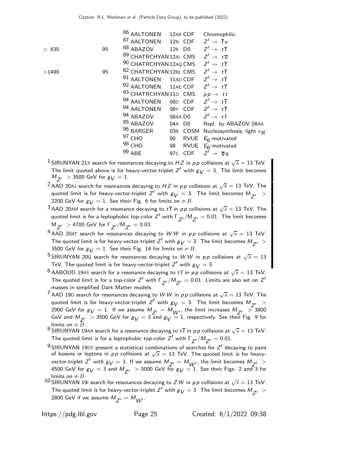|       |    | <sup>86</sup> AALTONEN                                           |         | 12AR CDF | Chromophilic                            |
|-------|----|------------------------------------------------------------------|---------|----------|-----------------------------------------|
|       |    | 87 AALTONEN 12N CDF $Z' \rightarrow \overline{t}u$               |         |          |                                         |
| > 835 | 95 | $88$ ABAZOV                                                      |         |          | 12R DO $Z'\rightarrow t\overline{t}$    |
|       |    | <sup>89</sup> CHATRCHYAN 12AI CMS $Z' \rightarrow t\overline{u}$ |         |          |                                         |
|       |    | 90 CHATRCHYAN 12AQ CMS $Z' \rightarrow t\overline{t}$            |         |          |                                         |
| >1490 | 95 | <sup>82</sup> CHATRCHYAN 12BL CMS $Z' \rightarrow t\overline{t}$ |         |          |                                         |
|       |    | <sup>91</sup> AALTONEN 11AD CDF $Z' \rightarrow t\overline{t}$   |         |          |                                         |
|       |    | 92 AALTONEN 11AE CDF $Z' \rightarrow t\overline{t}$              |         |          |                                         |
|       |    | 93 CHATRCHYAN 110 CMS                                            |         |          | $pp \rightarrow t\bar{t}$               |
|       |    | 94 AALTONEN 08D CDF $Z' \rightarrow t\overline{t}$               |         |          |                                         |
|       |    | 94 AALTONEN 08Y CDF $Z' \rightarrow t\overline{t}$               |         |          |                                         |
|       |    | 94 ABAZOV                                                        |         |          | 08AA D0 $Z' \rightarrow t\overline{t}$  |
|       |    | <sup>95</sup> ABAZOV                                             |         | 04A D0   | Repl. by ABAZOV 08AA                    |
|       |    | $96$ BARGER                                                      |         |          | 03B COSM Nucleosynthesis; light $\nu_R$ |
|       |    | $97$ CHO                                                         | 00      |          | RVUE $E_6$ -motivated                   |
|       |    | $98$ CHO                                                         | 98      |          | RVUE $E_6$ -motivated                   |
|       |    | 99 ABE                                                           | 97G CDF |          | $Z' \rightarrow \overline{q}q$          |
|       |    |                                                                  |         |          |                                         |

- $^1$  SIRUNYAN 21X search for resonances decaying to  $HZ$  in  $pp$  collisions at  $\sqrt{s}=$  13 TeV. The limit quoted above is for heavy-vector-triplet  $Z'$  with  $g_V = 3$ . The limit becomes  $M_{Z'} > 3500$  GeV for  $g_V = 1$ .
- $^2$  AAD 20AJ search for resonances decaying to  $HZ$  in  $pp$  collisions at  $\sqrt{s}=13$  TeV. The quoted limit is for heavy-vector-triplet  $Z'$  with  $g_V = 3$ . The limit becomes  $M_{Z'} >$ 2200 GeV for  $g_V = 1$ . See their Fig. 6 for limits on  $\sigma \cdot B$ .
- $^3$ AAD 20AM search for a resonance decaying to  $t\,\overline{t}$  in  $\rho\,p$  collisions at  $\sqrt{s}=$  13 TeV. The quoted limit is for a leptophobic top-color  $Z'$  with  $\Gamma_{Z'}/\Gamma_{Z'} = 0.01$ . The limit becomes  $M_{Z'} > 4700$  GeV for  $\Gamma_{Z'}/M_{Z'} = 0.03$ .

 $^{4}$  AAD 20AT search for resonances decaying to WW in pp collisions at  $\sqrt{s} = 13$  TeV. The quoted limit is for heavy-vector-triplet  $Z'$  with  $g_V = 3$ . The limit becomes  $M_{Z'} >$ 3500 GeV for  $g_V = 1$ . See their Fig. 14 for limits on  $\sigma \cdot B$ .

 $^5$ SIRUNYAN 20Q search for resonances decaying to  $W \, W$  in  $p \, p$  collisions at  $\sqrt{s} = 13$ TeV. The quoted limit is for heavy-vector-triplet  $Z'$  with  $g_{\mathcal{V}}=3.$ 

<sup>6</sup> AABOUD 19AS search for a resonance decaying to  $t\bar{t}$  in pp collisions at  $\sqrt{s} = 13$  TeV. The quoted limit is for a top-color Z' with  $\Gamma_{Z'}/M_{Z'} = 0.01$ . Limits are also set on Z' masses in simplified Dark Matter models.

- $^7$  AAD 19D search for resonances decaying to  $W$   $W$  in  $p$   $p$  collisions at  $\sqrt{s}=$  13 TeV. The quoted limit is for heavy-vector-triplet  $Z'$  with  $g_V = 3$ . The limit becomes  $M_{Z'} >$ 2900 GeV for  $g_V = 1$ . If we assume  $M_{Z'} = M_{W'}$ , the limit increases  $M_{Z'} > 3800$ GeV and  $M_{Z'} > 3500$  GeV for  $g_V = 3$  and  $g_V = 1$ , respectively. See their Fig. 9 for limits on  $\sigma \cdot \overline{B}$ .
- 8 SIRUNYAN 19AA search for a resonance decaying to  $t\bar{t}$  in  $pp$  collisions at  $\sqrt{s} = 13$  TeV. The quoted limit is for a leptophobic top-color Z $^{\prime}$  with  $\Gamma_{Z^{\prime}}/M_{Z^{\prime}}=0.01.$
- $^{9}$ SIRUNYAN 19CP present a statistical combinations of searches for  $Z'$  decaying to pairs of bosons or leptons in  $pp$  collisions at  $\sqrt{s} = 13$  TeV. The quoted limit is for heavyvector-triplet Z' with  $g_V = 3$ . If we assume  $M_{Z'} = M_{W''}$ , the limit becomes  $M_{Z'} >$ 4500 GeV for  $g_{\cal V}$   $=$  3 and  $M_{Z'}$   $>$  5000 GeV for  $g_{\cal V}$   $=$  1. See their Figs. 2 and 3 for limits on  $\sigma$ ·B.
- 10 SIRUNYAN 191 search for resonances decaying to ZW in pp collisions at  $\sqrt{s} = 13$  TeV. The quoted limit is for heavy-vector-triplet  $Z'$  with  $g_V = 3$ . The limit becomes  $M_{Z'} >$ 2800 GeV if we assume  $M_{Z'} = M_{W'}$ .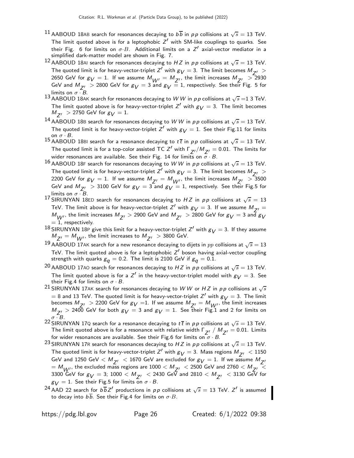- $^{11}$  AABOUD 18AB search for resonances decaying to  $b\overline{b}$  in  $p\,p$  collisions at  $\sqrt{s}=$  13 TeV. The limit quoted above is for a leptophobic  $Z'$  with SM-like couplings to quarks. See their Fig. 6 for limits on  $\sigma$  B. Additional limits on a Z' axial-vector mediator in a simplified dark-matter model are shown in Fig. 7.
- <sup>12</sup> AABOUD 18AI search for resonances decaying to HZ in pp collisions at  $\sqrt{s} = 13$  TeV. The quoted limit is for heavy-vector-triplet  $Z'$  with  $g_V = 3$ . The limit becomes  $M_{Z'} >$ 2650 GeV for  $g_V = 1$ . If we assume  $M_{W'} = M_{Z'}$ , the limit increases  $M_{Z'} > 2930$ GeV and  $M_{Z'} > 2800$  GeV for  $g_V = 3$  and  $g_V = 1$ , respectively. See their Fig. 5 for limits on  $\sigma \cdot B$ .
- 13 AABOUD 18AK search for resonances decaying to WW in pp collisions at  $\sqrt{s} = 13$  TeV. The limit quoted above is for heavy-vector-triplet  $Z'$  with  $g_V = 3$ . The limit becomes  $M_{Z'} > 2750$  GeV for  $g_V = 1$ .

 $^{14}$  AABOUD 18B search for resonances decaying to W W in pp collisions at  $\sqrt{s} = 13$  TeV. The quoted limit is for heavy-vector-triplet Z $'$  with  $g_V = 1$ . See their Fig.11 for limits on  $\sigma \cdot B$ .

<sup>15</sup> AABOUD 18BI search for a resonance decaying to  $t\bar{t}$  in pp collisions at  $\sqrt{s} = 13$  TeV. The quoted limit is for a top-color assisted TC  $Z'$  with  $\Gamma_{Z'}/M_{Z'} = 0.01$ . The limits for wider resonances are available. See their Fig. 14 for limits on  $\overline{\sigma} \cdot B$ .

- 16 AABOUD 18F search for resonances decaying to WW in pp collisions at  $\sqrt{s} = 13$  TeV. The quoted limit is for heavy-vector-triplet  $Z'$  with  $g_V = 3$ . The limit becomes  $M_{Z'} > 0$ 2200 GeV for  $g_V = 1$ . If we assume  $M_{Z'} = M_{W'}$ , the limit increases  $M_{Z'} > 3500$ GeV and  $M_{Z'} > 3100$  GeV for  $g_V = 3$  and  $g_V = 1$ , respectively. See their Fig.5 for limits on  $\sigma \cdot B$ .
- 17 SIRUNYAN 18ED search for resonances decaying to HZ in pp collisions at  $\sqrt{s} = 13$ TeV. The limit above is for heavy-vector-triplet  $Z'$  with  $g_V = 3$ . If we assume  $M_{Z'} =$  $M_{\c{W'}}$ , the limit increases  $M_{\c{Z'}} > 2900$  GeV and  $M_{\c{Z'}} > 2800$  GeV for  $g_{\c{V}} = 3$  and  $g_{\c{V}}$  $= 1$ , respectively.
- <sup>18</sup> SIRUNYAN 18P give this limit for a heavy-vector-triplet Z<sup>'</sup> with  $g_V = 3$ . If they assume  $M_{Z'} = M_{W'}$ , the limit increases to  $M_{Z'} > 3800$  GeV.
- 19 AABOUD 17AK search for a new resonance decaying to dijets in  $pp$  collisions at  $\sqrt{s} = 13$ TeV. The limit quoted above is for a leptophobic  $Z'$  boson having axial-vector coupling strength with quarks  $g_q = 0.2$ . The limit is 2100 GeV if  $g_q = 0.1$ .
- $^{20}$  AABOUD 17A0 search for resonances decaying to  $HZ$  in  $pp$  collisions at  $\sqrt{s}=$  13 TeV. The limit quoted above is for a Z' in the heavy-vector-triplet model with  $g_V = 3$ . See their Fig.4 for limits on  $\sigma \cdot B$ .
- $^{21}$  SIRUNYAN 17AK search for resonances decaying to  $W$   $W$  or  $HZ$  in  $pp$  collisions at  $\sqrt{s}$  $=$  8 and 13 TeV. The quoted limit is for heavy-vector-triplet Z' with  $g_V =$  3. The limit becomes  $M_{Z'} > 2200$  GeV for  $g_V = 1$ . If we assume  $M_{Z'} = M_{W'}$ , the limit increases  $M_{Z'} > 240\overline{0}$  GeV for both  $g_V = 3$  and  $g_V = 1$ . See their Fig.1 and 2 for limits on  $\sigma \cdot B$ .
- $\sigma \cdot$  B.<br><sup>22</sup> SIRUNYAN 17Q search for a resonance decaying to  $t\,\overline{t}$  in  $\rho\,p$  collisions at  $\sqrt{s}=$  13 TeV. The limit quoted above is for a resonance with relative width  $\Gamma_{Z'}$  /  $M_{Z'} = 0.01$ . Limits for wider resonances are available. See their Fig.6 for limits on  $\sigma \cdot B$ .
- <sup>23</sup> SIRUNYAN 17R search for resonances decaying to HZ in pp collisions at  $\sqrt{s} = 13$  TeV. The quoted limit is for heavy-vector-triplet  $Z'$  with  $g_V = 3$ . Mass regions  $M_{Z'} < 1150$ GeV and 1250 GeV  $< M_{z}$   $<$  1670 GeV are excluded for  $g_V = 1$ . If we assume  $M_{z}$  $= M_{W'}$ , the excluded mass regions are 1000  $< M_{Z'} < 2500$  GeV and 2760  $< M_{Z'} < 2500$ 3300 GeV for  $g_V = 3$ ; 1000  $< M_{Z'} < 2430$  GeV and 2810  $< M_{Z'} < 3130$  GeV for  $g_V = 1$ . See their Fig.5 for limits on  $\sigma \cdot B$ .
- $^{24}$  AAD 22 search for  $b\overline{b}Z'$  productions in  $\rho\overline{\rho}$  collisions at  $\sqrt{s}=$  13 TeV.  $Z'$  is assumed to decay into  $b\overline{b}$ . See their Fig.4 for limits on  $\sigma \cdot B$ .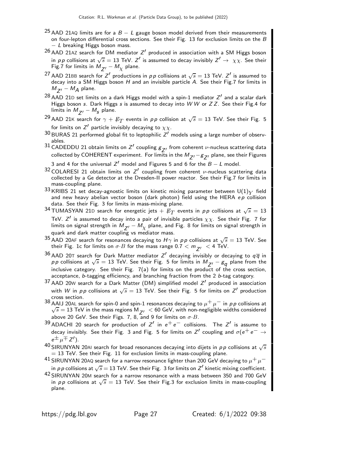- <sup>25</sup> AAD 21AQ limits are for a  $B L$  gauge boson model derived from their measurements on four-lepton differential cross sections. See their Fig. 13 for exclusion limits on the  $B$ − L breaking Higgs boson mass.
- $^{26}$  AAD 21AZ search for DM mediator  $Z^\prime$  produced in association with a SM Higgs boson in pp collisions at  $\sqrt{s} = 13$  TeV. Z' is assumed to decay invisibly  $Z' \to \chi \chi$ . See their Fig.7 for limits in  $M_{Z'} - M_{\chi}$  plane.
- <sup>27</sup> AAD 21BB search for  $Z'$  productions in pp collisions at  $\sqrt{s} = 13$  TeV.  $Z'$  is assumed to decay into a SM Higgs boson  $H$  and an invisible particle  $A$ . See their Fig.7 for limits in  $M_{Z'} - M_A$  plane.
- $^{28}$  AAD 21D set limits on a dark Higgs model with a spin-1 mediator  $Z^\prime$  and a scalar dark Higgs boson s. Dark Higgs s is assumed to decay into  $W W$  or  $ZZ$ . See their Fig.4 for limits in  $M_{Z'} - M_S$  plane.
- <sup>29</sup> AAD 21K search for  $\gamma + \not\!\!{E}_T$  events in  $\rho \rho$  collision at  $\sqrt{s} = 13$  TeV. See their Fig. 5 for limits on  $Z'$  particle invisibly decaying to  $\chi\chi.$
- $^{30}\,$ BURAS 21 performed global fit to leptophilic  $Z^\prime$  models using a large number of observables.
- 31 CADEDDU 21 obtain limits on  $Z'$  coupling  $g_{Z'}$  from coherent v-nucleus scattering data collected by <code>COHERENT</code> experiment. For limits in the  $M_{Z^{\prime}}-g_{Z^{\prime}}$  plane, see their Figures
- 3 and 4 for the universal Z $'$  model and Figures 5 and 6 for the  $B-L$  model.
- $32$  COLARESI 21 obtain limits on Z' coupling from coherent v-nucleus scattering data collected by a Ge detector at the Dresden-II power reactor. See their Fig.7 for limits in mass-coupling plane.
- <sup>33</sup> KRIBS 21 set decay-agnostic limits on kinetic mixing parameter between  $\mathsf{U}(1)_Y$  field and new heavy abelian vector boson (dark photon) field using the HERA  $ep$  collision data. See their Fig. 3 for limits in mass-mixing plane.
- <sup>34</sup> TUMASYAN 21D search for energetic jets  $+ E_T$  events in pp collisions at  $\sqrt{s} = 13$ TeV.  $Z^\prime$  is assumed to decay into a pair of invisible particles  $\chi\chi.$  See their Fig. 7 for limits on signal strength in  $M_{Z'} - M_{\chi}$  plane, and Fig. 8 for limits on signal strength in quark and dark matter coupling vs mediator mass.
- $^{35}$  AAD 20AF search for resonances decaying to  $H\gamma$  in  $pp$  collisions at  $\sqrt{s}=13$  TeV. See their Fig. 1c for limits on  $\sigma \cdot B$  for the mass range 0.7  $< m_{Z'} < 4$  TeV.
- $^{36}$  AAD 20T search for Dark Matter mediator  $Z^\prime$  decaying invisibly or decaying to  $q\overline{q}$  in p p collisions at  $\sqrt{s} = 13$  TeV. See their Fig. 5 for limits in  $M_{Z'} - g_q$  plane from the inclusive category. See their Fig. 7(a) for limits on the product of the cross section, acceptance, b-tagging efficiency, and branching fraction from the 2 b-tag category.
- $37$  AAD 20W search for a Dark Matter (DM) simplified model  $Z'$  produced in association with  $W$  in  $p \, p$  collisions at  $\sqrt{s} = 13$  TeV. See their Fig. 5 for limits on  $Z'$  production cross section.
- $^{38}$  AAIJ 20AL search for spin-0 and spin-1 resonances decaying to  $\mu^+ \mu^-$  in  $\rho \rho$  collisions at  $\sqrt{s} = 13$  TeV in the mass regions  $M_{Z'} < 60$  GeV, with non-negligible widths considered above 20 GeV. See their Figs. 7, 8, and 9 for limits on  $\sigma$  B.
- $^{39}$  ADACHI 20 search for production of  $Z'$  in  $e^+e^-$  collisions. The  $Z'$  is assume to decay invisibly. See their Fig. 3 and Fig. 5 for limits on  $Z'$  coupling and  $\sigma(e^+e^-\to e^$  $e^{\pm}$   $\mu$  +  $Z'$ ).
- $^{40}$ SIRUNYAN 20AI search for broad resonances decaying into dijets in  $\rho \rho$  collisions at  $\sqrt{s}$  $= 13$  TeV. See their Fig. 11 for exclusion limits in mass-coupling plane.
- $^{41}$  SIRUNYAN 20AQ search for a narrow resonance lighter than 200 GeV decaying to  $\mu^+ \mu^$ in pp collisions at  $\sqrt{s} = 13$  TeV. See their Fig. 3 for limits on  $Z'$  kinetic mixing coefficient.
- $42$  SIRUNYAN 20M search for a narrow resonance with a mass between 350 and 700 GeV in p p collisions at  $\sqrt{s} = 13$  TeV. See their Fig.3 for exclusion limits in mass-coupling plane.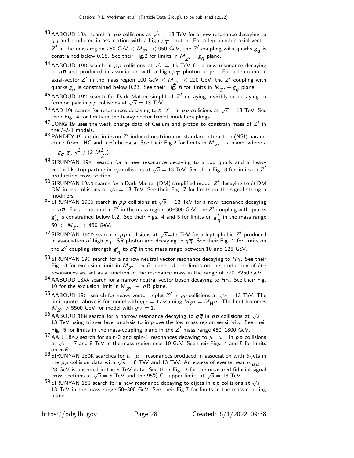- $^{43}$ AABOUD 19AJ search in  $p\,p$  collisions at  $\sqrt{s}=$  13 TeV for a new resonance decaying to  $q\overline{q}$  and produced in association with a high  $p_T$  photon. For a leptophobic axial-vector  $Z'$  in the mass region 250 GeV  $< M_{Z'} <$  950 GeV, the  $Z'$  coupling with quarks  $g_q$  is constrained below 0.18. See their Fig.2 for limits in  $M_{Z'}^{} - g_{\bm{q}}^{}$  plane.
- 44 AABOUD 19D search in  $pp$  collisions at  $\sqrt{s} = 13$  TeV for a new resonance decaying to  $q\overline{q}$  and produced in association with a high- $p_T$  photon or jet. For a leptophobic axial-vector  $Z'$  in the mass region 100 GeV  $< M_{Z'} < 220$  GeV, the  $Z'$  coupling with quarks  $\rm g_{\it q}$  is constrained below 0.23. See their Fig. 6 for limits in  $\rm M_{Z^{\prime}} - \rm g_{\it q}$  plane.
- $^{45}$  AABOUD 19V search for Dark Matter simplified  $Z^\prime$  decaying invisibly or decaying to fermion pair in *pp* collisions at  $\sqrt{s} = 13$  TeV.
- $^{46}$  AAD 19L search for resonances decaying to  $\ell^+ \ell^-$  in  $\rho \rho$  collisions at  $\sqrt{s} = 13$  TeV. See their Fig. 4 for limits in the heavy vector triplet model couplings.
- $^{47}$  LONG 19 uses the weak charge data of Cesium and proton to constrain mass of  $Z^\prime$  in the 3-3-1 models.
- $^{48}$  PANDEY 19 obtain limits on  $Z^\prime$  induced neutrino non-standard interaction (NSI) parameter  $\epsilon$  from LHC and IceCube data. See their Fig.2 for limits in  $M_{z}$  –  $\epsilon$  plane, where  $\epsilon$

$$
= g_q g_{\nu} v^2 / (2 M_{Z'}^2).
$$

- $^{49}$  SIRUNYAN 19AL search for a new resonance decaying to a top quark and a heavy vector-like top partner in  $\rho \rho$  collisions at  $\sqrt{s}=13$  TeV. See their Fig. 8 for limits on  $Z'$ production cross section.
- $^{50}\rm{SIRUNYAN}$  19AN search for a Dark Matter (DM) simplified model  $Z^\prime$  decaying to  $H$  DM DM in pp collisions at  $\sqrt{s} = 13$  TeV. See their Fig. 7 for limits on the signal strength modifiers.
- 51 SIRUNYAN 19CB search in  $pp$  collisions at  $\sqrt{s} = 13$  TeV for a new resonance decaying to  $q\,\overline{q}.$  For a leptophobic  $Z'$  in the mass region 50–300 GeV, the  $Z'$  coupling with quarks  $g^\prime_{\,\bm{q}}$  is constrained below 0.2. See their Figs. 4 and 5 for limits on  $g^\prime_{\,\bm{q}}$  in the mass range  $50 < M_{Z'} < 450$  GeV.
- $^{52}$ SIRUNYAN 19CD search in  $pp$  collisions at  $\sqrt{s}{=}13$  TeV for a leptophobic  $Z^\prime$  produced in association of high  $p_T$  ISR photon and decaying to  $q\overline{q}$ . See their Fig. 2 for limits on the  $\mathsf{Z}'$  coupling strength  $\mathsf{g}'_{\bm{q}}$  to  $\mathsf{q}\,\overline{\mathsf{q}}$  in the mass range between  $10$  and  $125$  GeV.
- 53 SIRUNYAN 19D search for a narrow neutral vector resonance decaying to  $H\gamma$ . See their Fig. 3 for exclusion limit in  $M_{Z'} - \sigma \cdot B$  plane. Upper limits on the production of  $H \gamma$ resonances are set as a function of the resonance mass in the range of 720–3250 GeV.
- 54 AABOUD 18AA search for a narrow neutral vector boson decaying to  $H\gamma$ . See their Fig. 10 for the exclusion limit in M $_{Z'} - \sigma B$  plane.
- 55 AABOUD 18CJ search for heavy-vector-triplet  $Z'$  in  $pp$  collisions at  $\sqrt{s} = 13$  TeV. The limit quoted above is for model with  $g_V = 3$  assuming  $M_{Z'} = M_{W'}$ . The limit becomes  $M_{Z'} > 5500$  GeV for model with  $g_V = 1$ .
- $^{56}$  AABOUD 18N search for a narrow resonance decaying to  $q\overline{q}$  in  $pp$  collisions at  $\sqrt{s}=$ 13 TeV using trigger level analysis to improve the low mass region sensitivity. See their Fig. 5 for limits in the mass-coupling plane in the  $Z'$  mass range 450–1800 GeV.
- 57 AAIJ 18AQ search for spin-0 and spin-1 resonances decaying to  $\mu^+ \mu^-$  in pp collisions at  $\sqrt{s} = 7$  and 8 TeV in the mass region near 10 GeV. See their Figs. 4 and 5 for limits on  $\sigma$ ·B.
- 58 SIRUNYAN 18DR searches for  $\mu^+ \mu^-$  resonances produced in association with *b*-jets in the pp collision data with  $\sqrt{s} = 8$  TeV and 13 TeV. An excess of events near  $m_{\mu\mu} =$ 28 GeV is observed in the 8 TeV data. See their Fig. 3 for the measured fiducial signal cross sections at  $\sqrt{s} = 8$  TeV and the 95% CL upper limits at  $\sqrt{s} = 13$  TeV.
- $^{59}$ SIRUNYAN 18G search for a new resonance decaying to dijets in  $p\,p$  collisions at  $\sqrt{s}=$ 13 TeV in the mass range 50–300 GeV. See their Fig.7 for limits in the mass-coupling plane.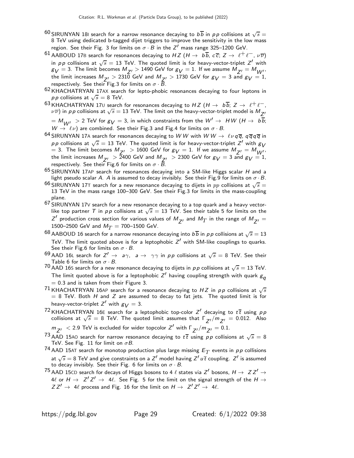- $^{60}$ SIRUNYAN 181 search for a narrow resonance decaying to  $b\overline{b}$  in  $p\,p$  collisions at  $\sqrt{s}=$ 8 TeV using dedicated b-tagged dijet triggers to improve the sensitivity in the low mass region. See their Fig. 3 for limits on  $\sigma \cdot B$  in the Z $^\prime$  mass range 325–1200 GeV.
- $^{61}$  AABOUD 17B search for resonances decaying to HZ (H  $\to$   $~$  b $\overline b$ , c  $\overline c;\,$  Z  $\to$   $~$   $\ell^+\ell^-$ ,  $~$   $\nu\overline\nu)$ in  $pp$  collisions at  $\sqrt{s} = 13$  TeV. The quoted limit is for heavy-vector-triplet  $Z'$  with  $g_V = 3$ . The limit becomes  $M_{Z'} > 1490$  GeV for  $g_V = 1$ . If we assume  $M_{Z'} = M_{W'}.$ the limit increases  $M_{Z'} > 2310$  GeV and  $M_{Z'} > 1730$  GeV for  $g_V = 3$  and  $g_V = 1$ , respectively. See their Fig.3 for limits on  $\sigma \cdot \bar{B}$ .
- 62 KHACHATRYAN 17AX search for lepto-phobic resonances decaying to four leptons in *pp* collisions at  $\sqrt{s} = 8$  TeV.
- $^{63}$ KHACHATRYAN 17 $\scriptstyle\rm U$  search for resonances decaying to  $HZ$   $(H\to~b\overline b;$   $Z\to~\ell^+\ell^-,$ <br> $\nu\overline\nu)$  in  $p$  p collisions at  $\sqrt s=13$  TeV. The limit on the heavy-vector-triplet model is  $M_{Z'}$  $M_{W'} > 2$  TeV for  $g_V = 3$ , in which constraints from the  $W' \rightarrow H W (H \rightarrow b\overline{b};$

 $W\stackrel{\textstyle\cdots}{\rightarrow}\ell\nu)$  are combined. See their Fig.3 and Fig.4 for limits on  $\sigma\cdot B.$ 

- 64 SIRUNYAN 17A search for resonances decaying to W W with W W  $\rightarrow \ell\nu q\overline{q}$ ,  $q\overline{q}q\overline{q}$  in pp collisions at  $\sqrt{s} = 13$  TeV. The quoted limit is for heavy-vector-triplet Z' with  $g_V$ = 3. The limit becomes  $M_{Z'} > 1600$  GeV for  $g_V = 1$ . If we assume  $M_{Z'} = M_{W'}.$ the limit increases  $M_{Z'} > 2400$  GeV and  $M_{Z'} > 2300$  GeV for  $g_V = 3$  and  $g_V = 1$ , respectively. See their Fig.6 for limits on  $\sigma \cdot \bar{B}$ .
- $65$  SIRUNYAN 17AP search for resonances decaying into a SM-like Higgs scalar H and a light pseudo scalar A. A is assumed to decay invisibly. See their Fig.9 for limits on  $\sigma \cdot B$ .
- $^{66}$  SIRUNYAN 17T search for a new resonance decaying to dijets in  $pp$  collisions at  $\sqrt{s} =$ 13 TeV in the mass range 100–300 GeV. See their Fig.3 for limits in the mass-coupling plane.
- $67$  SIRUNYAN 17V search for a new resonance decaying to a top quark and a heavy vectorlike top partner T in pp collisions at  $\sqrt{s} = 13$  TeV. See their table 5 for limits on the Z' production cross section for various values of  $M_{Z'}$  and  $M_T$  in the range of  $M_{Z'} =$ 1500–2500 GeV and  $M_T = 700$ –1500 GeV.
- $^{68}$  AABOUD 16 search for a narrow resonance decaying into  $b\overline{b}$  in  $p\,p$  collisions at  $\sqrt{s}=13$ TeV. The limit quoted above is for a leptophobic  $Z'$  with SM-like couplings to quarks. See their Fig.6 for limits on  $\sigma \cdot B$ .
- <sup>69</sup> AAD 16L search for  $Z' \rightarrow a\gamma$ ,  $a \rightarrow \gamma\gamma$  in pp collisions at  $\sqrt{s} = 8$  TeV. See their Table 6 for limits on  $\sigma \cdot B$ .
- $70$  AAD 16S search for a new resonance decaying to dijets in  $pp$  collisions at  $\sqrt{s} = 13$  TeV. The limit quoted above is for a leptophobic  $Z^\prime$  having coupling strength with quark  $\rm g_{\bm q}$  $= 0.3$  and is taken from their Figure 3.
- <sup>71</sup> KHACHATRYAN 16AP search for a resonance decaying to HZ in pp collisions at  $\sqrt{s}$  $= 8$  TeV. Both H and Z are assumed to decay to fat jets. The quoted limit is for heavy-vector-triplet  $Z'$  with  $g_{\boldsymbol{V}}=3.$
- <sup>72</sup> KHACHATRYAN 16E search for a leptophobic top-color Z' decaying to  $t\bar{t}$  using  $\rho p$ collisions at  $\sqrt{s} = 8$  TeV. The quoted limit assumes that  $\Gamma_{Z'}/m_{Z'} = 0.012$ . Also
- $m_{Z'}$   $\langle$  2.9 TeV is excluded for wider topcolor  $Z'$  with  $\Gamma_{Z'}/m_{Z'} = 0.1$ .
- $73$  AAD 15A0 search for narrow resonance decaying to  $t\bar{t}$  using  $p\bar{p}$  collisions at  $\sqrt{s} = 8$ TeV. See Fig. 11 for limit on  $\sigma B$ .
- $^{74}$  AAD 15AT search for monotop production plus large missing  $E_T$  events in  $\rho\rho$  collisions at  $\sqrt{s}=8$  TeV and give constraints on a  $Z'$  model having  $Z'\,u\,\overline{t}$  coupling.  $Z'$  is assumed to decay invisibly. See their Fig. 6 for limits on  $\sigma \cdot B$ .
- $75$  AAD 15CD search for decays of Higgs bosons to 4  $\ell$  states via  $Z'$  bosons,  $H \to Z Z' \to Z Z'$ 4 $\ell$  or  $H \to Z' Z' \to 4 \ell$ . See Fig. 5 for the limit on the signal strength of the  $H \to$  $ZZ' \rightarrow 4\ell$  process and Fig. 16 for the limit on  $H \rightarrow Z'Z' \rightarrow 4\ell$ .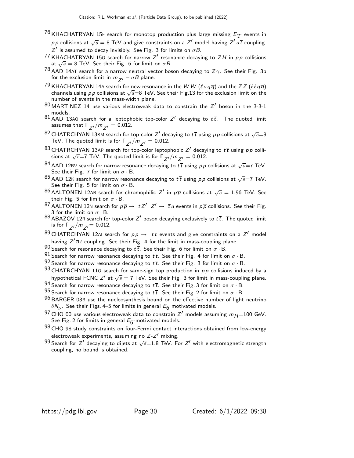- $^{76}\rm$ KHACHATRYAN 15F search for monotop production plus large missing  $E_T$  events in pp collisions at  $\sqrt{s} = 8$  TeV and give constraints on a Z<sup>1</sup> model having Z<sup>1</sup> uT coupling. Z' is assumed to decay invisibly. See Fig. 3 for limits on  $\sigma B$ .
- <sup>77</sup> KHACHATRYAN 150 search for narrow  $Z'$  resonance decaying to  $ZH$  in  $pp$  collisions at  $\sqrt{s}$  = 8 TeV. See their Fig. 6 for limit on  $\sigma B$ .
- $^{78}$  AAD 14AT search for a narrow neutral vector boson decaying to Z $\gamma$ . See their Fig. 3b for the exclusion limit in  $m_{Z'} - \sigma B$  plane.
- <sup>79</sup> KHACHATRYAN 14A search for new resonance in the W W  $(\ell\nu q\bar{q})$  and the Z Z  $(\ell\ell q\bar{q})$ channels using *p p* collisions at  $\sqrt{s}$ =8 TeV. See their Fig.13 for the exclusion limit on the number of events in the mass-width plane.
- $^{80}$ MARTINEZ 14 use various electroweak data to constrain the  $Z^\prime$  boson in the 3-3-1 models.
- $^{81}$  AAD 13AQ search for a leptophobic top-color  $Z'$  decaying to  $t\overline{t}$ . The quoted limit assumes that  $\Gamma_{Z'}/m_{Z'} = 0.012$ .
- $^{82}$  CHATRCHYAN 13BM search for top-color  $Z'$  decaying to  $t\,\overline{t}$  using  $\rho\,\rho$  collisions at  $\sqrt{s}{=}8$ TeV. The quoted limit is for  $\Gamma_{Z'}/m_{Z'} = 0.012$ .
- $^{83}$ CHATRCHYAN 13AP search for top-color leptophobic  $Z'$  decaying to  $t\,\overline{t}$  using  $\rho\,p$  collisions at  $\sqrt{s}$ =7 TeV. The quoted limit is for  $\Gamma_{Z'}/m_{Z'} = 0.012$ .
- $^{84}$  AAD 12BV search for narrow resonance decaying to  $t\overline{t}$  using  $\rho\rho$  collisions at  $\sqrt{s}$ =7 TeV. See their Fig. 7 for limit on  $\sigma \cdot B$ .
- $85$  AAD 12K search for narrow resonance decaying to  $t\bar{t}$  using pp collisions at  $\sqrt{s}$ =7 TeV. See their Fig. 5 for limit on  $\sigma \cdot B$ .
- $^{86}$ AALTONEN 12AR search for chromophilic  $Z^\prime$  in  $\rho\overline{\rho}$  collisions at  $\sqrt{s}=$  1.96 TeV. See their Fig. 5 for limit on  $\sigma \cdot B$ .
- <sup>87</sup> AALTONEN 12N search for  $p\overline{p} \to t Z', Z' \to \overline{t}u$  events in  $p\overline{p}$  collisions. See their Fig. 3 for the limit on  $\sigma \cdot B$ .
- $^{88}$  ABAZOV 12R search for top-color Z $^\prime$  boson decaying exclusively to  $t\overline{t}$ . The quoted limit is for  $\Gamma_{Z'}/m_{Z'} = 0.012$ .
- <sup>89</sup> CHATRCHYAN 12AI search for  $p p \rightarrow t t$  events and give constraints on a Z' model having  $Z^{\prime}\overline{u}t$  coupling. See their Fig. 4 for the limit in mass-coupling plane.
- 90 Search for resonance decaying to  $t\bar{t}$ . See their Fig. 6 for limit on  $\sigma \cdot B$ .
- 91 Search for narrow resonance decaying to  $t\bar{t}$ . See their Fig. 4 for limit on  $\sigma \cdot B$ .
- 92 Search for narrow resonance decaying to  $t\bar{t}$ . See their Fig. 3 for limit on  $\sigma \cdot B$ .
- $93$  CHATRCHYAN 110 search for same-sign top production in  $pp$  collisions induced by a hypothetical FCNC Z<sup>1</sup> at  $\sqrt{s} = 7$  TeV. See their Fig. 3 for limit in mass-coupling plane.
- 94 Search for narrow resonance decaying to  $t\bar{t}$ . See their Fig. 3 for limit on  $\sigma \cdot B$ .
- 95 Search for narrow resonance decaying to  $t\bar{t}$ . See their Fig. 2 for limit on  $\sigma \cdot B$ .
- 96 BARGER 03B use the nucleosynthesis bound on the effective number of light neutrino  $\delta N_\nu.$  See their Figs. 4–5 for limits in general  $E_6$  motivated models.
- <sup>97</sup> CHO 00 use various electroweak data to constrain Z' models assuming  $m_{H}$ =100 GeV. See Fig. 2 for limits in general  $E_{\rm 6}$ -motivated models.
- 98 CHO 98 study constraints on four-Fermi contact interactions obtained from low-energy electroweak experiments, assuming no Z-Z ′ mixing.
- 99 Search for Z $^{\prime}$  decaying to dijets at  $\sqrt{s}$ =1.8 TeV. For Z $^{\prime}$  with electromagnetic strength coupling, no bound is obtained.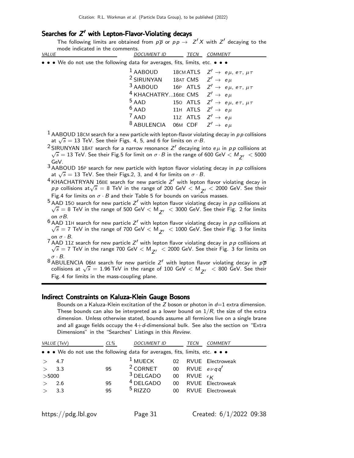## Searches for Z ′ with Lepton-Flavor-Violating decays

The following limits are obtained from  $p\overline{p}$  or  $p\overline{p} \rightarrow Z'X$  with  $Z'$  decaying to the mode indicated in the comments.

| • • • We do not use the following data for averages, fits, limits, etc. • • •<br>$1$ AABOUD<br>18CM ATLS $Z' \rightarrow e \mu, e \tau, \mu \tau$<br><sup>2</sup> SIRUNYAN 18AT CMS $Z' \rightarrow e \mu$<br>3 AABOUD 16P ATLS $Z' \rightarrow e \mu, e \tau, \mu \tau$<br><sup>4</sup> KHACHATRY16BE CMS $Z' \rightarrow e \mu$<br>$5$ AAD<br>150 ATLS $Z' \rightarrow e \mu, e \tau, \mu \tau$<br>$6$ AAD<br>11H ATLS $Z'\rightarrow~e\,\mu$<br>$7$ AAD 11Z ATLS $Z' \rightarrow e \mu$<br><sup>8</sup> ABULENCIA<br>06M CDF $Z'\rightarrow{}e\,\mu$ | VALUE | <b>DOCUMENT ID</b> | <b>TECN</b> | <b>COMMENT</b> |
|---------------------------------------------------------------------------------------------------------------------------------------------------------------------------------------------------------------------------------------------------------------------------------------------------------------------------------------------------------------------------------------------------------------------------------------------------------------------------------------------------------------------------------------------------------|-------|--------------------|-------------|----------------|
|                                                                                                                                                                                                                                                                                                                                                                                                                                                                                                                                                         |       |                    |             |                |
|                                                                                                                                                                                                                                                                                                                                                                                                                                                                                                                                                         |       |                    |             |                |
|                                                                                                                                                                                                                                                                                                                                                                                                                                                                                                                                                         |       |                    |             |                |
|                                                                                                                                                                                                                                                                                                                                                                                                                                                                                                                                                         |       |                    |             |                |
|                                                                                                                                                                                                                                                                                                                                                                                                                                                                                                                                                         |       |                    |             |                |

 $<sup>1</sup>$  AABOUD 18CM search for a new particle with lepton-flavor violating decay in pp collisions</sup> at  $\sqrt{s} = 13$  TeV. See their Figs. 4, 5, and 6 for limits on  $\sigma$ . B.

<sup>2</sup> SIRUNYAN 18AT search for a narrow resonance  $Z'$  decaying into  $e\,\mu$  in  $\rho\,p$  collisions at  $\sqrt{s} = 13$  TeV. See their Fig.5 for limit on  $\sigma \cdot B$  in the range of 600 GeV  $< M_{Z'} < 5000$ GeV.

 $3 AABOUD 16P$  search for new particle with lepton flavor violating decay in  $pp$  collisions at  $\sqrt{s} = 13$  TeV. See their Figs.2, 3, and 4 for limits on  $\sigma \cdot B$ .

- $4$  KHACHATRYAN 16BE search for new particle  $Z'$  with lepton flavor violating decay in p p collisions at $\sqrt{s} = 8$  TeV in the range of 200 GeV  $< M_{Z'} < 2000$  GeV. See their Fig.4 for limits on  $\sigma \cdot B$  and their Table 5 for bounds on various masses.
- $^5$  AAD 150 search for new particle  $Z^\prime$  with lepton flavor violating decay in  $\rho \rho$  collisions at  $\sqrt{s}$  = 8 TeV in the range of 500 GeV  $< M_{Z'}$   $<$  3000 GeV. See their Fig. 2 for limits
- on  $\sigma$ B.<br><sup>6</sup> AAD 11H search for new particle Z $^\prime$  with lepton flavor violating decay in  $\rho$  p collisions at  $\sqrt{s}$  = 7 TeV in the range of 700 GeV  $< M_{Z'}$   $<$  1000 GeV. See their Fig. 3 for limits on  $\sigma \cdot B$ .

 $^7$  AAD 11Z search for new particle  $Z^\prime$  with lepton flavor violating decay in  $\rho \rho$  collisions at  $\sqrt{s}$  = 7 TeV in the range 700 GeV  $< M_{Z'}$   $<$  2000 GeV. See their Fig. 3 for limits on  $\sigma \cdot B$ .

 $^8$ ABULENCIA 06M search for new particle  $Z^\prime$  with lepton flavor violating decay in  $\rho\overline{\rho}$ collisions at  $\sqrt{s} = 1.96$  TeV in the range of 100 GeV  $< M_{Z'}$   $<$  800 GeV. See their Fig. 4 for limits in the mass-coupling plane.

#### Indirect Constraints on Kaluza-Klein Gauge Bosons

Bounds on a Kaluza-Klein excitation of the  $Z$  boson or photon in  $d=1$  extra dimension. These bounds can also be interpreted as a lower bound on  $1/R$ , the size of the extra dimension. Unless otherwise stated, bounds assume all fermions live on a single brane and all gauge fields occupy the  $4+d$ -dimensional bulk. See also the section on "Extra Dimensions" in the "Searches" Listings in this Review.

|       | VALUE (TeV)                                                                   | $CL\%$ | <b>DOCUMENT ID</b>                  |        | <i>TECN</i>             | <i>COMMENT</i>      |
|-------|-------------------------------------------------------------------------------|--------|-------------------------------------|--------|-------------------------|---------------------|
|       | • • • We do not use the following data for averages, fits, limits, etc. • • • |        |                                     |        |                         |                     |
|       | 4.7                                                                           |        | $^1$ MUECK                          |        |                         | 02 RVUE Electroweak |
|       | 3.3                                                                           | 95     | <sup>2</sup> CORNET 00 RVUE $evqq'$ |        |                         |                     |
| >5000 |                                                                               |        | $3$ DELGADO                         | $00\,$ | RVUE $\epsilon_{\bm K}$ |                     |
|       | 2.6                                                                           | 95     | $4$ DELGADO                         | $00\,$ |                         | RVUE Electroweak    |
|       | 3.3                                                                           | 95     | $5$ RIZZO                           | 00     |                         | RVUE Electroweak    |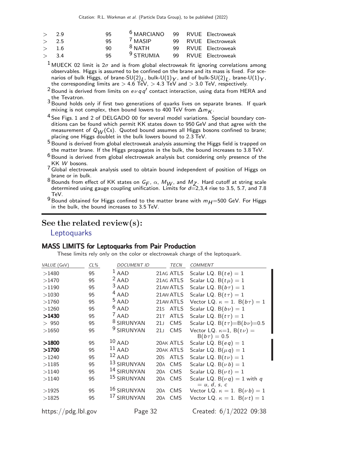| > 2.9 | 95  | <sup>b</sup> MARCIANO |  | 99 RVUE Electroweak |
|-------|-----|-----------------------|--|---------------------|
| > 2.5 | 95. | $^{\prime}$ MASIP     |  | 99 RVUE Electroweak |
| > 1.6 | 90  | $8$ NATH              |  | 99 RVUE Electroweak |
| > 3.4 | 95  | <sup>9</sup> STRUMIA  |  | 99 RVUE Electroweak |

<sup>1</sup> MUECK 02 limit is  $2\sigma$  and is from global electroweak fit ignoring correlations among observables. Higgs is assumed to be confined on the brane and its mass is fixed. For scenarios of bulk Higgs, of brane-SU(2)<sub>L</sub>, bulk-U(1) $\gamma$ , and of bulk-SU(2)<sub>L</sub>, brane-U(1) $\gamma$ , the corresponding limits are  $>$  4.6 TeV,  $>$  4.3 TeV and  $>$  3.0 TeV, respectively.

<sup>2</sup> Bound is derived from limits on  $e\nu qq'$  contact interaction, using data from HERA and the Tevatron.

- 3 Bound holds only if first two generations of quarks lives on separate branes. If quark mixing is not complex, then bound lowers to 400 TeV from  $\Delta m_K$ .
- <sup>4</sup> See Figs. 1 and 2 of DELGADO 00 for several model variations. Special boundary conditions can be found which permit KK states down to 950 GeV and that agree with the measurement of  $Q_W(\text{Cs})$ . Quoted bound assumes all Higgs bosons confined to brane; placing one Higgs doublet in the bulk lowers bound to 2.3 TeV.
- 5 Bound is derived from global electroweak analysis assuming the Higgs field is trapped on the matter brane. If the Higgs propagates in the bulk, the bound increases to 3.8 TeV.
- $6$  Bound is derived from global electroweak analysis but considering only presence of the KK W bosons.
- $7$  Global electroweak analysis used to obtain bound independent of position of Higgs on brane or in bulk.
- <sup>8</sup> Bounds from effect of KK states on  $G_F$ ,  $\alpha$ ,  $M_W$ , and  $M_Z$ . Hard cutoff at string scale determined using gauge coupling unification. Limits for  $d=2,3,4$  rise to 3.5, 5.7, and 7.8 TeV.
- $9$  Bound obtained for Higgs confined to the matter brane with  $m<sub>H</sub> = 500$  GeV. For Higgs in the bulk, the bound increases to 3.5 TeV.

### See the related review(s):

**[Leptoquarks](http://pdg.lbl.gov/2022/reviews/rpp2021-rev-leptoquark-quantum-numbers.pdf)** 

### MASS LIMITS for Leptoquarks from Pair Production

These limits rely only on the color or electroweak charge of the leptoquark.

| VALUE (GeV) | $CL\%$ | <b>DOCUMENT ID</b>    | TECN                          | <b>COMMENT</b>                             |
|-------------|--------|-----------------------|-------------------------------|--------------------------------------------|
| >1480       | 95     | $1$ AAD               | 21AG ATLS                     | Scalar LQ. $B(te) = 1$                     |
| >1470       | 95     | $2$ AAD               | 21AG ATLS                     | Scalar LQ. $B(t\mu) = 1$                   |
| >1190       | 95     | $3$ AAD               | 21AW ATLS                     | Scalar LQ. $B(b\tau) = 1$                  |
| >1030       | 95     | $4$ AAD               | 21AW ATLS                     | Scalar LQ. $B(t\tau) = 1$                  |
| >1760       | 95     | $5$ AAD               | 21AW ATLS                     | Vector LQ. $\kappa = 1$ . B $(b\tau) = 1$  |
| >1260       | 95     | $6$ AAD               | 21s ATLS                      | Scalar LQ. $B(b\nu) = 1$                   |
| >1430       | 95     | $^7$ AAD              | ATLS<br>21T                   | Scalar LQ. $B(t\tau) = 1$                  |
| >950        | 95     | <sup>8</sup> SIRUNYAN | <b>CMS</b><br>21J             | Scalar LQ. $B(t\tau)=B(b\nu)=0.5$          |
| >1650       | 95     | <sup>9</sup> SIRUNYAN | <b>CMS</b><br>21 <sub>J</sub> | Vector LQ. $\kappa=1$ , B(tv) =            |
|             |        |                       |                               | $B(b\tau) = 0.5$                           |
| >1800       | 95     | $10$ AAD              | 20AK ATLS                     | Scalar LQ. $B(eq) = 1$                     |
| >1700       | 95     | $^{11}$ AAD           | 20AK ATLS                     | Scalar LQ. $B(\mu q) = 1$                  |
| >1240       | 95     | $^{12}$ AAD           | 20S ATLS                      | Scalar LQ. $B(t\nu) = 1$                   |
| >1185       | 95     | 13 SIRUNYAN           | 20A CMS                       | Scalar LQ. $B(\nu b) = 1$                  |
| >1140       | 95     | 14 SIRUNYAN           | <b>CMS</b><br>20A             | Scalar LQ. $B(\nu t) = 1$                  |
| >1140       | 95     | 15 SIRUNYAN           | 20A CMS                       | Scalar LQ. B( $\nu q$ ) = 1 with q         |
|             |        |                       |                               | $= u, d, s, c$                             |
| >1925       | 95     | 16 SIRUNYAN           | 20A CMS                       | Vector LQ. $\kappa = 1$ . B( $\nu b$ ) = 1 |
| >1825       | 95     | 17 SIRUNYAN           | <b>CMS</b><br>20A             | Vector LQ. $\kappa = 1$ . B( $\nu t$ ) = 1 |
| 1 // 1 11 1 |        |                       |                               |                                            |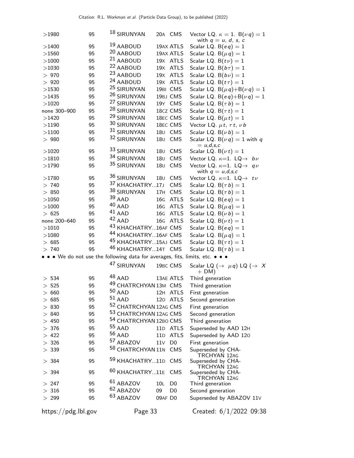| >1980               | 95 | <sup>18</sup> SIRUNYAN                                                      |                 | 20A CMS              | Vector LQ. $\kappa = 1$ . B $(\nu q) = 1$            |
|---------------------|----|-----------------------------------------------------------------------------|-----------------|----------------------|------------------------------------------------------|
|                     |    |                                                                             |                 |                      | with $q = u, d, s, c$                                |
| >1400               | 95 | <sup>19</sup> AABOUD                                                        |                 | 19AX ATLS            | Scalar LQ. $B(eq) = 1$                               |
| >1560               | 95 | 20 AABOUD                                                                   |                 | 19AX ATLS            | Scalar LQ. $B(\mu q) = 1$                            |
| >1000               | 95 | <sup>21</sup> AABOUD                                                        |                 | 19X ATLS             | Scalar LQ. $B(t\nu) = 1$                             |
| >1030               | 95 | 22 AABOUD                                                                   |                 | 19X ATLS             | Scalar LQ. $B(b\tau) = 1$                            |
| > 970               | 95 | 23 AABOUD                                                                   |                 | 19X ATLS             | Scalar LQ. $B(b\nu) = 1$                             |
| >920                | 95 | <sup>24</sup> AABOUD                                                        |                 | 19X ATLS             | Scalar LQ. $B(t\tau) = 1$                            |
| >1530               | 95 | <sup>25</sup> SIRUNYAN                                                      |                 | 19BI CMS             | Scalar LQ. $B(\mu q) + B(\nu q) = 1$                 |
| >1435               | 95 | 26 SIRUNYAN                                                                 |                 | 19BJ CMS             | Scalar LQ. $B(eq) + B(\nu q) = 1$                    |
| >1020               | 95 | 27 SIRUNYAN                                                                 |                 | 19Y CMS              | Scalar LQ. $B(\tau b) = 1$                           |
| none 300-900        | 95 | 28 SIRUNYAN                                                                 |                 | 18cz CMS             | Scalar LQ. $B(\tau t) = 1$                           |
| >1420               | 95 | <sup>29</sup> SIRUNYAN                                                      |                 | 18EC CMS             | Scalar LQ. $B(\mu t) = 1$                            |
| >1190               | 95 | 30 SIRUNYAN                                                                 |                 | 18EC CMS             | Vector LQ. $\mu t$ , $\tau t$ , $\nu b$              |
| >1100               | 95 | 31 SIRUNYAN                                                                 |                 | 180 CMS              | Scalar LQ. $B(\nu b) = 1$                            |
| >980                | 95 | 32 SIRUNYAN                                                                 | 18 <sub>U</sub> | CMS                  | Scalar LQ. B( $\nu q$ ) = 1 with q<br>$= u,d,s,c$    |
| >1020               | 95 | 33 SIRUNYAN                                                                 | 180             | CMS                  | Scalar LQ. $B(\nu t) = 1$                            |
| >1810               | 95 | 34 SIRUNYAN                                                                 | 18 <sub>U</sub> | CMS                  | Vector LQ. $\kappa=1$ . LQ $\rightarrow$ bv          |
| >1790               | 95 | 35 SIRUNYAN                                                                 | 180             | CMS                  | Vector LQ. $\kappa=1$ . LQ $\rightarrow$ qv          |
|                     |    |                                                                             |                 |                      | with $q = u,d,s,c$                                   |
| >1780               | 95 | 36 SIRUNYAN                                                                 | 180             | CMS                  | Vector LQ. $\kappa=1$ . LQ $\rightarrow$ tv          |
| > 740               | 95 | 37 KHACHATRY17J                                                             |                 | CMS                  | Scalar LQ. $B(\tau b) = 1$                           |
| >850                | 95 | 38 SIRUNYAN                                                                 | 17H             | CMS                  | Scalar LQ. $B(\tau b) = 1$                           |
| >1050               | 95 | $39$ AAD                                                                    | 16G             | <b>ATLS</b>          | Scalar LQ. $B(eq) = 1$                               |
| >1000               | 95 | $40$ AAD                                                                    | 16G             | <b>ATLS</b>          | Scalar LQ. B( $\mu$ q) = 1                           |
| > 625               | 95 | $41$ AAD                                                                    | 16G             | <b>ATLS</b>          | Scalar LQ. $B(\nu b) = 1$                            |
| none 200-640        | 95 | $42$ AAD                                                                    |                 | 16G ATLS             | Scalar LQ. $B(\nu t) = 1$                            |
| >1010               | 95 | 43 KHACHATRY16AF CMS                                                        |                 |                      | Scalar LQ. $B(eq) = 1$                               |
| >1080               | 95 | 44 KHACHATRY 16AF CMS                                                       |                 |                      | Scalar LQ. B( $\mu$ q) = 1                           |
| > 685               | 95 | <sup>45</sup> KHACHATRY15AJ CMS                                             |                 |                      | Scalar LQ. $B(\tau t) = 1$                           |
| >740                | 95 | 46 KHACHATRY14T CMS                                                         |                 |                      | Scalar LQ. $B(\tau b) = 1$                           |
|                     |    | • • • We do not use the following data for averages, fits, limits, etc. • • |                 |                      |                                                      |
|                     |    | <sup>47</sup> SIRUNYAN                                                      |                 | 19BC CMS             | Scalar LQ $(\rightarrow \mu q)$ LQ $(\rightarrow X)$ |
|                     |    |                                                                             |                 |                      | $+$ DM)                                              |
| > 534               | 95 | $48$ AAD                                                                    |                 | 13AE ATLS            | Third generation                                     |
| $>525$              | 95 | 49 CHATRCHYAN 13M CMS                                                       |                 |                      | Third generation                                     |
| > 660               | 95 | $^{50}$ AAD                                                                 |                 | 12H ATLS             | First generation                                     |
| > 685               | 95 | $51$ AAD                                                                    |                 | 120 ATLS             | Second generation                                    |
| > 830               | 95 | 52 CHATRCHYAN 12AG CMS                                                      |                 |                      | First generation                                     |
| >840                | 95 | 53 CHATRCHYAN 12AG CMS                                                      |                 |                      | Second generation                                    |
| >450                | 95 | <sup>54</sup> CHATRCHYAN 12BO CMS                                           |                 |                      | Third generation                                     |
| > 376               | 95 | $55$ AAD                                                                    |                 | 11 <sub>D</sub> ATLS | Superseded by AAD 12H                                |
| > 422               | 95 | $56$ AAD                                                                    |                 | 11 <sub>D</sub> ATLS | Superseded by AAD 120                                |
| >326                | 95 | 57 ABAZOV                                                                   | 11 <sub>V</sub> | D <sub>0</sub>       | First generation                                     |
| > 339               | 95 | 58 CHATRCHYAN 11N                                                           |                 | CMS                  | Superseded by CHA-<br>TRCHYAN 12AG                   |
| > 384               | 95 | <sup>59</sup> KHACHATRY11D                                                  |                 | <b>CMS</b>           | Superseded by CHA-<br>TRCHYAN 12AG                   |
| > 394               | 95 | <sup>60</sup> KHACHATRY11E                                                  |                 | <b>CMS</b>           | Superseded by CHA-<br>TRCHYAN 12AG                   |
| > 247               | 95 | $61$ ABAZOV                                                                 | 10L             | D <sub>0</sub>       | Third generation                                     |
| >316                | 95 | <sup>62</sup> ABAZOV                                                        | 09              | D <sub>0</sub>       | Second generation                                    |
| $>299$              | 95 | 63 ABAZOV                                                                   | 09AF DO         |                      | Superseded by ABAZOV 11V                             |
|                     |    |                                                                             |                 |                      |                                                      |
| https://pdg.lbl.gov |    | Page 33                                                                     |                 |                      | Created: $6/1/2022$ 09:38                            |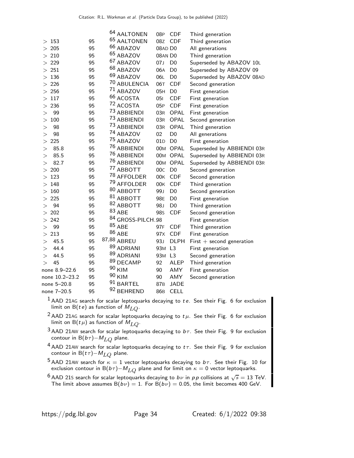|                 |    | 64 AALTONEN            | 08P             | <b>CDF</b>     | Third generation            |
|-----------------|----|------------------------|-----------------|----------------|-----------------------------|
| >153            | 95 | <sup>65</sup> AALTONEN | 08Z             | <b>CDF</b>     | Third generation            |
| $>205$          | 95 | <sup>66</sup> ABAZOV   | 08AD D0         |                | All generations             |
| $>210$          | 95 | <sup>65</sup> ABAZOV   | 08AN DO         |                | Third generation            |
| 229             | 95 | <sup>67</sup> ABAZOV   | 07J             | D <sub>0</sub> | Superseded by ABAZOV 10L    |
| > 251           | 95 | 68 ABAZOV              | 06A             | D <sub>0</sub> | Superseded by ABAZOV 09     |
| 136<br>>        | 95 | <sup>69</sup> ABAZOV   | 06L             | D <sub>0</sub> | Superseded by ABAZOV 08AD   |
| $>226$          | 95 | 70 ABULENCIA           | 06T             | <b>CDF</b>     | Second generation           |
| > 256           | 95 | 71 ABAZOV              | 05H             | D <sub>0</sub> | First generation            |
| 117<br>>        | 95 | 66 ACOSTA              | 051             | <b>CDF</b>     | First generation            |
| 236<br>>        | 95 | 72 ACOSTA              | 05P             | <b>CDF</b>     | First generation            |
| 99<br>>         | 95 | 73 ABBIENDI            | 03R             | OPAL           | First generation            |
| 100<br>>        | 95 | <sup>73</sup> ABBIENDI | 03R             | OPAL           | Second generation           |
| 98<br>>         | 95 | 73 ABBIENDI            | 03R             | OPAL           | Third generation            |
| 98<br>>         | 95 | 74 ABAZOV              | 02              | D <sub>0</sub> | All generations             |
| 225<br>>        | 95 | <sup>75</sup> ABAZOV   | 01D             | D <sub>0</sub> | First generation            |
| 85.8<br>>       | 95 | <sup>76</sup> ABBIENDI |                 | 00M OPAL       | Superseded by ABBIENDI 03R  |
| 85.5<br>>       | 95 | <sup>76</sup> ABBIENDI |                 | 00M OPAL       | Superseded by ABBIENDI 03R  |
| 82.7<br>>       | 95 | <sup>76</sup> ABBIENDI |                 | 00M OPAL       | Superseded by ABBIENDI 03R  |
| 200<br>>        | 95 | <sup>77</sup> ABBOTT   | 00C             | D <sub>0</sub> | Second generation           |
| 123<br>>        | 95 | <sup>78</sup> AFFOLDER | 00K             | <b>CDF</b>     | Second generation           |
| 148<br>$\rm{>}$ | 95 | <sup>79</sup> AFFOLDER | 00K             | <b>CDF</b>     | Third generation            |
| >160            | 95 | 80 ABBOTT              | 99J             | D <sub>0</sub> | Second generation           |
| 225<br>>        | 95 | 81 ABBOTT              | 98E             | D <sub>0</sub> | First generation            |
| 94<br>>         | 95 | 82 ABBOTT              | 98J             | D <sub>0</sub> | Third generation            |
| 202<br>>        | 95 | 83 ABE                 | <b>98s</b>      | <b>CDF</b>     | Second generation           |
| 242<br>>        | 95 | 84 GROSS-PILCH.98      |                 |                | First generation            |
| 99<br>>         | 95 | $85$ ABE               | 97F             | <b>CDF</b>     | Third generation            |
| > 213           | 95 | 86 ABE                 | 97 <sub>X</sub> | <b>CDF</b>     | First generation            |
| 45.5<br>>       | 95 | 87,88 ABREU            | 93J             | <b>DLPH</b>    | $First + second generation$ |
| 44.4<br>>       | 95 | 89 ADRIANI             | 93M L3          |                | First generation            |
| 44.5<br>$\,>$   | 95 | 89 ADRIANI             | 93M L3          |                | Second generation           |
| 45<br>$\rm{>}$  | 95 | 89 DECAMP              | 92              | ALEP           | Third generation            |
| none 8.9-22.6   | 95 | 90 KIM                 | 90              | AMY            | First generation            |
| none 10.2-23.2  | 95 | 90 KIM                 | 90              | AMY            | Second generation           |
| none 5-20.8     | 95 | 91 BARTEL              | 87 <sub>B</sub> | <b>JADE</b>    |                             |
| none 7-20.5     | 95 | 92 BEHREND             | 86 <sub>B</sub> | <b>CELL</b>    |                             |

- $^{\text{1}}$  AAD 21AG search for scalar leptoquarks decaying to  $t\,e$ . See their Fig. 6 for exclusion limit on  $\mathsf{B}(t\,e)$  as function of  $M_{LQ}.$
- <sup>2</sup> AAD 21AG search for scalar leptoquarks decaying to  $t\mu$ . See their Fig. 6 for exclusion limit on  $B(t\mu)$  as function of  $M_{LO}$ .
- 3 AAD 21AW search for scalar leptoquarks decaying to  $b\tau$ . See their Fig. 9 for exclusion contour in B $(b\tau)$ − $M_{LQ}$  plane.
- $4$  AAD 21AW search for scalar leptoquarks decaying to  $t\tau$ . See their Fig. 9 for exclusion contour in B $(t\tau) - M_{LQ}$  plane.
- <sup>5</sup> AAD 21AW search for  $\kappa = 1$  vector leptoquarks decaying to  $b\tau$ . See their Fig. 10 for exclusion contour in B( $b\tau$ )– $M_{LO}$  plane and for limit on  $\kappa = 0$  vector leptoquarks.

 $^6$  AAD 21S search for scalar leptoquarks decaying to  $b\nu$  in  $\rho\,p$  collisions at  $\sqrt{s}=13$  TeV. The limit above assumes  $B(b\nu) = 1$ . For  $B(b\nu) = 0.05$ , the limit becomes 400 GeV.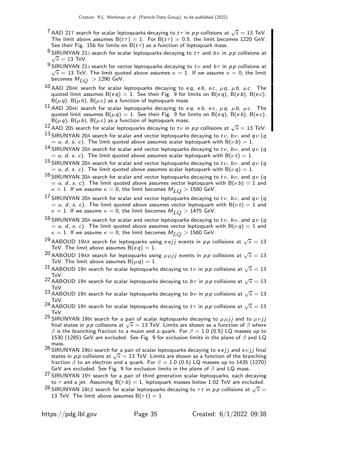- $^7$  AAD 21T search for scalar leptoquarks decaying to  $t\,\tau$  in  $\,p\,p$  collisions at  $\sqrt{s}=13$  TeV. The limit above assumes  $B(t\tau) = 1$ . For  $B(t\tau) = 0.5$ , the limit becomes 1220 GeV. See their Fig. 15b for limits on  $B(t\tau)$  as a function of leptoquark mass.
- $^8$ SIRUNYAN 21J search for scalar leptoquarks decaying to  $t\tau$  and  $b\nu$  in  $\rho\rho$  collisions at  $\sqrt{s}$  = 13 TeV.
- $^9$ SIRUNYAN 21J search for vector leptoquarks decaying to  $t\nu$  and  $b\tau$  in  $\rho\rho$  collisions at  $\sqrt{s} = 13$  TeV. The limit quoted above assumes  $\kappa = 1$ . If we assume  $\kappa = 0$ , the limit becomes  $M_{LO} > 1290$  GeV.
- $^{10}$  AAD 20AK search for scalar leptoquarks decaying to eq, eb, ec,  $\mu$ q,  $\mu$ b,  $\mu$ c. The quoted limit assumes  $B(eq) = 1$ . See their Fig. 9 for limits on  $B(eq)$ ,  $B(eb)$ ,  $B(ec)$ ,  $B(\mu q)$ ,  $B(\mu b)$ ,  $B(\mu c)$  as a function of leptoquark mass.
- 11 AAD 20AK search for scalar leptoquarks decaying to eq, eb, ec,  $\mu$ q,  $\mu$ b,  $\mu$ c. The quoted limit assumes  $B(\mu q) = 1$ . See their Fig. 9 for limits on  $B(eq)$ ,  $B(eb)$ ,  $B(ec)$ ,  $B(\mu q)$ ,  $B(\mu b)$ ,  $B(\mu c)$  as a function of leptoquark mass.
- 12 AAD 20S search for scalar leptoquarks decaying to  $t\nu$  in pp collisions at  $\sqrt{s} = 13$  TeV.
- 13 SIRUNYAN 20A search for scalar and vector leptoquarks decaying to tv, bv, and  $q\nu$  (q  $=$  u, d, s, c). The limit quoted above assumes scalar leptoquark with B( $\nu$ b)  $=$  1.
- $^{14}$  SIRUNYAN 20A search for scalar and vector leptoquarks decaying to tv, bv, and qv (q  $= u, d, s, c$ ). The limit quoted above assumes scalar leptoquark with B( $\nu t$ ) = 1.
- 15 SIRUNYAN 20A search for scalar and vector leptoquarks decaying to tv, bv, and  $q\nu$  (q  $=$  u, d, s, c). The limit quoted above assumes scalar leptoquark with B( $\nu$ q)  $=$  1.
- 16 SIRUNYAN 20A search for scalar and vector leptoquarks decaying to  $t\nu$ ,  $b\nu$ , and  $q\nu$  (q  $=$  u, d, s, c). The limit quoted above assumes vector leptoquark with  $B(\nu b) = 1$  and  $\kappa = 1$ . If we assume  $\kappa = 0$ , the limit becomes  $M_{LO} > 1560$  GeV.
- 17 SIRUNYAN 20A search for scalar and vector leptoquarks decaying to tv, bv, and  $q\nu$  (q  $=$  u, d, s, c). The limit quoted above assumes vector leptoquark with B( $\nu t$ ) = 1 and  $\kappa = 1$ . If we assume  $\kappa = 0$ , the limit becomes  $M_{LQ} > 1475$  GeV.
- 18 SIRUNYAN 20A search for scalar and vector leptoquarks decaying to tv, bv, and  $q\nu$  (q  $=$  u, d, s, c). The limit quoted above assumes vector leptoquark with B( $\nu q$ )  $=$  1 and  $\kappa = 1$ . If we assume  $\kappa = 0$ , the limit becomes  $M_{LO} > 1560$  GeV.
- $^{19}$ AABOUD 19AX search for leptoquarks using  $e \, e j j$  events in  $\rho \rho$  collisions at  $\sqrt{s} = 13$ TeV. The limit above assumes  $B(eq) = 1$ .
- $^{20}$  AABOUD 19AX search for leptoquarks using  $\mu\mu jj$  events in  $\rho\,p$  collisions at  $\sqrt{s}=13$ TeV. The limit above assumes  $B(\mu q) = 1$ .
- $^{21}$  AABOUD 19X search for scalar leptoquarks decaying to  $t\nu$  in  $\rho\,p$  collisions at  $\sqrt{s}=13$ TeV.
- <sup>22</sup> AABOUD 19X search for scalar leptoquarks decaying to  $b\tau$  in pp collisions at  $\sqrt{s} = 13$ TeV.
- <sup>23</sup> AABOUD 19X search for scalar leptoquarks decaying to bv in pp collisions at  $\sqrt{s} = 13$ TeV.
- <sup>24</sup> AABOUD 19X search for scalar leptoquarks decaying to  $t\tau$  in  $p\,p$  collisions at  $\sqrt{s}=13$ TeV.
- <sup>25</sup> SIRUNYAN 19BI search for a pair of scalar leptoquarks decaying to  $\mu \mu j j$  and to  $\mu \nu j j$ final states in *pp* collisions at  $\sqrt{s} = 13$  TeV. Limits are shown as a function of  $\beta$  where  $\beta$  is the branching fraction to a muon and a quark. For  $\beta=1.0$  (0.5) LQ masses up to 1530 (1285) GeV are excluded. See Fig. 9 for exclusion limits in the plane of  $\beta$  and LQ mass.
- $26$  SIRUNYAN 19BJ search for a pair of scalar leptoquarks decaying to eejj and e $\nu$ jj final states in  $p p$  collisions at  $\sqrt{s} = 13$  TeV. Limits are shown as a function of the branching fraction  $\beta$  to an electron and a quark. For  $\beta = 1.0$  (0.5) LQ masses up to 1435 (1270) GeV are excluded. See Fig. 9 for exclusion limits in the plane of  $\beta$  and LQ mass.
- 27 SIRUNYAN 19Y search for a pair of third generation scalar leptoquarks, each decaying to  $\tau$  and a jet. Assuming  $B(\tau b) = 1$ , leptoquark masses below 1.02 TeV are excluded.
- <sup>28</sup> SIRUNYAN 18CZ search for scalar leptoquarks decaying to  $\tau\,t$  in  $p\,p$  collisions at  $\sqrt{s}=$ 13 TeV. The limit above assumes  $B(\tau t) = 1$ .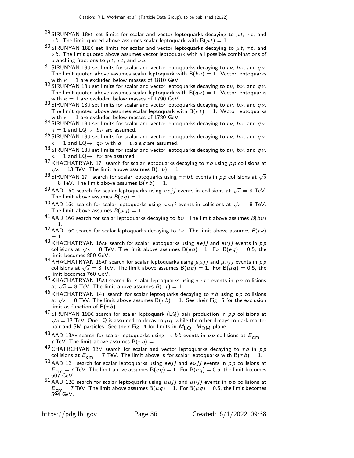- <sup>29</sup> SIRUNYAN 18EC set limits for scalar and vector leptoquarks decaying to  $\mu t$ ,  $\tau t$ , and v b. The limit quoted above assumes scalar leptoquark with  $B(\mu t) = 1$ .
- 30 SIRUNYAN 18EC set limits for scalar and vector leptoquarks decaying to  $\mu t$ ,  $\tau t$ , and  $\nu$  b. The limit quoted above assumes vector leptoquark with all possible combinations of branching fractions to  $\mu t$ ,  $\tau t$ , and  $\nu b$ .
- 31 SIRUNYAN 180 set limits for scalar and vector leptoquarks decaying to tv, bv, and  $q\nu$ . The limit quoted above assumes scalar leptoquark with  $B(b\nu) = 1$ . Vector leptoquarks with  $\kappa = 1$  are excluded below masses of 1810 GeV.
- 32 SIRUNYAN 180 set limits for scalar and vector leptoquarks decaying to tv, bv, and  $q\nu$ . The limit quoted above assumes scalar leptoquark with  $B(q \nu) = 1$ . Vector leptoquarks with  $\kappa = 1$  are excluded below masses of 1790 GeV.
- 33 SIRUNYAN 180 set limits for scalar and vector leptoquarks decaying to  $t\nu$ ,  $b\nu$ , and  $q\nu$ . The limit quoted above assumes scalar leptoquark with  $B(\nu t) = 1$ . Vector leptoquarks with  $\kappa = 1$  are excluded below masses of 1780 GeV.
- 34 SIRUNYAN 18U set limits for scalar and vector leptoquarks decaying to  $t\nu$ ,  $b\nu$ , and  $q\nu$ .  $\kappa = 1$  and  $LQ \rightarrow b\nu$  are assumed.
- 35 SIRUNYAN 180 set limits for scalar and vector leptoquarks decaying to tv, bv, and  $q\nu$ .  $\kappa = 1$  and  $LQ \rightarrow q\nu$  with  $q = u, d, s, c$  are assumed.
- 36 SIRUNYAN 180 set limits for scalar and vector leptoquarks decaying to tv, bv, and qv.  $\kappa = 1$  and  $LQ \rightarrow t \nu$  are assumed.
- $^{37}$  KHACHATRYAN 17J search for scalar leptoquarks decaying to  $\tau$  b using pp collisions at  $\sqrt{s} = 13$  TeV. The limit above assumes  $B(\tau b) = 1$ .
- $^{38}$  SIRUNYAN 17H search for scalar leptoquarks using  $\tau\tau$  b b events in pp collisions at  $\sqrt{s}$  $= 8$  TeV. The limit above assumes B( $\tau b$ ) = 1.
- $^{39}$  AAD 16G search for scalar leptoquarks using  $e$  ejj events in collisions at  $\sqrt{s} =$  8 TeV. The limit above assumes  $B(eq) = 1$ .
- 40 AAD 16G search for scalar leptoquarks using  $\mu \mu jj$  events in collisions at  $\sqrt{s} = 8$  TeV. The limit above assumes  $B(\mu q) = 1$ .
- <sup>41</sup> AAD 16G search for scalar leptoquarks decaying to  $b\nu$ . The limit above assumes  $B(b\nu)$  $= 1.$
- 42 AAD 16G search for scalar leptoquarks decaying to  $t\nu$ . The limit above assumes  $B(t\nu)$  $= 1$ .
- 43 KHACHATRYAN 16AF search for scalar leptoquarks using eejj and evjj events in pp collisions at  $\sqrt{s} = 8$  TeV. The limit above assumes  $B(eq)=1$ . For  $B(eq)=0.5$ , the limit becomes 850 GeV.
- 44 KHACHATRYAN 16AF search for scalar leptoquarks using  $\mu \mu j j$  and  $\mu \nu j j$  events in p p collisions at  $\sqrt{s} = 8$  TeV. The limit above assumes  $B(\mu q) = 1$ . For  $B(\mu q) = 0.5$ , the limit becomes 760 GeV.
- 45 KHACHATRYAN 15AJ search for scalar leptoquarks using  $\tau \tau t t$  events in pp collisions at  $\sqrt{s} = 8$  TeV. The limit above assumes  $B(\tau t) = 1$ .
- <sup>46</sup> KHACHATRYAN 14T search for scalar leptoquarks decaying to  $\tau$  b using pp collisions at  $\sqrt{s} = 8$  TeV. The limit above assumes  $B(\tau b) = 1$ . See their Fig. 5 for the exclusion limit as function of  $B(\tau b)$ .
- $^{47}$ SIRUNYAN 19BC search for scalar leptoquark (LQ) pair production in  $p \, p$  collisions at  $\sqrt{s} = 13$  TeV. One LQ is assumed to decay to  $\mu q$ , while the other decays to dark matter pair and SM particles. See their Fig. 4 for limits in  $M<sub>LO</sub>-M<sub>DM</sub>$  plane.
- <sup>48</sup> AAD 13AE search for scalar leptoquarks using  $\tau \tau b b$  events in pp collisions at  $E_{cm} =$ 7 TeV. The limit above assumes  $B(\tau b) = 1$ .
- 49 CHATRCHYAN 13M search for scalar and vector leptoquarks decaying to  $\tau b$  in  $pp$ collisions at  $E_{cm} = 7$  TeV. The limit above is for scalar leptoquarks with B( $\tau b$ ) = 1.
- $50$  AAD 12H search for scalar leptoquarks using eejj and evjj events in pp collisions at  $E_{\text{CPT}} = 7$  TeV. The limit above assumes  $B(eq) = 1$ . For  $B(eq) = 0.5$ , the limit becomes 607 GeV.
- 51 AAD 120 search for scalar leptoquarks using  $\mu \mu j j$  and  $\mu \nu j j$  events in pp collisions at  $E_{\text{cm}} = 7$  TeV. The limit above assumes B $(\mu q) = 1$ . For B $(\mu q) = 0.5$ , the limit becomes 594 GeV.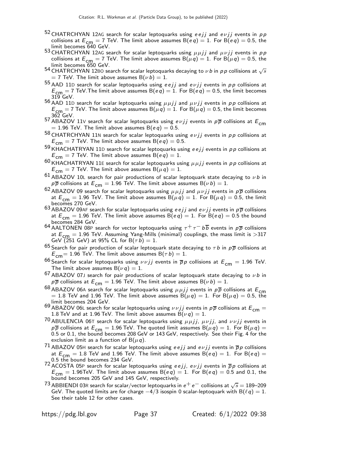- $52$  CHATRCHYAN 12AG search for scalar leptoquarks using eejj and e $\nu$ jj events in pp collisions at  $E_{cm} = 7$  TeV. The limit above assumes B(eq) = 1. For B(eq) = 0.5, the limit becomes 640 GeV.
- 53 CHATRCHYAN 12AG search for scalar leptoquarks using  $\mu \mu j j$  and  $\mu \nu j j$  events in pp collisions at  $E_{cm} = 7$  TeV. The limit above assumes B( $\mu q$ ) = 1. For B( $\mu q$ ) = 0.5, the limit becomes 650 GeV.
- <sup>54</sup> CHATRCHYAN 12B0 search for scalar leptoquarks decaying to  $\nu$  b in  $\rho$  p collisions at  $\sqrt{s}$  $=$  7 TeV. The limit above assumes B( $\nu$  b)  $=1.$
- $^{55}$  AAD 11D search for scalar leptoquarks using eejj and evjj events in pp collisions at  $E_{\text{cm}} = 7$  TeV. The limit above assumes B(e q) = 1. For B(e q) = 0.5, the limit becomes 319 GeV.
- 56 AAD 11D search for scalar leptoquarks using  $\mu \mu j j$  and  $\mu \nu j j$  events in pp collisions at  $E_{cm} = 7$  TeV. The limit above assumes B( $\mu q$ ) = 1. For B( $\mu q$ ) = 0.5, the limit becomes 362 GeV.
- 57 ABAZOV 11V search for scalar leptoquarks using  $e \nu j j$  events in  $p\overline{p}$  collisions at  $E_{cm}$  $= 1.96$  TeV. The limit above assumes B(eq) = 0.5.
- 58 CHATRCHYAN 11N search for scalar leptoquarks using  $e \nu jj$  events in  $p \, p$  collisions at  $E_{\text{cm}} = 7$  TeV. The limit above assumes B(eq) = 0.5.
- 59 KHACHATRYAN 11D search for scalar leptoquarks using  $eejj$  events in  $pp$  collisions at  $E_{\text{cm}} = 7$  TeV. The limit above assumes B(eq) = 1.
- $60$  KHACHATRYAN 11E search for scalar leptoquarks using  $\mu \mu jj$  events in  $p \rho$  collisions at  $E_{cm} = 7$  TeV. The limit above assumes B( $\mu q$ ) = 1.
- 61 ABAZOV 10L search for pair productions of scalar leptoquark state decaying to  $\nu b$  in  $p\overline{p}$  collisions at  $E^{\text{cm}}_{\text{cm}}=1.96$  TeV. The limit above assumes B( $\nu$ b) = 1.
- <sup>62</sup> ABAZOV 09 search for scalar leptoquarks using  $\mu \mu j j$  and  $\mu \nu j j$  events in  $p \overline{p}$  collisions at  $E_{cm} = 1.96$  TeV. The limit above assumes B( $\mu q$ ) = 1. For B( $\mu q$ ) = 0.5, the limit becomes 270 GeV.
- 63 ABAZOV 09AF search for scalar leptoquarks using e e j j and evj j events in  $p\overline{p}$  collisions at  $E_{cm} = 1.96$  TeV. The limit above assumes B $(e q) = 1$ . For B $(e q) = 0.5$  the bound becomes 284 GeV.
- 64 AALTONEN 08P search for vector leptoquarks using  $\tau^+ \tau^- b \overline{b}$  events in  $p \overline{p}$  collisions at  $E_{\mathsf{cm}}=1.96$  TeV. Assuming Yang-Mills (minimal) couplings, the mass limit is  ${>}317$  GeV (251 GeV) at 95% CL for B $(\tau\,b)=1$ .
- <sup>65</sup> Search for pair production of scalar leptoquark state decaying to  $\tau b$  in  $p\overline{p}$  collisions at  $E_{cm}$  = 1.96 TeV. The limit above assumes B( $\tau b$ ) = 1.
- <sup>66</sup> Search for scalar leptoquarks using  $\nu \nu jj$  events in  $\overline{p}p$  collisions at  $E_{\textsf{cm}}=1.96$  TeV. The limit above assumes  $B(\nu q) = 1$ .
- $^{67}$  ABAZOV 07J search for pair productions of scalar leptoquark state decaying to  $\nu$ *b* in  $p\overline{p}$  collisions at  $E_{cm} = 1.96$  TeV. The limit above assumes B( $\nu$ b) = 1.
- 68 ABAZOV 06A search for scalar leptoquarks using  $\mu \mu j j$  events in  $p \overline{p}$  collisions at  $E_{\text{cm}}$  $= 1.8$  TeV and 1.96 TeV. The limit above assumes  $\mathsf{B}(\mu\,q) = 1$ . For  $\mathsf{B}(\mu\,q) = 0.5,$  the limit becomes 204 GeV.
- 69 ABAZOV 06L search for scalar leptoquarks using  $\nu \nu j j$  events in  $p \overline{p}$  collisions at  $E_{\text{cm}} =$ 1.8 TeV and at 1.96 TeV. The limit above assumes  $B(\nu q) = 1$ .
- 70 ABULENCIA 06T search for scalar leptoquarks using  $\mu \mu j j$ ,  $\mu \nu j j$ , and  $\nu \nu j j$  events in  $p\overline{p}$  collisions at  $E_{cm} = 1.96$  TeV. The quoted limit assumes  $B(\mu q) = 1$ . For  $B(\mu q) = 1$ 0.5 or 0.1, the bound becomes 208 GeV or 143 GeV, respectively. See their Fig. 4 for the exclusion limit as a function of  $B(\mu q)$ .
- <sup>71</sup> ABAZOV 05H search for scalar leptoquarks using  $eejj$  and  $e\nu jj$  events in  $\overline{p}p$  collisions at  $E_{cm} = 1.8$  TeV and 1.96 TeV. The limit above assumes B(eq) = 1. For B(eq) = 0.5 the bound becomes 234 GeV.
- 72 ACOSTA 05P search for scalar leptoquarks using eejj, evjj events in  $\bar{p}p$  collisions at  $E_{cm} = 1.96$ TeV. The limit above assumes B(eq) = 1. For B(eq) = 0.5 and 0.1, the bound becomes 205 GeV and 145 GeV, respectively.
- $^{73}$  ABBIENDI 03R search for scalar/vector leptoquarks in  $e^+ \, e^-$  collisions at  $\sqrt{s} = 189$ –209 GeV. The quoted limits are for charge  $-4/3$  isospin 0 scalar-leptoquark with B $(\ell q) = 1$ . See their table 12 for other cases.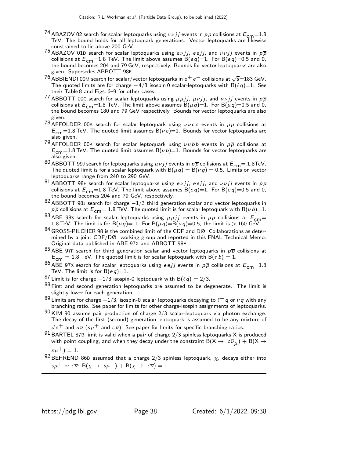- $^{74}$  ABAZOV 02 search for scalar leptoquarks using  $\nu \nu jj$  events in  $\overline{p}$  p collisions at  $E_{\mathsf{cm}}{=}1.8$ TeV. The bound holds for all leptoquark generations. Vector leptoquarks are likewise constrained to lie above 200 GeV.
- $^{75}$  ABAZOV 01D search for scalar leptoquarks using  $e\nu jj$ ,  $e$   $ejj$ , and  $\nu\nu jj$  events in  $\rho\overline{\rho}$ collisions at  $E_{cm}$ =1.8 TeV. The limit above assumes B(eq)=1. For B(eq)=0.5 and 0, the bound becomes 204 and 79 GeV, respectively. Bounds for vector leptoquarks are also given. Supersedes ABBOTT 98E.
- $^{76}$  ABBIENDI 00M search for scalar/vector leptoquarks in  $e^+ \, e^-$  collisions at  $\sqrt{s}{=}183$  GeV. The quoted limits are for charge  $-4/3$  isospin 0 scalar-leptoquarks with B( $\ell q$ )=1. See their Table 8 and Figs. 6–9 for other cases.
- $^{77}$  ABBOTT 00C search for scalar leptoquarks using  $\mu\mu jj$ ,  $\mu\nu jj$ , and  $\nu\nu jj$  events in  $\rho\overline{\rho}$ collisions at  $E_{\text{cm}}=1.8$  TeV. The limit above assumes B( $\mu$ q)=1. For B( $\mu$ q)=0.5 and 0, the bound becomes 180 and 79 GeV respectively. Bounds for vector leptoquarks are also given.
- 78 AFFOLDER 00K search for scalar leptoquark using  $\nu \nu c c$  events in  $p \overline{p}$  collisions at  $E_{cm}$ =1.8 TeV. The quoted limit assumes B( $\nu c$ )=1. Bounds for vector leptoquarks are also given.
- 79 AFFOLDER 00K search for scalar leptoquark using  $\nu\nu bb$  events in  $p\overline{p}$  collisions at  $E_{cm}$ =1.8 TeV. The quoted limit assumes B( $\nu$ b)=1. Bounds for vector leptoquarks are also given.
- 80 ABBOTT 99J search for leptoquarks using  $\mu \nu j j$  events in  $p\overline{p}$  collisions at  $E_{\text{cm}}= 1.8 \text{TeV}$ . The quoted limit is for a scalar leptoquark with  $B(\mu q) = B(\nu q) = 0.5$ . Limits on vector leptoquarks range from 240 to 290 GeV.
- 81 ABBOTT 98E search for scalar leptoquarks using  $e \nu j j$ ,  $e \epsilon j j$ , and  $\nu \nu j j$  events in  $p \overline{p}$ collisions at  $E_{cm}$ =1.8 TeV. The limit above assumes B(eq)=1. For B(eq)=0.5 and 0, the bound becomes 204 and 79 GeV, respectively.
- 82 ABBOTT 98J search for charge  $-1/3$  third generation scalar and vector leptoquarks in  $p\overline{p}$  collisions at  $E_{cm}$  = 1.8 TeV. The quoted limit is for scalar leptoquark with B( $\nu$ b)=1.
- <sup>83</sup> ABE 98S search for scalar leptoquarks using  $\mu \mu j j$  events in  $p\bar{p}$  collisions at  $E_{cm} = 1.8$  TeV. The limit is for B( $\mu q$ )= 1. For B( $\mu q$ )=B( $\nu$ q)=0.5, the limit is > 160 GeV.
- $84$  GROSS-PILCHER 98 is the combined limit of the CDF and DØ Collaborations as determined by a joint CDF/DØ working group and reported in this FNAL Technical Memo. Original data published in ABE 97X and ABBOTT 98E.
- $85$  ABE 97F search for third generation scalar and vector leptoquarks in  $p\overline{p}$  collisions at  $E_{cm} = 1.8$  TeV. The quoted limit is for scalar leptoquark with B( $\tau b$ ) = 1.
- $86$  ABE 97X search for scalar leptoquarks using eejj events in  $p\overline{p}$  collisions at  $E_{\text{cm}}$ =1.8 TeV. The limit is for  $B(eq)=1$ .
- <sup>87</sup> Limit is for charge  $-1/3$  isospin-0 leptoquark with B( $\ell q$ ) = 2/3.
- 88 First and second generation leptoquarks are assumed to be degenerate. The limit is slightly lower for each generation.
- $^{89}$  Limits are for charge  $-1/3$ , isospin-0 scalar leptoquarks decaying to  $\ell^-$  q or  $\nu$  q with any branching ratio. See paper for limits for other charge-isospin assignments of leptoquarks.
- $90$  KIM 90 assume pair production of charge  $2/3$  scalar-leptoquark via photon exchange. The decay of the first (second) generation leptoquark is assumed to be any mixture of  $de^+$  and  $u\overline{\nu}$  (s $\mu^+$  and  $c\overline{\nu}$ ). See paper for limits for specific branching ratios.
- 91 BARTEL 87<sup>B</sup> limit is valid when a pair of charge 2/3 spinless leptoquarks X is produced with point coupling, and when they decay under the constraint  $\mathsf{B}(\mathsf{X}\to~\mathsf{c}\overline{\nu}_\mu)+\mathsf{B}(\mathsf{X}\to$  $s \mu^{+}$ ) = 1.
- 92 BEHREND 86B assumed that a charge 2/3 spinless leptoquark,  $\chi$ , decays either into  $s\mu^+$  or  $c\overline{\nu}$ : B( $\chi \to s\mu^+$ ) + B( $\chi \to c\overline{\nu}$ ) = 1.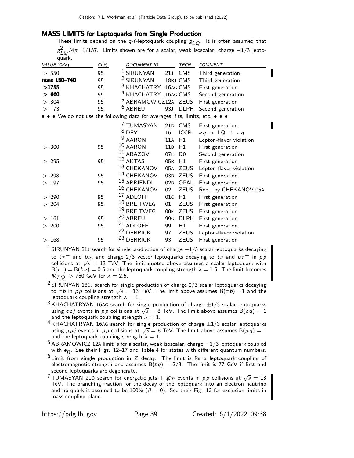### MASS LIMITS for Leptoquarks from Single Production

These limits depend on the  $q-\ell$ -leptoquark coupling  $g_{LO}$ . It is often assumed that  $g_{LQ}^2/4\pi{=}1/137$ . Limits shown are for a scalar, weak isoscalar, charge  $-1/3$  leptoquark.

| VALUE (GeV)   | CL% | <b>DOCUMENT ID</b>                                                        |                 | TECN           | <b>COMMENT</b>                                  |
|---------------|-----|---------------------------------------------------------------------------|-----------------|----------------|-------------------------------------------------|
| > 550         | 95  | <sup>1</sup> SIRUNYAN                                                     |                 | 21J CMS        | Third generation                                |
| none 150-740  | 95  | <sup>2</sup> SIRUNYAN                                                     |                 | 18BJ CMS       | Third generation                                |
| >1755         | 95  | <sup>3</sup> KHACHATRY16AG CMS                                            |                 |                | First generation                                |
| > 660         | 95  | <sup>4</sup> KHACHATRY16AG CMS                                            |                 |                | Second generation                               |
| > 304         | 95  | <sup>5</sup> ABRAMOWICZ12A ZEUS                                           |                 |                | First generation                                |
| - 73<br>$\gt$ | 95  | <sup>6</sup> ABREU                                                        | 93J             | <b>DLPH</b>    | Second generation                               |
|               |     | • We do not use the following data for averages, fits, limits, etc. • • • |                 |                |                                                 |
|               |     | 7 TUMASYAN                                                                |                 | 21D CMS        | First generation                                |
|               |     | $8$ DEY                                                                   | 16              | <b>ICCB</b>    | $\nu q \rightarrow \text{LQ} \rightarrow \nu q$ |
|               |     | <sup>9</sup> AARON                                                        | 11A             | H1             | Lepton-flavor violation                         |
| > 300         | 95  | 10 AARON                                                                  | 11B             | H1             | First generation                                |
|               |     | $11$ ABAZOV                                                               | 07E             | D <sub>0</sub> | Second generation                               |
| >295          | 95  | 12 AKTAS                                                                  | 05 <sub>B</sub> | H1             | First generation                                |
|               |     | 13 CHEKANOV                                                               | 05A             | <b>ZEUS</b>    | Lepton-flavor violation                         |
| > 298         | 95  | <sup>14</sup> CHEKANOV                                                    | 03B             | ZEUS           | First generation                                |
| >197          | 95  | 15 ABBIENDI                                                               |                 | 02B OPAL       | First generation                                |
|               |     | 16 CHEKANOV                                                               | 02              | <b>ZEUS</b>    | Repl. by CHEKANOV 05A                           |
| > 290         | 95  | 17 ADLOFF                                                                 | 01C             | H1             | First generation                                |
| > 204         | 95  | 18 BREITWEG                                                               | 01              | <b>ZEUS</b>    | First generation                                |
|               |     | <sup>19</sup> BREITWEG                                                    | 00E             | ZEUS           | First generation                                |
| >161          | 95  | 20 ABREU                                                                  |                 | 99G DLPH       | First generation                                |
| > 200         | 95  | $21$ ADLOFF                                                               | 99              | H1             | First generation                                |
|               |     | <sup>22</sup> DERRICK                                                     | 97              | <b>ZEUS</b>    | Lepton-flavor violation                         |
| >168          | 95  | <sup>23</sup> DERRICK                                                     | 93              | <b>ZEUS</b>    | First generation                                |
|               |     |                                                                           |                 |                |                                                 |

<sup>1</sup> SIRUNYAN 21J search for single production of charge  $-1/3$  scalar leptoquarks decaying to  $t\tau^-$  and  $b\nu$ , and charge 2/3 vector leptoquarks decaying to  $t\nu$  and  $b\tau^+$  in  $\rho p$ collisions at  $\sqrt{s} = 13$  TeV. The limit quoted above assumes a scalar leptoquark with  $B(t\tau) = B(b\nu) = 0.5$  and the leptoquark coupling strength  $\lambda = 1.5$ . The limit becomes  $M_{LO}$  > 750 GeV for  $\lambda = 2.5$ .

- $2$  SIRUNYAN 18BJ search for single production of charge  $2/3$  scalar leptoquarks decaying to  $\tau b$  in pp collisions at  $\sqrt{s} = 13$  TeV. The limit above assumes  $B(\tau b) = 1$  and the leptoquark coupling strength  $\lambda = 1$ .
- $3$  KHACHATRYAN 16AG search for single production of charge  $\pm 1/3$  scalar leptoquarks using e e j events in pp collisions at  $\sqrt{s} = 8$  TeV. The limit above assumes  $B(eq) = 1$ and the leptoquark coupling strength  $\lambda = 1$ .
- $4$  KHACHATRYAN 16AG search for single production of charge  $\pm 1/3$  scalar leptoquarks using  $\mu\mu j$  events in pp collisions at  $\sqrt{s} = 8$  TeV. The limit above assumes  $B(\mu q) = 1$ and the leptoquark coupling strength  $\lambda = 1$ .

 $^5$  ABRAMOWICZ 12A limit is for a scalar, weak isoscalar, charge  $-1/3$  leptoquark coupled with  $e_{\pmb{R}}.$  See their Figs. 12–17 and Table 4 for states with different quantum numbers.

- $6$  Limit from single production in Z decay. The limit is for a leptoquark coupling of electromagnetic strength and assumes  $B(\ell q) = 2/3$ . The limit is 77 GeV if first and second leptoquarks are degenerate.
- <sup>7</sup> TUMASYAN 21D search for energetic jets  $+$   $\not\!\!E_T$  events in pp collisions at  $\sqrt{s} = 13$ TeV. The branching fraction for the decay of the leptoquark into an electron neutrino and up quark is assumed to be 100%  $(\beta = 0)$ . See their Fig. 12 for exclusion limits in mass-coupling plane.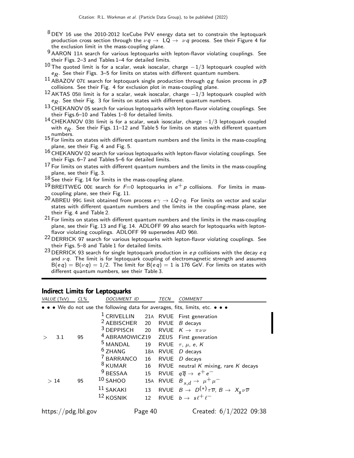- $8$  DEY 16 use the 2010-2012 IceCube PeV energy data set to constrain the leptoquark production cross section through the  $\nu q \rightarrow LQ \rightarrow \nu q$  process. See their Figure 4 for the exclusion limit in the mass-coupling plane.
- 9 AARON 11A search for various leptoquarks with lepton-flavor violating couplings. See their Figs. 2–3 and Tables 1–4 for detailed limits.
- $10$  The quoted limit is for a scalar, weak isoscalar, charge  $-1/3$  leptoquark coupled with  $e_{\mathcal{R}}.$  See their Figs. 3–5 for limits on states with different quantum numbers.
- <sup>11</sup> ABAZOV 07E search for leptoquark single production through  $q g$  fusion process in  $p \overline{p}$ collisions. See their Fig. 4 for exclusion plot in mass-coupling plane.
- <sup>12</sup> AKTAS 05<sup>B</sup> limit is for a scalar, weak isoscalar, charge <sup>−</sup>1/3 leptoquark coupled with  $e_{\mathcal{R}}.$  See their Fig. 3 for limits on states with different quantum numbers.
- 13 CHEKANOV 05 search for various leptoquarks with lepton-flavor violating couplings. See their Figs.6–10 and Tables 1–8 for detailed limits.
- <sup>14</sup> CHEKANOV 03<sup>B</sup> limit is for a scalar, weak isoscalar, charge <sup>−</sup>1/3 leptoquark coupled with  $e_{\mathcal{R}}$ . See their Figs. 11–12 and Table 5 for limits on states with different quantum numbers.
- 15 For limits on states with different quantum numbers and the limits in the mass-coupling plane, see their Fig. 4 and Fig. 5.
- 16 CHEKANOV 02 search for various leptoquarks with lepton-flavor violating couplings. See their Figs. 6–7 and Tables 5–6 for detailed limits.
- $17$  For limits on states with different quantum numbers and the limits in the mass-coupling plane, see their Fig. 3.
- 18 See their Fig. 14 for limits in the mass-coupling plane.
- <sup>19</sup> BREITWEG 00E search for  $F=0$  leptoquarks in  $e^+p$  collisions. For limits in masscoupling plane, see their Fig. 11.
- <sup>20</sup> ABREU 99G limit obtained from process  $e\gamma \rightarrow LQ+q$ . For limits on vector and scalar states with different quantum numbers and the limits in the coupling-mass plane, see their Fig. 4 and Table 2.
- $21$  For limits on states with different quantum numbers and the limits in the mass-coupling plane, see their Fig. 13 and Fig. 14. ADLOFF 99 also search for leptoquarks with leptonflavor violating couplings. ADLOFF 99 supersedes AID 96B.
- <sup>22</sup> DERRICK 97 search for various leptoquarks with lepton-flavor violating couplings. See their Figs. 5–8 and Table 1 for detailed limits.
- 23 DERRICK 93 search for single leptoquark production in  $ep$  collisions with the decay  $eq$ and  $\nu q$ . The limit is for leptoquark coupling of electromagnetic strength and assumes  $B(eq) = B(\nu q) = 1/2$ . The limit for  $B(eq) = 1$  is 176 GeV. For limits on states with different quantum numbers, see their Table 3.

### Indirect Limits for Leptoquarks

| VALUE (TeV)                                                                   | $CL\%$ | <b>DOCUMENT ID</b>                                                                                                                                                                                                 |                                   | TECN | COMMENT                                                                                                                                                                                                                                                |  |  |  |
|-------------------------------------------------------------------------------|--------|--------------------------------------------------------------------------------------------------------------------------------------------------------------------------------------------------------------------|-----------------------------------|------|--------------------------------------------------------------------------------------------------------------------------------------------------------------------------------------------------------------------------------------------------------|--|--|--|
| • • • We do not use the following data for averages, fits, limits, etc. • • • |        |                                                                                                                                                                                                                    |                                   |      |                                                                                                                                                                                                                                                        |  |  |  |
| 3.1                                                                           | 95     | $2$ AEBISCHER 20 RVUE <i>B</i> decays<br><sup>3</sup> DEPPISCH 20 RVUE $K \rightarrow \pi \nu \nu$<br><sup>4</sup> ABRAMOWICZ19 ZEUS First generation<br><sup>5</sup> MANDAL<br>$6$ ZHANG<br><sup>7</sup> BARRANCO | 16                                |      | <sup>1</sup> CRIVELLIN 21A RVUE First generation<br>19 RVUE $\tau$ , $\mu$ , e, K<br>18A RVUE D decays<br>RVUE D decays                                                                                                                                |  |  |  |
| >14                                                                           | 95     | <sup>8</sup> KUMAR<br><sup>9</sup> BESSAA<br>$10$ SAHOO<br>$11$ SAKAKI<br><sup>12</sup> KOSNIK                                                                                                                     | 16<br>15<br>13<br>12 <sup>2</sup> |      | RVUE neutral $K$ mixing, rare $K$ decays<br>RVUE $q\overline{q} \rightarrow e^+e^-$<br>15A RVUE $B_{s,d} \rightarrow \mu^+ \mu^-$<br>RVUE $B \to D^{(*)} \tau \overline{\nu}$ , $B \to X_c \nu \overline{\nu}$<br>RVUE $b \rightarrow s \ell^+ \ell^-$ |  |  |  |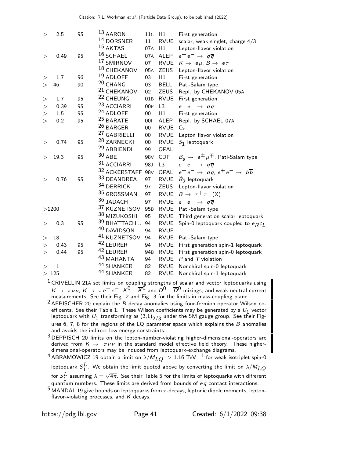| <sup>14</sup> DORSNER<br>11<br><b>RVUE</b><br>$15$ AKTAS<br>07A<br>H1<br>$16$ SCHAEL<br>$e^+e^- \rightarrow q\overline{q}$<br>ALEP<br>95<br>07A<br>0.49<br>$\,>$<br>17 SMIRNOV<br><b>RVUE</b><br>07<br>$K \rightarrow e \mu$ , $B \rightarrow e \tau$<br>18 CHEKANOV<br>05A<br><b>ZEUS</b><br>$19$ ADLOFF<br>96<br>H1<br>1.7<br>03<br>First generation<br>><br>20 CHANG<br>46<br>90<br>03<br><b>BELL</b><br>Pati-Salam type<br>$\geq$<br><sup>21</sup> CHEKANOV<br>02<br><b>ZEUS</b><br><sup>22</sup> CHEUNG<br>1.7<br>95<br>01B<br><b>RVUE</b><br>First generation<br>><br><sup>23</sup> ACCIARRI<br>$e^+e^- \rightarrow qq$<br>0.39<br>95<br>00P<br>L3<br>><br><sup>24</sup> ADLOFF<br>H1<br>95<br>$00\,$<br>First generation<br>1.5<br>><br><sup>25</sup> BARATE<br>0.2<br>95<br>001<br>ALEP<br>><br>$^{26}$ BARGER<br><b>RVUE</b><br>00<br>Cs<br><sup>27</sup> GABRIELLI<br>$00\,$<br><b>RVUE</b><br><sup>28</sup> ZARNECKI<br><b>RVUE</b><br>95<br>$00\,$<br>$S_1$ leptoquark<br>0.74<br>><br><sup>29</sup> ABBIENDI<br>OPAL<br>99<br>30 ABE<br>98 <sub>V</sub><br><b>CDF</b><br>19.3<br>95<br>><br>31 ACCIARRI<br>$e^+e^- \rightarrow q\overline{q}$<br>98J<br>L <sub>3</sub><br>32 ACKERSTAFF 98V<br>OPAL<br>33 DEANDREA<br><b>RVUE</b><br>95<br>97<br>$R_2$ leptoquark<br>0.76<br>$\,>$<br>34 DERRICK<br><b>ZEUS</b><br>97<br>35 GROSSMAN<br>$B \rightarrow \tau^+ \tau^- (X)$<br><b>RVUE</b><br>97<br>36 JADACH<br>$e^+e^- \rightarrow q\overline{q}$<br>RVUE<br>97<br>37 KUZNETSOV<br><b>RVUE</b><br>Pati-Salam type<br>>1200<br>95 <sub>B</sub><br>38 MIZUKOSHI<br>95<br><b>RVUE</b><br>39 BHATTACH<br>94<br>95<br><b>RVUE</b><br>0.3<br>$\,>$<br>40 DAVIDSON<br>94<br><b>RVUE</b><br>41 KUZNETSOV<br><b>RVUE</b><br>18<br>94<br>Pati-Salam type<br>><br>42 LEURER<br>95<br><b>RVUE</b><br>0.43<br>94<br>><br>42 LEURER<br>95<br>94 <sub>B</sub><br><b>RVUE</b><br>0.44<br>> | First generation                                                        |
|-----------------------------------------------------------------------------------------------------------------------------------------------------------------------------------------------------------------------------------------------------------------------------------------------------------------------------------------------------------------------------------------------------------------------------------------------------------------------------------------------------------------------------------------------------------------------------------------------------------------------------------------------------------------------------------------------------------------------------------------------------------------------------------------------------------------------------------------------------------------------------------------------------------------------------------------------------------------------------------------------------------------------------------------------------------------------------------------------------------------------------------------------------------------------------------------------------------------------------------------------------------------------------------------------------------------------------------------------------------------------------------------------------------------------------------------------------------------------------------------------------------------------------------------------------------------------------------------------------------------------------------------------------------------------------------------------------------------------------------------------------------------------------------------------------------------------------------------------------------------------------------------|-------------------------------------------------------------------------|
|                                                                                                                                                                                                                                                                                                                                                                                                                                                                                                                                                                                                                                                                                                                                                                                                                                                                                                                                                                                                                                                                                                                                                                                                                                                                                                                                                                                                                                                                                                                                                                                                                                                                                                                                                                                                                                                                                         | scalar, weak singlet, charge 4/3                                        |
|                                                                                                                                                                                                                                                                                                                                                                                                                                                                                                                                                                                                                                                                                                                                                                                                                                                                                                                                                                                                                                                                                                                                                                                                                                                                                                                                                                                                                                                                                                                                                                                                                                                                                                                                                                                                                                                                                         | Lepton-flavor violation                                                 |
|                                                                                                                                                                                                                                                                                                                                                                                                                                                                                                                                                                                                                                                                                                                                                                                                                                                                                                                                                                                                                                                                                                                                                                                                                                                                                                                                                                                                                                                                                                                                                                                                                                                                                                                                                                                                                                                                                         |                                                                         |
|                                                                                                                                                                                                                                                                                                                                                                                                                                                                                                                                                                                                                                                                                                                                                                                                                                                                                                                                                                                                                                                                                                                                                                                                                                                                                                                                                                                                                                                                                                                                                                                                                                                                                                                                                                                                                                                                                         |                                                                         |
|                                                                                                                                                                                                                                                                                                                                                                                                                                                                                                                                                                                                                                                                                                                                                                                                                                                                                                                                                                                                                                                                                                                                                                                                                                                                                                                                                                                                                                                                                                                                                                                                                                                                                                                                                                                                                                                                                         | Lepton-flavor violation                                                 |
|                                                                                                                                                                                                                                                                                                                                                                                                                                                                                                                                                                                                                                                                                                                                                                                                                                                                                                                                                                                                                                                                                                                                                                                                                                                                                                                                                                                                                                                                                                                                                                                                                                                                                                                                                                                                                                                                                         |                                                                         |
|                                                                                                                                                                                                                                                                                                                                                                                                                                                                                                                                                                                                                                                                                                                                                                                                                                                                                                                                                                                                                                                                                                                                                                                                                                                                                                                                                                                                                                                                                                                                                                                                                                                                                                                                                                                                                                                                                         |                                                                         |
|                                                                                                                                                                                                                                                                                                                                                                                                                                                                                                                                                                                                                                                                                                                                                                                                                                                                                                                                                                                                                                                                                                                                                                                                                                                                                                                                                                                                                                                                                                                                                                                                                                                                                                                                                                                                                                                                                         | Repl. by CHEKANOV 05A                                                   |
|                                                                                                                                                                                                                                                                                                                                                                                                                                                                                                                                                                                                                                                                                                                                                                                                                                                                                                                                                                                                                                                                                                                                                                                                                                                                                                                                                                                                                                                                                                                                                                                                                                                                                                                                                                                                                                                                                         |                                                                         |
|                                                                                                                                                                                                                                                                                                                                                                                                                                                                                                                                                                                                                                                                                                                                                                                                                                                                                                                                                                                                                                                                                                                                                                                                                                                                                                                                                                                                                                                                                                                                                                                                                                                                                                                                                                                                                                                                                         |                                                                         |
|                                                                                                                                                                                                                                                                                                                                                                                                                                                                                                                                                                                                                                                                                                                                                                                                                                                                                                                                                                                                                                                                                                                                                                                                                                                                                                                                                                                                                                                                                                                                                                                                                                                                                                                                                                                                                                                                                         |                                                                         |
|                                                                                                                                                                                                                                                                                                                                                                                                                                                                                                                                                                                                                                                                                                                                                                                                                                                                                                                                                                                                                                                                                                                                                                                                                                                                                                                                                                                                                                                                                                                                                                                                                                                                                                                                                                                                                                                                                         | Repl. by SCHAEL 07A                                                     |
|                                                                                                                                                                                                                                                                                                                                                                                                                                                                                                                                                                                                                                                                                                                                                                                                                                                                                                                                                                                                                                                                                                                                                                                                                                                                                                                                                                                                                                                                                                                                                                                                                                                                                                                                                                                                                                                                                         |                                                                         |
|                                                                                                                                                                                                                                                                                                                                                                                                                                                                                                                                                                                                                                                                                                                                                                                                                                                                                                                                                                                                                                                                                                                                                                                                                                                                                                                                                                                                                                                                                                                                                                                                                                                                                                                                                                                                                                                                                         | Lepton flavor violation                                                 |
|                                                                                                                                                                                                                                                                                                                                                                                                                                                                                                                                                                                                                                                                                                                                                                                                                                                                                                                                                                                                                                                                                                                                                                                                                                                                                                                                                                                                                                                                                                                                                                                                                                                                                                                                                                                                                                                                                         |                                                                         |
|                                                                                                                                                                                                                                                                                                                                                                                                                                                                                                                                                                                                                                                                                                                                                                                                                                                                                                                                                                                                                                                                                                                                                                                                                                                                                                                                                                                                                                                                                                                                                                                                                                                                                                                                                                                                                                                                                         |                                                                         |
|                                                                                                                                                                                                                                                                                                                                                                                                                                                                                                                                                                                                                                                                                                                                                                                                                                                                                                                                                                                                                                                                                                                                                                                                                                                                                                                                                                                                                                                                                                                                                                                                                                                                                                                                                                                                                                                                                         | $B_{\texttt{c}}\rightarrow~\texttt{e}^{\pm}\mu^{\mp}$ , Pati-Salam type |
|                                                                                                                                                                                                                                                                                                                                                                                                                                                                                                                                                                                                                                                                                                                                                                                                                                                                                                                                                                                                                                                                                                                                                                                                                                                                                                                                                                                                                                                                                                                                                                                                                                                                                                                                                                                                                                                                                         |                                                                         |
|                                                                                                                                                                                                                                                                                                                                                                                                                                                                                                                                                                                                                                                                                                                                                                                                                                                                                                                                                                                                                                                                                                                                                                                                                                                                                                                                                                                                                                                                                                                                                                                                                                                                                                                                                                                                                                                                                         | $e^+e^- \rightarrow q\overline{q}$ , $e^+e^- \rightarrow b\overline{b}$ |
|                                                                                                                                                                                                                                                                                                                                                                                                                                                                                                                                                                                                                                                                                                                                                                                                                                                                                                                                                                                                                                                                                                                                                                                                                                                                                                                                                                                                                                                                                                                                                                                                                                                                                                                                                                                                                                                                                         |                                                                         |
|                                                                                                                                                                                                                                                                                                                                                                                                                                                                                                                                                                                                                                                                                                                                                                                                                                                                                                                                                                                                                                                                                                                                                                                                                                                                                                                                                                                                                                                                                                                                                                                                                                                                                                                                                                                                                                                                                         | Lepton-flavor violation                                                 |
|                                                                                                                                                                                                                                                                                                                                                                                                                                                                                                                                                                                                                                                                                                                                                                                                                                                                                                                                                                                                                                                                                                                                                                                                                                                                                                                                                                                                                                                                                                                                                                                                                                                                                                                                                                                                                                                                                         |                                                                         |
|                                                                                                                                                                                                                                                                                                                                                                                                                                                                                                                                                                                                                                                                                                                                                                                                                                                                                                                                                                                                                                                                                                                                                                                                                                                                                                                                                                                                                                                                                                                                                                                                                                                                                                                                                                                                                                                                                         |                                                                         |
|                                                                                                                                                                                                                                                                                                                                                                                                                                                                                                                                                                                                                                                                                                                                                                                                                                                                                                                                                                                                                                                                                                                                                                                                                                                                                                                                                                                                                                                                                                                                                                                                                                                                                                                                                                                                                                                                                         |                                                                         |
|                                                                                                                                                                                                                                                                                                                                                                                                                                                                                                                                                                                                                                                                                                                                                                                                                                                                                                                                                                                                                                                                                                                                                                                                                                                                                                                                                                                                                                                                                                                                                                                                                                                                                                                                                                                                                                                                                         | Third generation scalar leptoquark                                      |
|                                                                                                                                                                                                                                                                                                                                                                                                                                                                                                                                                                                                                                                                                                                                                                                                                                                                                                                                                                                                                                                                                                                                                                                                                                                                                                                                                                                                                                                                                                                                                                                                                                                                                                                                                                                                                                                                                         | Spin-0 leptoquark coupled to $\overline{e}_R t_I$                       |
|                                                                                                                                                                                                                                                                                                                                                                                                                                                                                                                                                                                                                                                                                                                                                                                                                                                                                                                                                                                                                                                                                                                                                                                                                                                                                                                                                                                                                                                                                                                                                                                                                                                                                                                                                                                                                                                                                         |                                                                         |
|                                                                                                                                                                                                                                                                                                                                                                                                                                                                                                                                                                                                                                                                                                                                                                                                                                                                                                                                                                                                                                                                                                                                                                                                                                                                                                                                                                                                                                                                                                                                                                                                                                                                                                                                                                                                                                                                                         |                                                                         |
|                                                                                                                                                                                                                                                                                                                                                                                                                                                                                                                                                                                                                                                                                                                                                                                                                                                                                                                                                                                                                                                                                                                                                                                                                                                                                                                                                                                                                                                                                                                                                                                                                                                                                                                                                                                                                                                                                         | First generation spin-1 leptoquark                                      |
|                                                                                                                                                                                                                                                                                                                                                                                                                                                                                                                                                                                                                                                                                                                                                                                                                                                                                                                                                                                                                                                                                                                                                                                                                                                                                                                                                                                                                                                                                                                                                                                                                                                                                                                                                                                                                                                                                         | First generation spin-0 leptoquark                                      |
| 43 MAHANTA<br>94<br><b>RVUE</b>                                                                                                                                                                                                                                                                                                                                                                                                                                                                                                                                                                                                                                                                                                                                                                                                                                                                                                                                                                                                                                                                                                                                                                                                                                                                                                                                                                                                                                                                                                                                                                                                                                                                                                                                                                                                                                                         | $P$ and $T$ violation                                                   |
| 44 SHANKER<br>82<br><b>RVUE</b><br>$\mathbf 1$<br>>                                                                                                                                                                                                                                                                                                                                                                                                                                                                                                                                                                                                                                                                                                                                                                                                                                                                                                                                                                                                                                                                                                                                                                                                                                                                                                                                                                                                                                                                                                                                                                                                                                                                                                                                                                                                                                     | Nonchiral spin-0 leptoquark                                             |
| 44 SHANKER<br>82<br><b>RVUE</b><br>$>125$                                                                                                                                                                                                                                                                                                                                                                                                                                                                                                                                                                                                                                                                                                                                                                                                                                                                                                                                                                                                                                                                                                                                                                                                                                                                                                                                                                                                                                                                                                                                                                                                                                                                                                                                                                                                                                               | Nonchiral spin-1 leptoquark                                             |

1 CRIVELLIN 21<sup>A</sup> set limits on coupling strengths of scalar and vector leptoquarks using  $K \to \pi \nu \nu$ ,  $K \to \pi e^+ e^-$ ,  $K^0 - \overline{K}{}^0$  and  $D^0 - \overline{D}{}^0$  mixings, and weak neutral current measurements. See their Fig. 2 and Fig. 3 for the limits in mass-coupling plane.

<sup>2</sup> AEBISCHER 20 explain the  $\overline{B}$  decay anomalies using four-fermion operator Wilson coefficents. See their Table 1. These Wilson coefficients may be generated by a  $U_1$  vector leptoquark with  $U_1$  transforming as  $\left(3,1\right)_{2/3}$  under the SM gauge group. See their Figures 6, 7, 8 for the regions of the LQ parameter space which explains the  $B$  anomalies and avoids the indirect low energy constraints.

3 DEPPISCH 20 limits on the lepton-number-violating higher-dimensional-operators are derived from  $K \to \pi \nu \nu$  in the standard model effective field theory. These higherdimensional-operators may be induced from leptoquark-exchange diagrams.

 $^4$ ABRAMOWICZ 19 obtain a limit on  $\lambda/M_{LQ}~>$  1.16 TeV $^{-1}$  for weak isotriplet spin-0 leptoquark  ${\cal S}^L_1$ . We obtain the limit quoted above by converting the limit on  $\lambda/M_{LQ}$ for  $S_1^L$  assuming  $\lambda = \sqrt{4\pi}$ . See their Table 5 for the limits of leptoquarks with different quantum numbers. These limits are derived from bounds of  $eq$  contact interactions.

 $5$  MANDAL 19 give bounds on leptoquarks from  $\tau$ -decays, leptonic dipole moments, leptonflavor-violating processes, and  $K$  decays.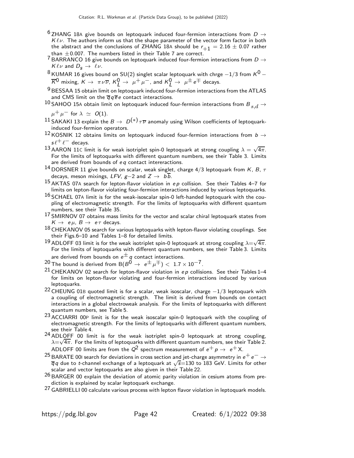- $^6$  ZHANG 18A give bounds on leptoquark induced four-fermion interactions from  $D \rightarrow$  $K \ell \nu$ . The authors inform us that the shape parameter of the vector form factor in both the abstract and the conclusions of ZHANG 18A should be  $r_{+1} = 2.16 \pm 0.07$  rather than  $\pm$  0.007. The numbers listed in their Table 7 are correct.
- $7$  BARRANCO 16 give bounds on leptoquark induced four-fermion interactions from  $D \rightarrow$  $K \ell \nu$  and  $D_s \rightarrow \ell \nu$ .
- $8$  KUMAR 16 gives bound on SU(2) singlet scalar leptoquark with chrge  $-1/3$  from  $K^0$   $\overline{\cal K}{}^0$  mixing,  ${\cal K}\to~\pi\,\nu\overline{\nu}$ ,  ${\cal K}^0_L\to~\mu^+\,\mu^-$ , and  ${\cal K}^0_L\to~\mu^\pm\,e^\mp$  decays.
- $9$  BESSAA 15 obtain limit on leptoquark induced four-fermion interactions from the ATLAS and CMS limit on the  $\overline{q} q \overline{e} e$  contact interactions.
- $^{10}$  SAHOO 15A obtain limit on leptoquark induced four-fermion interactions from  $B_{s,d} \rightarrow$

 $\mu^+ \mu^-$  for  $\lambda \simeq O(1)$ .

- 11 SAKAKI 13 explain the  $B \to D^{(*)} \tau \overline{\nu}$  anomaly using Wilson coefficients of leptoquarkinduced four-fermion operators.
- <sup>12</sup> KOSNIK 12 obtains limits on leptoquark induced four-fermion interactions from  $b \rightarrow$  $s\ell^+\ell^-$  decays.
- 13 AARON 11C limit is for weak isotriplet spin-0 leptoquark at strong coupling  $\lambda = \sqrt{4\pi}$ . For the limits of leptoquarks with different quantum numbers, see their Table 3. Limits are derived from bounds of  $eq$  contact intereractions.
- <sup>14</sup> DORSNER 11 give bounds on scalar, weak singlet, charge 4/3 leptoquark from K, B,  $\tau$ decays, meson mixings, LFV,  $g=2$  and  $Z \rightarrow b\overline{b}$ .
- $15$  AKTAS 07A search for lepton-flavor violation in ep collision. See their Tables 4–7 for limits on lepton-flavor violating four-fermion interactions induced by various leptoquarks.
- $16$  SCHAEL 07A limit is for the weak-isoscalar spin-0 left-handed leptoquark with the coupling of electromagnetic strength. For the limits of leptoquarks with different quantum numbers, see their Table 35.
- $17$  SMIRNOV 07 obtains mass limits for the vector and scalar chiral leptoquark states from  $K \rightarrow e \mu$ ,  $B \rightarrow e \tau$  decays.
- $18$  CHEKANOV 05 search for various leptoquarks with lepton-flavor violating couplings. See their Figs.6–10 and Tables 1–8 for detailed limits.
- <sup>19</sup> ADLOFF 03 limit is for the weak isotriplet spin-0 leptoquark at strong coupling  $\lambda = \sqrt{4\pi}$ . For the limits of leptoquarks with different quantum numbers, see their Table 3. Limits are derived from bounds on  $e^{\pm}$  q contact interactions.

<sup>20</sup> The bound is derived from B( $B^{0} \rightarrow e^{\pm} \mu^{\mp}$ ) < 1.7 × 10<sup>-7</sup>.

- $21$  CHEKANOV 02 search for lepton-flavor violation in ep collisions. See their Tables 1-4 for limits on lepton-flavor violating and four-fermion interactions induced by various leptoquarks.
- $22$  CHEUNG 01B quoted limit is for a scalar, weak isoscalar, charge  $-1/3$  leptoquark with a coupling of electromagnetic strength. The limit is derived from bounds on contact interactions in a global electroweak analysis. For the limits of leptoquarks with different quantum numbers, see Table 5.
- 23 ACCIARRI 00P limit is for the weak isoscalar spin-0 leptoquark with the coupling of electromagnetic strength. For the limits of leptoquarks with different quantum numbers, see their Table 4.
- <sup>24</sup> ADLOFF 00 limit is for the weak isotriplet spin-0 leptoquark at strong coupling,  $\sqrt{4\pi}$  For the limits of leptoquarks with different quantum numbers see their Table ?  $\lambda{=}\surd{4}\pi.$  For the limits of leptoquarks with different quantum numbers, see their Table 2. ADLOFF 00 limits are from the  $Q^2$  spectrum measurement of  $e^+ p \rightarrow e^+ X$ .
- <sup>25</sup> BARATE 00I search for deviations in cross section and jet-charge asymmetry in  $e^+e^-\rightarrow$  $\frac{1}{q}q$  due to t-channel exchange of a leptoquark at  $\sqrt{s}$ =130 to 183 GeV. Limits for other scalar and vector leptoquarks are also given in their Table 22.
- $^{26}$  BARGER 00 explain the deviation of atomic parity violation in cesium atoms from prediction is explained by scalar leptoquark exchange.
- 27 GABRIELLI 00 calculate various process with lepton flavor violation in leptoquark models.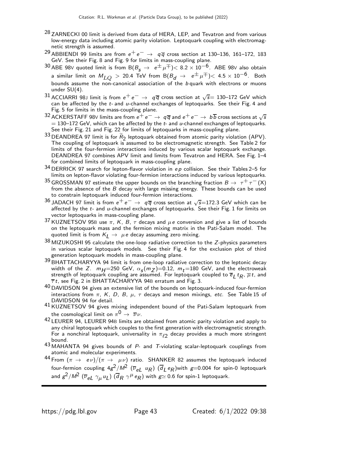- <sup>28</sup> ZARNECKI 00 limit is derived from data of HERA, LEP, and Tevatron and from various low-energy data including atomic parity violation. Leptoquark coupling with electromagnetic strength is assumed.
- 29 ABBIENDI 99 limits are from  $e^+e^- \rightarrow q\overline{q}$  cross section at 130–136, 161–172, 183 GeV. See their Fig. 8 and Fig. 9 for limits in mass-coupling plane.
- 30 ABE 98V quoted limit is from B( $B<sub>s</sub> \rightarrow e^{\pm} \mu^{\mp}$ )< 8.2 × 10<sup>-6</sup>. ABE 98V also obtain a similar limit on  $M_{LO}$  > 20.4 TeV from B $(B_d \to e^{\pm} \mu^{\mp})$  < 4.5  $\times$  10<sup>-6</sup>. Both bounds assume the non-canonical association of the b quark with electrons or muons under SU(4).
- $^{31}$  ACCIARRI 98J limit is from  $e^+e^-\rightarrow\ q\overline{q}$  cross section at  $\sqrt{s}=$  130–172 GeV which can be affected by the  $t$ - and  $u$ -channel exchanges of leptoquarks. See their Fig. 4 and Fig. 5 for limits in the mass-coupling plane.
- 32 ACKERSTAFF 98V limits are from  $e^+e^- \rightarrow q\overline{q}$  and  $e^+e^- \rightarrow b\overline{b}$  cross sections at  $\sqrt{s}$  $= 130-172$  GeV, which can be affected by the t- and u-channel exchanges of leptoquarks. See their Fig. 21 and Fig. 22 for limits of leptoquarks in mass-coupling plane.
- <sup>33</sup> DEANDREA 97 limit is for  $\widetilde{R}_2$  leptoquark obtained from atomic parity violation (APV). The coupling of leptoquark is assumed to be electromagnetic strength. See Table 2 for limits of the four-fermion interactions induced by various scalar leptoquark exchange. DEANDREA 97 combines APV limit and limits from Tevatron and HERA. See Fig. 1–4 for combined limits of leptoquark in mass-coupling plane.
- $34$  DERRICK 97 search for lepton-flavor violation in ep collision. See their Tables 2-5 for limits on lepton-flavor violating four-fermion interactions induced by various leptoquarks.
- <sup>35</sup> GROSSMAN 97 estimate the upper bounds on the branching fraction  $B \to \tau^+ \tau^- (X)$ from the absence of the  $B$  decay with large missing energy. These bounds can be used to constrain leptoquark induced four-fermion interactions.
- <sup>36</sup> JADACH 97 limit is from  $e^+e^-\rightarrow q\bar{q}$  cross section at  $\sqrt{s}$ =172.3 GeV which can be affected by the  $t$ - and  $u$ -channel exchanges of leptoquarks. See their Fig. 1 for limits on vector leptoquarks in mass-coupling plane.
- 37 KUZNETSOV 95B use  $\pi$ , K, B,  $\tau$  decays and  $\mu$ e conversion and give a list of bounds on the leptoquark mass and the fermion mixing matrix in the Pati-Salam model. The quoted limit is from  $K_L \rightarrow \mu e$  decay assuming zero mixing.
- $38$  MIZUKOSHI 95 calculate the one-loop radiative correction to the Z-physics parameters in various scalar leptoquark models. See their Fig. 4 for the exclusion plot of third generation leptoquark models in mass-coupling plane.
- 39 BHATTACHARYYA 94 limit is from one-loop radiative correction to the leptonic decay width of the Z.  $m_{H} = 250$  GeV,  $\alpha_{s}(m_{Z}) = 0.12$ ,  $m_{t} = 180$  GeV, and the electroweak strength of leptoquark coupling are assumed. For leptoquark coupled to  $\overline{e}_L t_R$ ,  $\overline{\mu} t$ , and  $\overline{\tau}$ t, see Fig. 2 in BHATTACHARYYA 94B erratum and Fig. 3.
- <sup>40</sup> DAVIDSON 94 gives an extensive list of the bounds on leptoquark-induced four-fermion interactions from  $\pi$ , K, D, B,  $\mu$ ,  $\tau$  decays and meson mixings, etc. See Table 15 of DAVIDSON 94 for detail.
- 41 KUZNETSOV 94 gives mixing independent bound of the Pati-Salam leptoquark from the cosmological limit on  $\pi^0 \rightarrow \overline{\nu} \nu$ .
- 42 LEURER 94, LEURER 94<sup>B</sup> limits are obtained from atomic parity violation and apply to any chiral leptoquark which couples to the first generation with electromagnetic strength. For a nonchiral leptoquark, universality in  $\pi_{\ell 2}$  decay provides a much more stringent bound.
- 43 MAHANTA 94 gives bounds of P- and T-violating scalar-leptoquark couplings from atomic and molecular experiments.
- $^{44}$  From  $(\pi \rightarrow e\nu)/(\pi \rightarrow \mu\nu)$  ratio. SHANKER 82 assumes the leptoquark induced four-fermion coupling  $4g^2/M^2$   $(\overline{\nu}_{eL}$   $u_R)$   $(\overline{d}_L e_R)$ with  $g=$ 0.004 for spin-0 leptoquark and  $g^2/M^2$   $(\overline{\nu}_{eL} \ \gamma_{\mu} \ u_L)$   $(\overline{d}_R \ \gamma^{\mu} \ e_R)$  with  $g$  $\simeq$  0.6 for spin-1 leptoquark.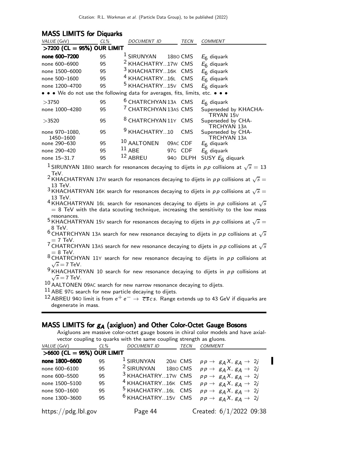### **MASS LIMITS for Diquarks**

| VALUE (GeV)                                                                   | $CL\%$ | DOCUMENT ID                      |          | TECN        | <b>COMMENT</b>                                 |
|-------------------------------------------------------------------------------|--------|----------------------------------|----------|-------------|------------------------------------------------|
| $>$ 7200 (CL = 95%) OUR LIMIT                                                 |        |                                  |          |             |                                                |
| none 600-7200                                                                 | 95     | <sup>1</sup> SIRUNYAN            | 18BO CMS |             | $E_6$ diquark                                  |
| none 600-6900                                                                 | 95     | <sup>2</sup> KHACHATRY17W CMS    |          |             | $E_6$ diquark                                  |
| none 1500-6000                                                                | 95     | <sup>3</sup> KHACHATRY16K CMS    |          |             | $E_6$ diquark                                  |
| none 500-1600                                                                 | 95     | <sup>4</sup> KHACHATRY16L CMS    |          |             | $E_6$ diquark                                  |
| none 1200-4700                                                                | 95     | <sup>5</sup> KHACHATRY15V CMS    |          |             | $E_6$ diquark                                  |
| • • • We do not use the following data for averages, fits, limits, etc. • • • |        |                                  |          |             |                                                |
| >3750                                                                         | 95     | <sup>6</sup> CHATRCHYAN 13A CMS  |          |             | $E_6$ diquark                                  |
| none 1000-4280                                                                | 95     | <sup>7</sup> CHATRCHYAN 13AS CMS |          |             | Superseded by KHACHA-                          |
| >3520                                                                         | 95     | <sup>8</sup> CHATRCHYAN 11Y CMS  |          |             | TRYAN 15V<br>Superseded by CHA-<br>TRCHYAN 13A |
| none 970-1080,<br>1450-1600                                                   | 95     | <sup>9</sup> KHACHATRY10         |          | <b>CMS</b>  | Superseded by CHA-<br>TRCHYAN 13A              |
| none 290-630                                                                  | 95     | 10 AALTONEN                      | 09AC CDF |             | $E_6$ diquark                                  |
| none 290-420                                                                  | 95     | $11$ ABE                         | 97G CDF  |             | $E_6$ diquark                                  |
| none 15-31.7                                                                  | 95     | 12 ABREU                         | 940      | <b>DLPH</b> | SUSY $E_6$ diquark                             |
|                                                                               |        |                                  |          |             |                                                |

 $^1$ SIRUNYAN 18B0 search for resonances decaying to dijets in  $pp$  collisions at  $\sqrt{s}=13$ TeV.

<sup>2</sup> KHACHATRYAN 17W search for resonances decaying to dijets in  $pp$  collisions at  $\sqrt{s} =$  $_3$  13 TeV.<br><sup>3</sup> KHACHATRYAN 16K search for resonances decaying to dijets in  $pp$  collisions at  $\sqrt{s}=$ 

13 TeV.

 $4\overline{K}$ HACHATRYAN 16L search for resonances decaying to dijets in  $pp$  collisions at  $\sqrt{s}$  $= 8$  TeV with the data scouting technique, increasing the sensitivity to the low mass resonances.

- 5 KHACHATRYAN 15V search for resonances decaying to dijets in  $pp$  collisions at  $\sqrt{s} =$ 8 TeV.
- $^6$  CHATRCHYAN 13A search for new resonance decaying to dijets in  $pp$  collisions at  $\sqrt{s}$  $= 7$  TeV.

<sup>7</sup> CHATRCHYAN 13AS search for new resonance decaying to dijets in  $p\,p$  collisions at  $\sqrt{s}$  $_8 =$  8 TeV.<br><sup>8</sup> CHATRCHYAN 11Y search for new resonance decaying to dijets in  $\rho \rho$  collisions at

 $\sqrt{s}$  = 7 TeV.

 $^{9}$  KHACHATRYAN 10 search for new resonance decaying to dijets in  $p\,p$  collisions at  $\sqrt{s}$  = 7 TeV.

10 AALTONEN 09AC search for new narrow resonance decaying to dijets.

 $11$  ABE 97G search for new particle decaying to dijets.

<sup>12</sup> ABREU 940 limit is from  $e^+e^- \rightarrow \overline{c} \overline{s} c s$ . Range extends up to 43 GeV if diquarks are degenerate in mass.

## MASS LIMITS for  $g_A$  (axigluon) and Other Color-Octet Gauge Bosons

Axigluons are massive color-octet gauge bosons in chiral color models and have axialvector coupling to quarks with the same coupling strength as gluons.

| <i>VALUE</i> (GeV)           | $CL\%$ | <b>DOCUMENT ID</b>             | TECN     | <b>COMMENT</b>                             |
|------------------------------|--------|--------------------------------|----------|--------------------------------------------|
| $>6600$ (CL = 95%) OUR LIMIT |        |                                |          |                                            |
| none 1800-6600               | 95     | $1$ SIRUNYAN                   | 20AI CMS | $pp \rightarrow g_A X, g_A \rightarrow 2j$ |
| none 600-6100                | 95     | <sup>2</sup> SIRUNYAN 18BO CMS |          | $pp \rightarrow g_A X, g_A \rightarrow 2j$ |
| none 600-5500                | 95     | <sup>3</sup> KHACHATRY17W CMS  |          | $pp \rightarrow g_A X, g_A \rightarrow 2j$ |
| none 1500-5100               | 95     | <sup>4</sup> KHACHATRY16K CMS  |          | $pp \rightarrow g_A X, g_A \rightarrow 2j$ |
| none 500-1600                | 95     | <sup>5</sup> KHACHATRY16L CMS  |          | $pp \rightarrow g_A X, g_A \rightarrow 2j$ |
| none 1300-3600               | 95     | <sup>6</sup> KHACHATRY15V CMS  |          | $pp \rightarrow g_A X, g_A \rightarrow 2j$ |
| https://pdg.lbl.gov          |        | Page 44                        |          | Created: 6/1/2022 09:38                    |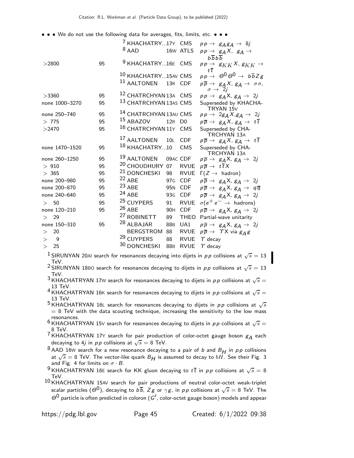• • • We do not use the following data for averages, fits, limits, etc. • • •

|                    |    | <sup>7</sup> KHACHATRY17Y CMS<br>$pp \rightarrow g_A g_A \rightarrow \delta j$<br>$8$ AAD<br>16w ATLS<br>$pp \rightarrow g_A X, g_A \rightarrow$ |
|--------------------|----|--------------------------------------------------------------------------------------------------------------------------------------------------|
| >2800              | 95 | $b\overline{b}b\overline{b}$<br><sup>9</sup> KHACHATRY16E CMS<br>$pp \rightarrow g_{KK}X$ , $g_{KK} \rightarrow$                                 |
|                    |    | $t\bar{t}$<br>$pp \rightarrow \Theta^0 \Theta^0 \rightarrow b\overline{b}Zg$<br>10 KHACHATRY15AV CMS                                             |
|                    |    | $^{11}$ AALTONEN<br>13R CDF<br>$p\overline{p} \rightarrow g_A X$ , $g_A \rightarrow \sigma \sigma$ ,<br>$\sigma \rightarrow 2j$                  |
| >3360              | 95 | 12 CHATRCHYAN 13A CMS<br>$pp \rightarrow g_A X, g_A \rightarrow 2j$                                                                              |
| none 1000-3270     | 95 | 13 CHATRCHYAN 13AS CMS<br>Superseded by KHACHA-<br>TRYAN 15V                                                                                     |
| none 250-740       | 95 | 14 CHATRCHYAN 13AU CMS<br>$pp \rightarrow 2g_A X, g_A \rightarrow 2j$                                                                            |
| > 775              | 95 | <sup>15</sup> ABAZOV<br>12R D0<br>$p\overline{p} \rightarrow g_A X, g_A \rightarrow t\overline{t}$                                               |
| >2470              | 95 | 16 CHATRCHYAN 11Y CMS<br>Superseded by CHA-<br><b>TRCHYAN 13A</b>                                                                                |
|                    |    | <sup>17</sup> AALTONEN<br><b>CDF</b><br>10L<br>$p\overline{p} \rightarrow g_A X, g_A \rightarrow t\overline{t}$                                  |
| none 1470-1520     | 95 | <sup>18</sup> KHACHATRY10<br><b>CMS</b><br>Superseded by CHA-<br><b>TRCHYAN 13A</b>                                                              |
| none 260-1250      | 95 | 19 AALTONEN<br>09AC CDF<br>$p\overline{p} \rightarrow g_A X, g_A \rightarrow 2j$                                                                 |
| > 910              | 95 | <sup>20</sup> CHOUDHURY 07<br><b>RVUE</b><br>$p\overline{p} \rightarrow t\overline{t}X$                                                          |
| > 365              | 95 | <sup>21</sup> DONCHESKI 98<br>RVUE<br>$\Gamma(Z \to \text{hadron})$                                                                              |
| none 200-980       | 95 | $22$ ABE<br>97G<br>CDF.<br>$p\overline{p} \rightarrow g_A X, g_A \rightarrow 2j$                                                                 |
| none 200-870       | 95 | $23$ ABE<br>95 <sub>N</sub><br>CDF<br>$p\overline{p} \rightarrow g_A X, g_A \rightarrow q\overline{q}$                                           |
| none 240-640       | 95 | $24$ ABE<br>93G<br><b>CDF</b><br>$p\overline{p} \rightarrow g_A X, g_A \rightarrow 2j$                                                           |
| 50<br>$\mathbf{L}$ | 95 | <sup>25</sup> CUYPERS<br>$\sigma(e^+e^- \rightarrow$ hadrons)<br><b>RVUE</b><br>91                                                               |
| none 120-210       | 95 | 26 ABE<br><b>CDF</b><br>90 <sub>H</sub><br>$p\overline{p} \rightarrow g_A X, g_A \rightarrow 2j$                                                 |
| 29<br>$\geq$       |    | <sup>27</sup> ROBINETT<br>89<br><b>THEO</b><br>Partial-wave unitarity                                                                            |
| none 150-310       | 95 | <sup>28</sup> ALBAJAR<br>88B<br>UA1<br>$p\overline{p} \rightarrow g_A X, g_A \rightarrow 2j$                                                     |
| 20<br>$\geq$       |    | <b>RVUE</b><br><b>BERGSTROM</b><br>88<br>$p\overline{p} \rightarrow \gamma X$ via $g_A g$                                                        |
| - 9<br>$\geq$      |    | <sup>29</sup> CUYPERS<br>88<br><b>RVUE</b><br>$\gamma$ decay                                                                                     |
| $\geq$<br>25       |    | 30 DONCHESKI<br><b>RVUE</b><br>$\gamma$ decay<br>88B                                                                                             |
|                    |    |                                                                                                                                                  |

 $^1$ SIRUNYAN 20AI search for resonances decaying into dijets in  $pp$  collisions at  $\sqrt{s}=13$ TeV.

<sup>2</sup> SIRUNYAN 18BO search for resonances decaying to dijets in pp collisions at  $\sqrt{s} = 13$ TeV.

 $3\overline{\text{KHACHATRYAN}}$  17W search for resonances decaying to dijets in  $pp$  collisions at  $\sqrt{s}=$ 13 TeV.

<sup>4</sup> KHACHATRYAN 16K search for resonances decaying to dijets in  $pp$  collisions at  $\sqrt{s} =$ 13 TeV.

 $^5$ KHACHATRYAN 16L search for resonances decaying to dijets in  $pp$  collisions at  $\sqrt{s}$  $= 8$  TeV with the data scouting technique, increasing the sensitivity to the low mass resonances.

6 KHACHATRYAN 15V search for resonances decaying to dijets in  $pp$  collisions at  $\sqrt{s} =$ 8 TeV.

 $76.187$  KHACHATRYAN 17Y search for pair production of color-octet gauge boson  $g_A$  each decaying to 4 $j$  in  $p \, p$  collisions at  $\sqrt{s} = 8$  TeV.

 $8$  AAD 16W search for a new resonance decaying to a pair of b and  $B_H$  in pp collisions at  $\sqrt{s} = 8$  TeV. The vector-like quark  $B_H$  is assumed to decay to  $bH$ . See their Fig. 3 and Fig. 4 for limits on  $\sigma \cdot B$ .

 $^9$ KHACHATRYAN 16E search for KK gluon decaying to  $t\overline{t}$  in  $pp$  collisions at  $\sqrt{s} = 8$ TeV.

 $10$  KHACHATRYAN 15AV search for pair productions of neutral color-octet weak-triplet scalar particles  $(\varTheta^0)$ , decaying to  $b\overline{b}$ ,  $Zg$  or  $\gamma g$ , in  $\rho\rho$  collisions at  $\sqrt{s}=8$  TeV. The  $\Theta^0$  particle is often predicted in coloron (G', color-octet gauge boson) models and appear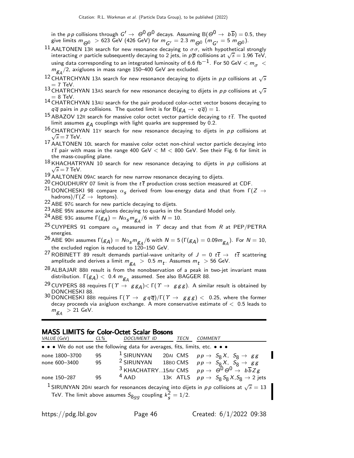in the pp collisions through  $G' \to \Theta^0 \Theta^0$  decays. Assuming  $B(\Theta^0 \to b\overline{b}) = 0.5$ , they give limits  $m_{\bigodot}$   $>$  623 GeV (426 GeV) for  $m_{\bigodot'} =$  2.3  $m_{\bigodot}$  ( $m_{\bigodot'} =$  5  $m_{\bigodot}$ 0).

- 11 AALTONEN 13R search for new resonance decaying to  $\sigma\sigma$ , with hypothetical strongly interacting  $\sigma$  particle subsequently decaying to 2 jets, in  $p\overline{p}$  collisions at  $\sqrt{s} = 1.96$  TeV, using data corresponding to an integrated luminosity of 6.6 fb $^{-1}$ . For 50 GeV  $< m_{\sigma} <$  $m_{\mathcal{B} A}/2$ , axigluons in mass range 150–400 GeV are excluded.
- 12 CHATRCHYAN 13A search for new resonance decaying to dijets in  $p \, p$  collisions at  $\sqrt{s}$  $= 7$  TeV.
- 13 CHATRCHYAN 13AS search for new resonance decaying to dijets in  $p \, p$  collisions at  $\sqrt{s}$  $=$  8 TeV.
- 14 CHATRCHYAN 13AU search for the pair produced color-octet vector bosons decaying to  $q\overline{q}$  pairs in pp collisions. The quoted limit is for B $(g_A \rightarrow q\overline{q}) = 1$ .
- $15$  ABAZOV 12R search for massive color octet vector particle decaying to  $t\bar{t}$ . The quoted limit assumes  $g_A$  couplings with light quarks are suppressed by 0.2.
- $^{16}$  CHATRCHYAN  $^{11}$ Y search for new resonance decaying to dijets in pp collisions at  $\sqrt{s}$  = 7 TeV.
- 17 AALTONEN 10L search for massive color octet non-chiral vector particle decaying into  $t\bar{t}$  pair with mass in the range 400 GeV  $<$  M  $<$  800 GeV. See their Fig. 6 for limit in the mass-coupling plane.
- $^{18}$ KHACHATRYAN 10 search for new resonance decaying to dijets in  $p p$  collisions at  $\sqrt{s}$  = 7 TeV.
- 19 AALTONEN 09AC search for new narrow resonance decaying to dijets.
- <sup>20</sup> CHOUDHURY 07 limit is from the  $t\bar{t}$  production cross section measured at CDF.
- <sup>21</sup> DONCHESKI 98 compare  $\alpha_{\mathcal{S}}$  derived from low-energy data and that from Γ(Z  $\rightarrow$ hadrons)/ $\Gamma(Z \to \text{leptons}).$
- 22 ABE 97<sup>G</sup> search for new particle decaying to dijets.
- 23 ABE 95<sup>N</sup> assume axigluons decaying to quarks in the Standard Model only.
- <sup>24</sup> ABE 93G assume  $\Gamma(g_{\mathcal{A}}) = N \alpha_s m_{g_{\mathcal{A}}}^2/6$  with  $N = 10$ .
- <sup>25</sup> CUYPERS 91 compare  $\alpha_{\mathbf{s}}$  measured in  $\Upsilon$  decay and that from R at PEP/PETRA energies.

<sup>26</sup> ABE 90H assumes  $\Gamma(g_A) = N \alpha_S m_{g_A}/6$  with  $N = 5$  ( $\Gamma(g_A) = 0.09 m_{g_A}$ ). For  $N = 10$ , the excluded region is reduced to 120–150 GeV.

- <sup>27</sup> ROBINETT 89 result demands partial-wave unitarity of  $J = 0$   $t\bar{t} \rightarrow t\bar{t}$  scattering amplitude and derives a limit  $m_{\tilde{\mathcal{B}}A}$   $>$  0.5  $m_t$ . Assumes  $m_t$   $>$  56 GeV.
- $^{28}$  ALBAJAR 88B result is from the nonobservation of a peak in two-jet invariant mass distribution.  $\Gamma(g_{\cal A}) < ~0.4 ~ m_{g_{\cal A}}$  assumed. See also BAGGER 88.
- $^{29}$  CUYPERS 88 requires Γ $(\varUpsilon\to\ g\bar g_A)$ < Γ $(\varUpsilon\to\ g\bar g\bar g)$ . A similar result is obtained by DONCHESKI 88.
- 30 DONCHESKI 88B requires  $\Gamma(\Upsilon \to g \overline{q})/\Gamma(\Upsilon \to g g g) < 0.25$ , where the former decay proceeds via axigluon exchange. A more conservative estimate of  $<$  0.5 leads to  $m_{\tilde{g}_A} > 21$  GeV.

#### MASS LIMITS for Color-Octet Scalar Bosons

| VALUE (GeV)                                                                                               | $CL\%$ | DOCUMENT ID | TECN | <b>COMMENT</b>                                                                                |  |  |
|-----------------------------------------------------------------------------------------------------------|--------|-------------|------|-----------------------------------------------------------------------------------------------|--|--|
| • • • We do not use the following data for averages, fits, limits, etc. • • •                             |        |             |      |                                                                                               |  |  |
| none 1800-3700                                                                                            | 95     |             |      | <sup>1</sup> SIRUNYAN 20AI CMS $pp \rightarrow S_8 X$ , $S_8 \rightarrow gg$                  |  |  |
| none 600-3400                                                                                             | 95     |             |      | <sup>2</sup> SIRUNYAN 18BO CMS $pp \rightarrow S_8 X, S_8 \rightarrow gg$                     |  |  |
|                                                                                                           |        |             |      | <sup>3</sup> KHACHATRY15AV CMS $pp \rightarrow \Theta^0 \Theta^0 \rightarrow b\overline{b}Zg$ |  |  |
| none 150-287                                                                                              | 95     | $4$ AAD     |      | 13K ATLS $p p \rightarrow S_8 S_8 X, S_8 \rightarrow 2$ jets                                  |  |  |
| <sup>1</sup> SIRUNYAN 20AI search for resonances decaying into dijets in pp collisions at $\sqrt{s} = 13$ |        |             |      |                                                                                               |  |  |
| TeV. The limit above assumes $S_{8qq}$ coupling $k_{\rm s}^2 = 1/2$ .                                     |        |             |      |                                                                                               |  |  |
|                                                                                                           |        |             |      |                                                                                               |  |  |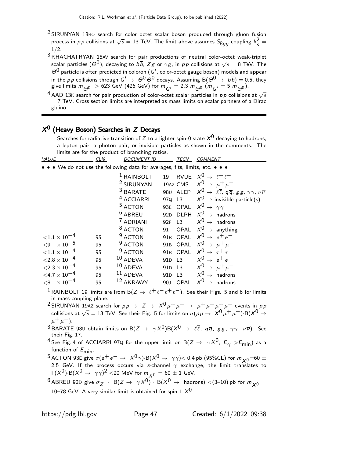- $2$  SIRUNYAN 18BO search for color octet scalar boson produced through gluon fusion process in  $p\,p$  collisions at  $\sqrt{s}=13$  TeV. The limit above assumes  $S_{8gg}$  coupling  $k_{\cal S}^2$  $\frac{2}{s}$  =  $1/2.$
- 3 KHACHATRYAN 15AV search for pair productions of neutral color-octet weak-triplet scalar particles  $(\varTheta^0)$ , decaying to  $b\overline{b}$ ,  $Zg$  or  $\gamma g$ , in  $\rho\rho$  collisions at  $\sqrt{s}=8$  TeV. The  $\Theta^0$  particle is often predicted in coloron (G', color-octet gauge boson) models and appear in the pp collisions through  $G' \to \Theta^0 \Theta^0$  decays. Assuming  $B(\Theta^0 \to b\overline{b}) = 0.5$ , they give limits  $m_{\bigodot}$   $>$  623 GeV (426 GeV) for  $m_{\bigodot'} = 2.3$   $m_{\bigodot}$  ( $m_{\bigodot'} = 5$   $m_{\bigodot}$ 0).
- <sup>4</sup> AAD 13K search for pair production of color-octet scalar particles in pp collisions at  $\sqrt{s}$  $= 7$  TeV. Cross section limits are interpreted as mass limits on scalar partners of a Dirac gluino.

## $\mathsf{X}^\mathbf{0}$  (Heavy Boson) Searches in  $\mathsf{Z}$  Decays

Searches for radiative transition of Z to a lighter spin-0 state  $X^0$  decaying to hadrons, a lepton pair, a photon pair, or invisible particles as shown in the comments. The limits are for the product of branching ratios.

| VALUE                             | $CL\%$ | <b>DOCUMENT ID</b>                                                            | <b>TECN</b>                    | <b>COMMENT</b>                                                                                                  |
|-----------------------------------|--------|-------------------------------------------------------------------------------|--------------------------------|-----------------------------------------------------------------------------------------------------------------|
|                                   |        | • • • We do not use the following data for averages, fits, limits, etc. • • • |                                |                                                                                                                 |
|                                   |        | <sup>1</sup> RAINBOLT                                                         | 19                             | RVUE $X^0 \rightarrow \ell^+ \ell^-$                                                                            |
|                                   |        | <sup>2</sup> SIRUNYAN                                                         |                                | 19AZ CMS $X^0 \rightarrow \mu^+ \mu^-$                                                                          |
|                                   |        | <sup>3</sup> BARATE                                                           |                                | 980 ALEP $X^0 \rightarrow \ell \overline{\ell}$ , q $\overline{q}$ , gg, $\gamma \gamma$ , $\nu \overline{\nu}$ |
|                                   |        | <sup>4</sup> ACCIARRI                                                         | 970 L3                         | $X^0 \rightarrow$ invisible particle(s)                                                                         |
|                                   |        | <sup>5</sup> ACTON                                                            |                                | 93E OPAL $X^0 \rightarrow \gamma \gamma$                                                                        |
|                                   |        | <sup>6</sup> ABREU                                                            |                                | 92D DLPH $X^0 \rightarrow$ hadrons                                                                              |
|                                   |        | <sup>7</sup> ADRIANI                                                          | 92F<br>L3                      | $X^0 \rightarrow$ hadrons                                                                                       |
|                                   |        | <sup>8</sup> ACTON                                                            | OPAL<br>91                     | $X^0 \rightarrow$ anything                                                                                      |
| ${<}1.1 \times 10^{-4}$           | 95     | <sup>9</sup> ACTON                                                            | OPAL<br>91 <sub>B</sub>        | $X^0 \rightarrow e^+e^-$                                                                                        |
| ${<}9 \times 10^{-5}$             | 95     | <sup>9</sup> ACTON                                                            |                                | 91B OPAL $X^0 \rightarrow \mu^+ \mu^-$                                                                          |
| ${<}1.1 \times 10^{-4}$           | 95     | <sup>9</sup> ACTON                                                            | 91B OPAL                       | $X^0 \rightarrow \tau^+ \tau^-$                                                                                 |
| $\langle 2.8 \times 10^{-4}$      | 95     | 10 ADEVA                                                                      | 91 <sub>D</sub> L <sub>3</sub> | $X^0 \rightarrow e^+e^-$                                                                                        |
| ${<}2.3\times10^{-4}$             | 95     | $10$ ADEVA                                                                    | 91 <sub>D</sub> L <sub>3</sub> | $X^0 \rightarrow \mu^+ \mu^-$                                                                                   |
| $<$ 4.7 $\times$ 10 <sup>-4</sup> | 95     | 11 ADEVA                                                                      | 91 <sub>D</sub> L <sub>3</sub> | $X^0 \rightarrow$ hadrons                                                                                       |
| $\times$ 10 <sup>-4</sup><br>< 8  | 95     | 12 AKRAWY                                                                     | <b>OPAL</b><br>90 <sub>J</sub> | $X^0$<br>$\rightarrow$ hadrons                                                                                  |
|                                   |        |                                                                               |                                |                                                                                                                 |

- <sup>1</sup> RAINBOLT 19 limits are from B( $Z \to \ell^+ \ell^- \ell^+ \ell^-$ ). See their Figs. 5 and 6 for limits in mass-coupling plane.
- <sup>2</sup> SIRUNYAN 19AZ search for  $p p \to Z \to X^0 \mu^+ \mu^- \to \mu^+ \mu^- \mu^+ \mu^-$  events in  $p p$ collisions at  $\sqrt{s}=13$  TeV. See their Fig. 5 for limits on  $\sigma(p\, p\to\ X^0\, \mu^+\, \mu^-)$  B $(X^0\to$  $\mu^+ \mu^-$ ).
- $3$  BARATE 980 obtain limits on B $(Z \to \gamma X^0)B(X^0 \to \ell \overline{\ell}, q \overline{q}, g g, \gamma \gamma, \nu \overline{\nu})$ . See their Fig. 17.
- <sup>4</sup> See Fig. 4 of ACCIARRI 97Q for the upper limit on B( $Z \rightarrow \gamma X^0$ ;  $E_{\gamma} > E_{\text{min}}$ ) as a function of  $E_{\text{min}}$ .
- <sup>5</sup> ACTON 93E give  $\sigma(e^+e^- \rightarrow X^0\gamma)$ ·B( $X^0 \rightarrow \gamma\gamma$ )< 0.4 pb (95%CL) for  $m_{X^0}$ =60  $\pm$ 2.5 GeV. If the process occurs via s-channel  $\gamma$  exchange, the limit translates to  $\Gamma(X^0) \cdot B(X^0 \to \gamma \gamma)^2 <$ 20 MeV for  $m_{\chi^0} = 60 \pm 1$  GeV.
- $^6$  ABREU 92D give  $\sigma_Z$   $\, \cdot \,$  B( $Z \, \to \, \, \gamma \chi^0) \, \cdot \,$  B( $\chi^0 \, \to \,$  hadrons)  $\lt$ (3–10) pb for  $m_{\chi^0} =$ 10–78 GeV. A very similar limit is obtained for spin-1  $X^0$ .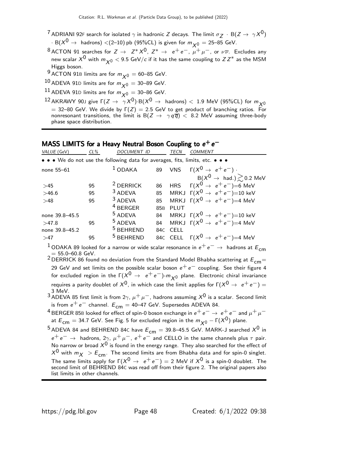- <sup>7</sup> ADRIANI 92F search for isolated  $\gamma$  in hadronic Z decays. The limit  $\sigma_Z$  · B(Z  $\rightarrow \ \gamma X^0$ )  $\cdot$  B( $X^0 \rightarrow$  hadrons) <(2-10) pb (95%CL) is given for  $m_{\chi0} = 25-85$  GeV.
- <sup>8</sup> ACTON 91 searches for  $Z \to Z^*X^0$ ,  $Z^* \to e^+e^-$ ,  $\mu^+\mu^-$ , or  $\nu\overline{\nu}$ . Excludes any new scalar  $X^0$  with  $m_{\chi^0}$   $<$  9.5 GeV/c if it has the same coupling to  $ZZ^*$  as the MSM Higgs boson.
- <sup>9</sup> ACTON 91B limits are for  $m_{\chi0} = 60$ –85 GeV.
- 10 ADEVA 91D limits are for  $m_{\nu 0} = 30$ –89 GeV.
- <sup>11</sup> ADEVA 91D limits are for  $m_{\chi0} = 30$ –86 GeV.
- 12 AKRAWY 90J give  $\Gamma(Z \to \overrightarrow{\gamma} X^0)$ ·B $(X^0 \to$  hadrons)  $<$  1.9 MeV (95%CL) for  $m_{X^0}$  $= 32-80$  GeV. We divide by  $\Gamma(Z) = 2.5$  GeV to get product of branching ratios. For nonresonant transitions, the limit is  $B(Z \to \gamma q \overline{q}) < 8.2$  MeV assuming three-body phase space distribution.

## MASS LIMITS for a Heavy Neutral Boson Coupling to  $e^+e^-$

| VALUE (GeV)                                                                   | $CL\%$ | <b>DOCUMENT ID</b>   |                 | TECN        | <i>COMMENT</i>                                            |  |  |  |  |
|-------------------------------------------------------------------------------|--------|----------------------|-----------------|-------------|-----------------------------------------------------------|--|--|--|--|
| • • • We do not use the following data for averages, fits, limits, etc. • • • |        |                      |                 |             |                                                           |  |  |  |  |
| none $55-61$                                                                  |        | $1$ ODAKA            |                 |             | 89 VNS $\Gamma(X^0 \rightarrow e^+e^-)$ .                 |  |  |  |  |
|                                                                               |        |                      |                 |             | $B(X^0 \rightarrow \text{ had.}) \gtrsim 0.2 \text{ MeV}$ |  |  |  |  |
| $>45$                                                                         | 95     | $2$ DERRICK          | 86              |             | HRS $\Gamma(X^0 \rightarrow e^+e^-)=6$ MeV                |  |  |  |  |
| >46.6                                                                         | 95     | <sup>3</sup> ADEVA   | 85              |             | MRKJ $\Gamma(X^0 \rightarrow e^+e^-)=10$ keV              |  |  |  |  |
| >48                                                                           | 95     | <sup>3</sup> ADEVA   | 85              |             | MRKJ $\Gamma(X^0 \rightarrow e^+e^-)=4$ MeV               |  |  |  |  |
|                                                                               |        | <sup>4</sup> BERGER  | 85 <sub>B</sub> | <b>PLUT</b> |                                                           |  |  |  |  |
| none 39.8-45.5                                                                |        | <sup>5</sup> ADEVA   | 84              |             | MRKJ $\Gamma(X^0 \rightarrow e^+e^-)=10$ keV              |  |  |  |  |
| >47.8                                                                         | 95     | <sup>5</sup> ADEVA   | 84              |             | MRKJ $\Gamma(X^0 \rightarrow e^+e^-)=4$ MeV               |  |  |  |  |
| none 39.8-45.2                                                                |        | <sup>5</sup> BEHREND | 84C             | <b>CELL</b> |                                                           |  |  |  |  |
| >47                                                                           | 95     | <sup>5</sup> BEHREND |                 |             | 84C CELL $\Gamma(X^0 \to e^+e^-)=4$ MeV                   |  |  |  |  |
|                                                                               |        |                      |                 |             |                                                           |  |  |  |  |

<sup>1</sup> ODAKA 89 looked for a narrow or wide scalar resonance in  $e^+e^-\rightarrow$  hadrons at  $E_{cm}$ 

 $\sigma = 55.0\text{--}60.8$  GeV.<br><sup>2</sup> DERRICK 86 found no deviation from the Standard Model Bhabha scattering at  $E$ <sub>CM</sub>= 29 GeV and set limits on the possible scalar boson  $e^+e^-$  coupling. See their figure 4 for excluded region in the  $\Gamma(X^0 \to e^+e^-)$ - $m_{\chi 0}$  plane. Electronic chiral invariance requires a parity doublet of  $X^0$ , in which case the limit applies for  $\Gamma(X^0 \to e^+e^-) =$ 3 MeV.

3 Mev.<br><sup>3</sup> ADEVA 85 first limit is from 2γ,  $\mu^+ \mu^-$ , hadrons assuming  $X^0$  is a scalar. Second limit is from  $e^+e^-$  channel.  $E_{cm} = 40-47$  GeV. Supersedes ADEVA 84.

4 BERGER 85B looked for effect of spin-0 boson exchange in  $e^+e^- \rightarrow e^+e^-$  and  $\mu^+\mu^$ at  $E_{cm} = 34.7$  GeV. See Fig. 5 for excluded region in the  $m_{\chi0} - \Gamma(X^0)$  plane.

<sup>5</sup> ADEVA 84 and BEHREND 84C have  $E_{cm} = 39.8$ –45.5 GeV. MARK-J searched  $X^{0}$  in  $e^+ e^- \rightarrow$  hadrons,  $2\gamma$ ,  $\mu^+ \mu^-$ ,  $e^+ e^-$  and CELLO in the same channels plus  $\tau$  pair. No narrow or broad  $X^0$  is found in the energy range. They also searched for the effect of  $X^0$  with  $m_X > E_{cm}$ . The second limits are from Bhabha data and for spin-0 singlet. The same limits apply for  $\Gamma(X^0 \to e^+e^-) = 2$  MeV if  $X^0$  is a spin-0 doublet. The second limit of BEHREND 84C was read off from their figure 2. The original papers also list limits in other channels.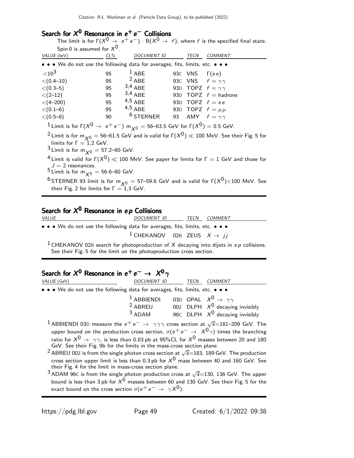# Search for  $X^0$  Resonance in  $e^+e^-$  Collisions

The limit is for  $\Gamma(X^0 \to e^+e^-) \cdot B(X^0 \to f)$ , where f is the specified final state. Spin 0 is assumed for  $\mathcal{X}^\mathbf{0}.$ 

| $5.11 \times 15.25$ and $10.7 \times 1$                                                                               |        |                    |                      |                              |
|-----------------------------------------------------------------------------------------------------------------------|--------|--------------------|----------------------|------------------------------|
| <i>VALUE</i> (keV)                                                                                                    | $CL\%$ | <b>DOCUMENT ID</b> | TECN                 | <b>COMMENT</b>               |
| $\bullet \bullet \bullet$ We do not use the following data for averages, fits, limits, etc. $\bullet \bullet \bullet$ |        |                    |                      |                              |
| ${<}10^3$                                                                                                             | 95     | $1$ ABE            | 93C VNS $\Gamma(ee)$ |                              |
| $\langle (0.4 - 10)$                                                                                                  | 95     | $2$ ABE            |                      | 93C VNS $f = \gamma \gamma$  |
| $\langle (0.3-5)$                                                                                                     | 95     | $3,4$ ABE          |                      | 93D TOPZ $f = \gamma \gamma$ |
| $< (2-12)$                                                                                                            | 95     | $3,4$ ABE          |                      | 93D TOPZ $f =$ hadrons       |
| $<$ (4–200)                                                                                                           | 95     | $4,5$ ABE          |                      | 93D TOPZ $f = ee$            |
| $< (0.1 - 6)$                                                                                                         | 95     | $4,5$ ABE          |                      | 93D TOPZ $f = \mu \mu$       |
| $\langle (0.5-8)$                                                                                                     | 90     | $6$ STERNER        |                      | 93 AMY $f = \gamma \gamma$   |
| <sup>1</sup> Limit is for $\Gamma(X^0 \to e^+e^-)$ $m_{X^0} =$ 56–63.5 GeV for $\Gamma(X^0) =$ 0.5 GeV.               |        |                    |                      |                              |

<sup>2</sup> Limit is for  $m_{\chi0} =$  56–61.5 GeV and is valid for  $\Gamma(X^0) \ll 100$  MeV. See their Fig. 5 for limits for  $\Gamma = 1,2$  GeV.

<sup>3</sup> Limit is for  $m_{\chi0}$  = 57.2–60 GeV.

 $^4$ Limit is valid for Γ $(X^0)\ll$  100 MeV. See paper for limits for Γ = 1 GeV and those for  $J = 2$  resonances.

 $5$  Limit is for  $m_{\chi0} = 56.6$ –60 GeV.

<sup>6</sup> STERNER 93 limit is for  $m_{\chi^0} =$  57–59.6 GeV and is valid for  $\Gamma(X^0)$  < 100 MeV. See their Fig. 2 for limits for  $\Gamma = 1,3$  GeV.

# Search for  $\mathcal{X}^\mathbf{0}$  Resonance in e $\bm{\rho}$  Collisions

DOCUMENT ID TECN COMMENT • • • We do not use the following data for averages, fits, limits, etc. • • • <sup>1</sup> CHEKANOV 02B ZEUS  $X \rightarrow jj$ 

<sup>1</sup> CHEKANOV 02B search for photoproduction of X decaying into dijets in ep collisions. See their Fig. 5 for the limit on the photoproduction cross section.

# Search for  $\mathcal{X}^\mathbf{0}$  Resonance in  $e^+ \, e^- \rightarrow \; \mathcal{X}^\mathbf{0} \, \gamma$

| VALUE (GeV)                                                                   | DOCUMENT ID                                                    | TECN | COMMENT                           |
|-------------------------------------------------------------------------------|----------------------------------------------------------------|------|-----------------------------------|
| • • • We do not use the following data for averages, fits, limits, etc. • • • |                                                                |      |                                   |
|                                                                               | <sup>1</sup> ABBIENDI 03D OPAL $X^0 \rightarrow \gamma \gamma$ |      |                                   |
|                                                                               | <sup>2</sup> ABREU                                             |      | 00Z DLPH $X^0$ decaying invisibly |
|                                                                               | $3$ ADAM                                                       |      | 96C DLPH $X^0$ decaying invisibly |
|                                                                               |                                                                |      |                                   |

- $^1$  ABBIENDI 03D measure the  $e^+e^-\rightarrow\,\,\gamma\gamma\gamma$  cross section at  $\sqrt{s}{=}$ 181–209 GeV. The upper bound on the production cross section,  $\sigma(e^+e^- \rightarrow X^0\gamma)$  times the branching ratio for  $X^0 \rightarrow \gamma \gamma$ , is less than 0.03 pb at 95%CL for  $X^0$  masses between 20 and 180 GeV. See their Fig. 9b for the limits in the mass-cross section plane.
- <sup>2</sup> ABREU 00Z is from the single photon cross section at  $\sqrt{s}$ =183, 189 GeV. The production cross section upper limit is less than 0.3 pb for  $X^0$  mass between 40 and 160 GeV. See their Fig. 4 for the limit in mass-cross section plane.

 $^3$  ADAM 96C is from the single photon production cross at  $\sqrt{s}{=}130$ , 136 GeV. The upper bound is less than 3 pb for  $X^0$  masses between 60 and 130 GeV. See their Fig. 5 for the exact bound on the cross section  $\sigma(e^+e^- \rightarrow \gamma X^0)$ .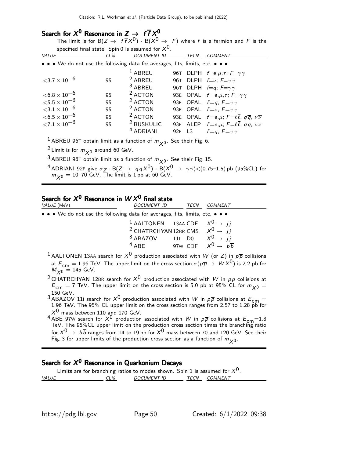# Search for  $X^0$  Resonance in  $Z \rightarrow f \overline{f} X^0$

The limit is for  $B(Z \to f\bar{f}X^0) \cdot B(X^0 \to F)$  where f is a fermion and F is the specified final state. Spin 0 is assumed for  $\mathsf{X}^{\mathsf{0}}$ .

| VALUE                                                                         | $CL\%$ | <b>DOCUMENT ID</b>    |        | TECN | <b>COMMENT</b>                                                                       |
|-------------------------------------------------------------------------------|--------|-----------------------|--------|------|--------------------------------------------------------------------------------------|
| • • • We do not use the following data for averages, fits, limits, etc. • • • |        |                       |        |      |                                                                                      |
|                                                                               |        | $1$ ABREU             |        |      | 96T DLPH $f=e,\mu,\tau$ ; $F=\gamma\gamma$                                           |
| ${<}3.7\times10^{-6}$                                                         | 95     | $2$ ABREU             |        |      | 96T DLPH $f=v$ ; $F = \gamma \gamma$                                                 |
|                                                                               |        | 3 ABREU               |        |      | 96T DLPH $f=q; F=\gamma\gamma$                                                       |
| ${<}6.8\times10^{-6}$                                                         | 95     | <sup>2</sup> ACTON    |        |      | 93E OPAL $f=e,\mu,\tau$ ; $F=\gamma\gamma$                                           |
| ${<}5.5\times10^{-6}$                                                         | 95     | <sup>2</sup> ACTON    |        |      | 93E OPAL $f=q; F=\gamma\gamma$                                                       |
| ${<}3.1\times10^{-6}$                                                         | 95     | $2$ ACTON             |        |      | 93E OPAL $f=v$ ; $F = \gamma \gamma$                                                 |
| $<$ 6.5 $\times$ 10 $^{-6}$                                                   | 95     | <sup>2</sup> ACTON    |        |      | 93E OPAL $f=e,\mu$ ; $F=\ell\overline{\ell}$ , $q\overline{q}$ , $\nu\overline{\nu}$ |
| ${<}7.1\times10^{-6}$                                                         | 95     | <sup>2</sup> BUSKULIC |        |      | 93F ALEP $f=e,\mu$ ; $F=\ell\overline{\ell}$ , $q\overline{q}$ , $\nu\overline{\nu}$ |
|                                                                               |        | <sup>4</sup> ADRIANI  | 92F L3 |      | $f = q$ ; $F = \gamma \gamma$                                                        |

 $^1$ ABREU 96T obtain limit as a function of  $m_{\chi^0}$ . See their Fig. 6.

<sup>2</sup> Limit is for  $m_{\chi^0}$  around 60 GeV.

<sup>3</sup> ABREU 96T obtain limit as a function of  $m_{\chi^0}$ . See their Fig. 15.

<sup>4</sup> ADRIANI 92F give  $\sigma_Z \cdot B(Z \to q\overline{q}X^0) \cdot B(X^0 \to \gamma\gamma)$  < (0.75–1.5) pb (95%CL) for  $m_{\chi^0}=10$ –70 GeV. The limit is 1 pb at 60 GeV.

# Search for  $\mathcal{X}^\mathbf{0}$  Resonance in  $\mathcal{W} \mathcal{X}^\mathbf{0}$  final state

| <i>VALUE</i> (MeV)                                                                                            | DOCUMENT ID                                              | TECN | COMMENT |  |
|---------------------------------------------------------------------------------------------------------------|----------------------------------------------------------|------|---------|--|
| • • • We do not use the following data for averages, fits, limits, etc. • • •                                 |                                                          |      |         |  |
|                                                                                                               | <sup>1</sup> AALTONEN 13AA CDF $X^0 \rightarrow i j$     |      |         |  |
|                                                                                                               | <sup>2</sup> CHATRCHYAN 12BR CMS $X^0 \rightarrow jj$    |      |         |  |
|                                                                                                               | <sup>3</sup> ABAZOV 11 D0 $X^0 \rightarrow i i$          |      |         |  |
|                                                                                                               | <sup>4</sup> ABE 97w CDF $X^0 \rightarrow b\overline{b}$ |      |         |  |
| <sup>1</sup> AALTONEN 13AA search for $X^0$ production associated with W (or Z) in $p\overline{p}$ collisions |                                                          |      |         |  |

at  $E_{\textsf{cm}}=1.96$  TeV. The upper limit on the cross section  $\sigma(p\overline{p}\rightarrow~W X^0)$  is 2.2 pb for  $M_{X0} = 145 \text{ GeV}.$ 

 $^2$ CHATRCHYAN 12BR search for  $X^0$  production associated with  $W$  in  $\rho\,p$  collisions at  $E_{\text{cm}} = 7$  TeV. The upper limit on the cross section is 5.0 pb at 95% CL for  $m_{\chi}^0 =$ 150 GeV.

 $^3$  ABAZOV 111 search for  $X^0$  production associated with  $W$  in  $p\overline{p}$  collisions at  $E_{\mathsf{cm}}=1.96$  TeV. The 95% CL upper limit on the cross section ranges from 2.57 to 1.28 pb for  $\rm \chi^{0}$  mass between 110 and 170 GeV.

<sup>4</sup> ABE 97W search for  $X^0$  production associated with W in  $p\overline{p}$  collisions at  $E_{\text{cm}}=1.8$  TeV. The 95%CL upper limit on the production cross section times the branching ratio for  $X^0 \rightarrow b\overline{b}$  ranges from 14 to 19 pb for  $X^0$  mass between 70 and 120 GeV. See their Fig. 3 for upper limits of the production cross section as a function of  $m_{\boldsymbol{\mathcal{X}}^0}.$ 

## Search for  $\mathcal{X}^\mathbf{0}$  Resonance in Quarkonium Decays

Limits are for branching ratios to modes shown. Spin 1 is assumed for  $X^0$ .<br>VALUE CL% DOCUMENT ID TECN COMMENT CL% DOCUMENT ID TECN COMMENT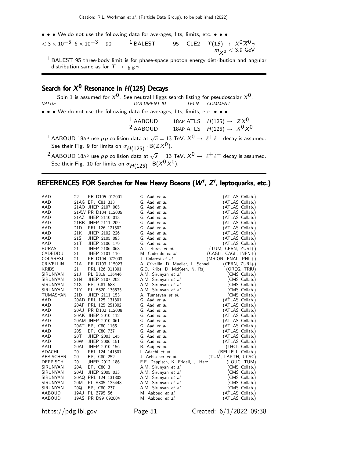• • • We do not use the following data for averages, fits, limits, etc. • • •

 $<$  3  $\times$  10<sup>-5</sup>-6  $\times$  10<sup>-3</sup> 90 <sup>1</sup> BALEST  $^0\overline{\chi}{}^0{}_{\gamma,}$  $m_{\chi^0}$   $<$  3.9 GeV

 $<sup>1</sup>$  BALEST 95 three-body limit is for phase-space photon energy distribution and angular</sup> distribution same as for  $\gamma \rightarrow g g \gamma$ .

# Search for  $\mathcal{X}^\mathbf{0}$  Resonance in  $H(125)$  Decays

Spin 1 is assumed for  $X^0$ . See neutral Higgs search listing for pseudoscalar  $X^0$ .<br>DOCUMENT ID TECN COMMENT DOCUMENT ID TECN COMMENT • • • We do not use the following data for averages, fits, limits, etc. • • • <sup>1</sup> AABOUD 18AP ATLS  $H(125) \rightarrow ZX^0$ <br><sup>2</sup> AABOUD 18AP ATLS  $H(125) \rightarrow X^0 X^0$ 18AP ATLS  $H(125) \rightarrow X^0 X^0$ 1 AABOUD 18AP use pp collision data at  $\sqrt{s} = 13$  TeV.  $X^0 \rightarrow \ell^+ \ell^-$  decay is assumed. See their Fig. 9 for limits on  $\sigma_{H(125)} \cdot B(ZX^0)$ .

<sup>2</sup> AABOUD 18AP use pp collision data at  $\sqrt{s} = 13$  TeV.  $X^0 \rightarrow \ell^+ \ell^-$  decay is assumed. See their Fig. 10 for limits on  $\sigma_{H(125)}$  · B( $X^{0}X^{0}$ ).

## REFERENCES FOR Searches for New Heavy Bosons  $(W', Z',$  leptoquarks, etc.)

| AAD              | 22              | PR D105 012001      | G. Aad <i>et al.</i>                 | (ATLAS Collab.)        |
|------------------|-----------------|---------------------|--------------------------------------|------------------------|
| AAD              |                 | 21AG EPJ C81 313    | G. Aad et al.                        | (ATLAS Collab.)        |
| AAD              |                 | 21AQ JHEP 2107 005  | G. Aad et al.                        | (ATLAS Collab.)        |
| AAD              |                 | 21AW PR D104 112005 | G. Aad et al.                        | ATLAS Collab.)         |
| AAD              |                 | 21AZ JHEP 2110 013  | G. Aad et al.                        | (ATLAS Collab.)        |
| AAD              |                 | 21BB JHEP 2111 209  | G. Aad et al.                        | (ATLAS Collab.)        |
| AAD              | 21 <sub>D</sub> | PRL 126 121802      | G. Aad et al.                        | (ATLAS Collab.)        |
| AAD              | 21K             | JHEP 2102 226       | G. Aad et al.                        | (ATLAS Collab.)        |
| AAD              | 21S             | JHEP 2105 093       | G. Aad et al.                        | (ATLAS Collab.)        |
| AAD              | 21T             | JHEP 2106 179       | G. Aad et al.                        | (ATLAS Collab.)        |
| <b>BURAS</b>     | 21              | JHEP 2106 068       | A.J. Buras et al.                    | $(TUM, CERN, ZURI+)$   |
| CADEDDU          | 21              | JHEP 2101 116       | M. Cadeddu et al.                    | $(CAGLI, CAGL, INFN+)$ |
| <b>COLARESI</b>  | 21              | PR D104 072003      | J. Colaresi et al.                   | $(MRION, FNAL, PNL+)$  |
| <b>CRIVELLIN</b> | 21A             | PR D103 115023      | A. Crivellin, D. Mueller, L. Schnell | $(CERN, ZURI+)$        |
| <b>KRIBS</b>     | 21              | PRL 126 011801      | G.D. Kribs, D. McKeen, N. Raj        | (OREG, TRIU)           |
| SIRUNYAN         | 21J             | PL B819 136446      | A.M. Sirunyan et al.                 | (CMS Collab.)          |
| SIRUNYAN         | 21N             | JHEP 2107 208       | A.M. Sirunyan et al.                 | (CMS Collab.)          |
| <b>SIRUNYAN</b>  | 21X             | EPJ C81 688         | A.M. Sirunyan et al.                 | (CMS Collab.)          |
| SIRUNYAN         | 21Y             | PL B820 136535      | A.M. Sirunyan et al.                 | (CMS Collab.)          |
| TUMASYAN         | 21D             | JHEP 2111 153       | A. Tumasyan et al.                   | (CMS Collab.)          |
| AAD              |                 | 20AD PRL 125 131801 | G. Aad et al.                        | (ATLAS Collab.)        |
| AAD              |                 | 20AF PRL 125 251802 | G. Aad et al.                        | (ATLAS Collab.)        |
| AAD              | 20AJ            | PR D102 112008      | G. Aad et al.                        | 'ATLAS Collab.)        |
| AAD              |                 | 20AK JHEP 2010 112  | G. Aad et al.                        | (ATLAS Collab.)        |
| AAD              |                 | 20AM JHEP 2010 061  | G. Aad et al.                        | (ATLAS Collab.)        |
| AAD              |                 | 20AT EPJ C80 1165   | G. Aad et al.                        | (ATLAS Collab.)        |
| AAD              | 20S             | EPJ C80 737         | G. Aad et al.                        | (ATLAS Collab.)        |
| AAD              | 20T             | JHEP 2003 145       | G. Aad <i>et al.</i>                 | (ATLAS Collab.)        |
| AAD              | 20W             | JHEP 2006 151       | G. Aad <i>et al.</i>                 | (ATLAS Collab.)        |
| AAIJ             |                 | 20AL JHEP 2010 156  | R. Aaij et al.                       | (LHCb Collab.)         |
| <b>ADACHI</b>    | 20              | PRL 124 141801      | I. Adachi et al.                     | (BELLE II Collab.)     |
| AEBISCHER        | 20              | EPJ C80 252         | J. Aebischer et al.                  | (TUM, LAPTH, UCSC)     |
| <b>DEPPISCH</b>  | 20              | JHEP 2012 186       | F.F. Deppisch, K. Fridell, J. Harz   | (LOUC, TUM)            |
| SIRUNYAN         | 20A             | EPJ C80 3           | A.M. Sirunyan et al.                 | (CMS Collab.)          |
| SIRUNYAN         | <b>20AI</b>     | JHEP 2005 033       | A.M. Sirunyan et al.                 | (CMS Collab.)          |
| SIRUNYAN         |                 | 20AQ PRL 124 131802 | A.M. Sirunyan et al.                 | (CMS Collab.)          |
| SIRUNYAN         | 20M             | PL B805 135448      | A.M. Sirunyan et al.                 | (CMS Collab.)          |
| SIRUNYAN         | 20Q             | EPJ C80 237         | A.M. Sirunyan et al.                 | (CMS Collab.)          |
| AABOUD           | 19AJ            | PL B795 56          | M. Aaboud et al.                     | (ATLAS Collab.)        |
| AABOUD           |                 | 19AS PR D99 092004  | M. Aaboud et al.                     | (ATLAS Collab.)        |
|                  |                 |                     |                                      |                        |

https://pdg.lbl.gov Page 51 Created: 6/1/2022 09:38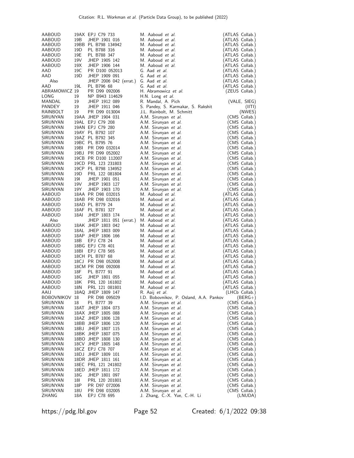|                   |                 | 19AX EPJ C79 733       | M. Aaboud <i>et al.</i>                 | (ATLAS Collab.) |
|-------------------|-----------------|------------------------|-----------------------------------------|-----------------|
| AABOUD            |                 |                        |                                         |                 |
| AABOUD            | 19 <sub>B</sub> | JHEP 1901 016          | M. Aaboud et al.                        | (ATLAS Collab.) |
| AABOUD            |                 | 19BB PL B798 134942    | M. Aaboud et al.                        | (ATLAS Collab.) |
| AABOUD            | 19 <sub>D</sub> | PL B788 316            | M. Aaboud et al.                        | (ATLAS Collab.) |
| AABOUD            | 19E             | PL B788 347            | M. Aaboud et al.                        | (ATLAS Collab.) |
| <b>AABOUD</b>     | 19V             | JHEP 1905 142          | M. Aaboud et al.                        | (ATLAS Collab.) |
| <b>AABOUD</b>     | 19X             | JHEP 1906 144          | M. Aaboud et al.                        | (ATLAS Collab.) |
| AAD               | 19C             | PR D100 052013         | G. Aad et al.                           | (ATLAS Collab.) |
| AAD               | 19D             | JHEP 1909 091          | G. Aad et al.                           | (ATLAS Collab.) |
|                   |                 |                        | G. Aad et al.                           |                 |
| Also              |                 | JHEP 2006 042 (errat.) |                                         | (ATLAS Collab.) |
| AAD               | 19L             | PL B796 68             | G. Aad et al.                           | (ATLAS Collab.) |
| ABRAMOWICZ 19     |                 | PR D99 092006          | H. Abramowicz et al.                    | (ZEUS Collab.)  |
| LONG              | 19              | NP B943 114629         | H.N. Long et al.                        |                 |
| MANDAL            | 19              | JHEP 1912 089          | R. Mandal, A. Pich                      | (VALE, SIEG)    |
| <b>PANDEY</b>     | 19              | JHEP 1911 046          | S. Pandey, S. Karmakar, S. Rakshit      | (III)           |
| RAINBOLT          | 19              | PR D99 013004          | J.L. Rainbolt, M. Schmitt               | (NWES)          |
| SIRUNYAN          |                 | 19AA JHEP 1904 031     | A.M. Sirunyan et al.                    | (CMS Collab.)   |
| SIRUNYAN          |                 | 19AL EPJ C79 208       | A.M. Sirunyan et al.                    | (CMS Collab.)   |
| SIRUNYAN          |                 | 19AN EPJ C79 280       | A.M. Sirunyan et al.                    | (CMS Collab.)   |
| SIRUNYAN          |                 | 19AY PL B792 107       | A.M. Sirunyan et al.                    | (CMS Collab.)   |
| SIRUNYAN          |                 | 19AZ PL B792 345       | A.M. Sirunyan et al.                    | (CMS Collab.)   |
| SIRUNYAN          |                 | 19BC PL B795 76        | A.M. Sirunyan et al.                    | (CMS Collab.)   |
| SIRUNYAN          | 19BI            | PR D99 032014          | A.M. Sirunyan et al.                    | (CMS Collab.)   |
| SIRUNYAN          |                 | 19BJ PR D99 052002     | A.M. Sirunyan et al.                    |                 |
|                   |                 |                        |                                         | (CMS Collab.)   |
| SIRUNYAN          |                 | 19CB PR D100 112007    | A.M. Sirunyan et al.                    | (CMS Collab.)   |
| SIRUNYAN          |                 | 19CD PRL 123 231803    | A.M. Sirunyan et al.                    | (CMS Collab.)   |
| SIRUNYAN          |                 | 19CP PL B798 134952    | A.M. Sirunyan et al.                    | (CMS Collab.)   |
| SIRUNYAN          | 19 <sub>D</sub> | PRL 122 081804         | A.M. Sirunyan et al.                    | (CMS Collab.)   |
| SIRUNYAN          | 19I             | JHEP 1901 051          | A.M. Sirunyan et al.                    | (CMS Collab.)   |
| SIRUNYAN          | 19V             | JHEP 1903 127          | A.M. Sirunyan et al.                    | (CMS Collab.)   |
| SIRUNYAN          | 19Y             | JHEP 1903 170          | A.M. Sirunyan et al.                    | (CMS Collab.)   |
| AABOUD            |                 | 18AA PR D98 032015     | M. Aaboud et al.                        | (ATLAS Collab.) |
| AABOUD            |                 | 18AB PR D98 032016     | M. Aaboud et al.                        | (ATLAS Collab.) |
| AABOUD            |                 | 18AD PL B779 24        | M. Aaboud et al.                        | (ATLAS Collab.) |
| AABOUD            |                 | 18AF PL B781 327       | M. Aaboud et al.                        | (ATLAS Collab.) |
| AABOUD            | 18AI            | JHEP 1803 174          | M. Aaboud et al.                        | (ATLAS Collab.) |
| Also              |                 | JHEP 1811 051 (errat.) | M. Aaboud et al.                        | (ATLAS Collab.) |
| AABOUD            |                 | 18AK JHEP 1803 042     | M. Aaboud et al.                        | (ATLAS Collab.) |
| <b>AABOUD</b>     |                 | 18AL JHEP 1803 009     | M. Aaboud et al.                        | (ATLAS Collab.) |
|                   |                 |                        | M. Aaboud et al.                        |                 |
| AABOUD            |                 | 18AP JHEP 1806 166     |                                         | (ATLAS Collab.) |
| AABOUD            | 18B             | EPJ C78 24             | M. Aaboud et al.                        | (ATLAS Collab.) |
| AABOUD            |                 | 18BG EPJ C78 401       | M. Aaboud et al.                        | (ATLAS Collab.) |
| AABOUD            | 18BI            | EPJ C78 565            | M. Aaboud et al.                        | (ATLAS Collab.) |
| AABOUD            |                 | 18CH PL B787 68        | M. Aaboud et al.                        | (ATLAS Collab.) |
| AABOUD            |                 | 18CJ PR D98 052008     | M. Aaboud et al.                        | (ATLAS Collab.) |
| AABOUD            |                 | 18CM PR D98 092008     | M. Aaboud et al.                        | (ATLAS Collab.) |
| <b>AABOUD</b>     | 18F             | PL B777 91             | M. Aaboud et al.                        | (ATLAS Collab.) |
| AABOUD            | 18G             | JHEP 1801 055          | M. Aaboud et al.                        | (ATLAS Collab.) |
| AABOUD            | 18K             | PRL 120 161802         | M. Aaboud et al.                        | (ATLAS Collab.) |
| AABOUD            | 18N             | PRL 121 081801         | M. Aaboud <i>et al.</i>                 | (ATLAS Collab.) |
| AAIJ              |                 | 18AQ JHEP 1809 147     | R. Aaij <i>et al.</i>                   | (LHCb Collab.)  |
| <b>BOBOVNIKOV</b> | 18              | PR D98 095029          | I.D. Bobovnikov, P. Osland, A.A. Pankov | $(BERG+)$       |
| SIRUNYAN          | 18              | PL B777 39             | A.M. Sirunyan et al.                    | (CMS Collab.)   |
| SIRUNYAN          |                 | 18AT JHEP 1804 073     | A.M. Sirunyan et al.                    | (CMS Collab.)   |
| SIRUNYAN          |                 | 18AX JHEP 1805 088     | A.M. Sirunyan et al.                    | (CMS Collab.)   |
| SIRUNYAN          |                 | 18AZ JHEP 1806 128     | A.M. Sirunyan et al.                    | (CMS Collab.)   |
|                   |                 |                        |                                         |                 |
| SIRUNYAN          |                 | 18BB JHEP 1806 120     | A.M. Sirunyan et al.                    | (CMS Collab.)   |
| SIRUNYAN          |                 | 18BJ JHEP 1807 115     | A.M. Sirunyan et al.                    | (CMS Collab.)   |
| SIRUNYAN          |                 | 18BK JHEP 1807 075     | A.M. Sirunyan et al.                    | (CMS Collab.)   |
| SIRUNYAN          |                 | 18BO JHEP 1808 130     | A.M. Sirunyan et al.                    | (CMS Collab.)   |
| SIRUNYAN          |                 | 18CV JHEP 1805 148     | A.M. Sirunyan et al.                    | (CMS Collab.)   |
| SIRUNYAN          |                 | 18CZ EPJ C78 707       | A.M. Sirunyan et al.                    | (CMS Collab.)   |
| SIRUNYAN          |                 | 18DJ JHEP 1809 101     | A.M. Sirunyan et al.                    | (CMS Collab.)   |
| SIRUNYAN          |                 | 18DR JHEP 1811 161     | A.M. Sirunyan et al.                    | (CMS Collab.)   |
| SIRUNYAN          |                 | 18EC PRL 121 241802    | A.M. Sirunyan et al.                    | (CMS Collab.)   |
| SIRUNYAN          |                 | 18ED JHEP 1811 172     | A.M. Sirunyan et al.                    | (CMS Collab.)   |
| SIRUNYAN          | 18G             | JHEP 1801 097          | A.M. Sirunyan et al.                    | (CMS Collab.)   |
| SIRUNYAN          | 18I             | PRL 120 201801         | A.M. Sirunyan et al.                    | (CMS Collab.)   |
| SIRUNYAN          | 18P             | PR D97 072006          | A.M. Sirunyan et al.                    | (CMS Collab.)   |
| SIRUNYAN          | 18U             | PR D98 032005          | A.M. Sirunyan et al.                    | (CMS Collab.)   |
| ZHANG             | 18A             | EPJ C78 695            | J. Zhang, C.-X. Yue, C.-H. Li           | (LNUDA)         |

https://pdg.lbl.gov Page 52 Created: 6/1/2022 09:38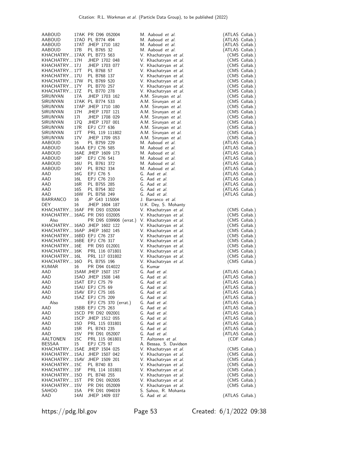| AABOUD                     |             | 17AK PR D96 052004             | M. Aaboud et al.                             | (ATLAS Collab.)                |
|----------------------------|-------------|--------------------------------|----------------------------------------------|--------------------------------|
| AABOUD                     |             | 17AO PL B774 494               | M. Aaboud et al.                             | (ATLAS Collab.)                |
| AABOUD                     |             | 17AT JHEP 1710 182             | M. Aaboud et al.                             | (ATLAS Collab.)                |
| AABOUD                     | 17B         | PL B765 32                     | M. Aaboud et al.                             | (ATLAS Collab.)                |
| KHACHATRY 17AX PL B773 563 |             |                                | V. Khachatryan <i>et al.</i>                 | (CMS Collab.)                  |
| KHACHATRY 17H              |             | JHEP 1702 048                  | V. Khachatryan et al.                        | (CMS Collab.)                  |
| KHACHATRY 17J              |             | JHEP 1703 077                  |                                              |                                |
| KHACHATRY 17T              |             | PL B768 57                     | V. Khachatryan et al.                        | (CMS Collab.)                  |
| KHACHATRY 17U              |             |                                | V. Khachatryan et al.                        | (CMS Collab.)<br>(CMS Collab.) |
|                            |             | PL B768 137                    | V. Khachatryan et al.                        |                                |
| KHACHATRY 17W              |             | PL B769 520                    | V. Khachatryan et al.                        | (CMS Collab.)                  |
| KHACHATRY 17Y              |             | PL B770 257                    | V. Khachatryan et al.                        | (CMS Collab.)                  |
| KHACHATRY 17Z              |             | PL B770 278                    | V. Khachatryan et al.                        | (CMS Collab.)                  |
| SIRUNYAN                   | 17A         | JHEP 1703 162                  | A.M. Sirunyan et al.                         | (CMS Collab.)                  |
| SIRUNYAN                   |             | 17AK PL B774 533               | A.M. Sirunyan et al.                         | (CMS Collab.)                  |
| SIRUNYAN                   |             | 17AP JHEP 1710 180             | A.M. Sirunyan et al.                         | (CMS Collab.)                  |
| SIRUNYAN                   | 17H         | JHEP 1707 121                  | A.M. Sirunyan et al.                         | (CMS Collab.)                  |
| SIRUNYAN                   | 17I         | JHEP 1708 029                  | A.M. Sirunyan et al.                         | (CMS Collab.)                  |
| SIRUNYAN                   | 17Q         | JHEP 1707 001                  | A.M. Sirunyan et al.                         | (CMS Collab.)                  |
| SIRUNYAN                   | 17R         | EPJ C77 636                    | A.M. Sirunyan et al.                         | (CMS Collab.)                  |
| SIRUNYAN                   | 17T         | PRL 119 111802                 | A.M. Sirunyan et al.                         | (CMS Collab.)                  |
| SIRUNYAN                   | 17V         | JHEP 1709 053                  | A.M. Sirunyan et al.                         | (CMS Collab.)                  |
| AABOUD                     | 16          | PL B759 229                    | M. Aaboud et al.                             | (ATLAS Collab.)                |
| AABOUD                     |             | 16AA EPJ C76 585               | M. Aaboud et al.                             | (ATLAS Collab.)                |
| AABOUD                     |             | 16AE JHEP 1609 173             | M. Aaboud et al.                             | (ATLAS Collab.)                |
| AABOUD                     | 16P         | EPJ C76 541                    | M. Aaboud et al.                             | (ATLAS Collab.)                |
| AABOUD                     | 16U         | PL B761 372                    | M. Aaboud et al.                             | (ATLAS Collab.)                |
| AABOUD                     | 16V         | PL B762 334                    | M. Aaboud et al.                             | (ATLAS Collab.)                |
| AAD                        | 16G         | EPJ C76 5                      | G. Aad et al.                                | (ATLAS Collab.)                |
| AAD                        | 16L         | EPJ C76 210                    | G. Aad et al.                                | (ATLAS Collab.)                |
| AAD                        | 16R         | PL B755 285                    | G. Aad et al.                                | (ATLAS Collab.)                |
| AAD                        | 16S         | PL B754 302                    | G. Aad et al.                                | (ATLAS Collab.)                |
| AAD                        | 16W         | PL B758 249                    | G. Aad et al.                                | (ATLAS Collab.)                |
| BARRANCO                   | 16          | JP G43 115004                  | J. Barranco et al.                           |                                |
| DEY.                       | 16          | JHEP 1604 187                  | U.K. Dey, S. Mohanty                         |                                |
|                            |             | KHACHATRY 16AF PR D93 032004   | V. Khachatryan <i>et al.</i>                 | (CMS Collab.)                  |
|                            |             | KHACHATRY 16AG PR D93 032005   | V. Khachatryan et al.                        | CMS Collab.)                   |
| Also                       |             | PR D95 039906 (errat.)         | V. Khachatryan et al.                        | (CMS Collab.)                  |
|                            |             | KHACHATRY 16AO JHEP 1602 122   | V. Khachatryan et al.                        | (CMS Collab.)                  |
|                            |             | KHACHATRY 16AP JHEP 1602 145   | V. Khachatryan et al.                        | (CMS Collab.)                  |
| KHACHATRY 16BD EPJ C76 237 |             |                                | V. Khachatryan et al.                        | (CMS Collab.)                  |
| KHACHATRY 16BE EPJ C76 317 |             |                                | V. Khachatryan et al.                        | (CMS Collab.)                  |
| KHACHATRY 16E              |             | PR D93 012001                  | V. Khachatryan et al.                        | (CMS Collab.)                  |
| KHACHATRY 16K              |             | PRL 116 071801                 | V. Khachatryan et al.                        | (CMS Collab.)                  |
| KHACHATRY 16L              |             | PRL 117 031802                 | V. Khachatryan et al.                        | (CMS Collab.)                  |
| KHACHATRY 16O              |             | PL B755 196                    | V. Khachatryan et al.                        | (CMS Collab.)                  |
| <b>KUMAR</b>               | 16          | PR D94 014022                  | G. Kumar                                     |                                |
| AAD                        |             | 15AM JHEP 1507 157             | G. Aad et al.                                | (ATLAS Collab.)                |
| AAD                        |             | 15AO JHEP 1508 148             | G. Aad et al.                                | (ATLAS Collab.)                |
| AAD                        |             | 15AT EPJ C75 79                | G. Aad et al.                                | (ATLAS Collab.)                |
| AAD                        |             | 15AU EPJ C75 69                | G. Aad et al.                                | (ATLAS Collab.)                |
| AAD                        |             | 15AV EPJ C75 165               | G. Aad <i>et al.</i>                         | (ATLAS Collab.)                |
| AAD                        |             | 15AZ EPJ C75 209               | G. Aad et al.                                | (ATLAS Collab.)                |
| Also                       |             | EPJ C75 370 (errat.)           | G. Aad et al.                                | (ATLAS Collab.)                |
| AAD                        |             | 15BB EPJ C75 263               | G. Aad et al.                                | (ATLAS Collab.)                |
| AAD                        |             | 15CD PR D92 092001             |                                              |                                |
| AAD                        |             |                                | G. Aad et al.                                | (ATLAS Collab.)                |
|                            |             | 15CP JHEP 1512 055             | G. Aad et al.                                | (ATLAS Collab.)                |
| AAD                        | 150         | PRL 115 031801                 | G. Aad et al.                                | (ATLAS Collab.)                |
| AAD                        | 15R         | PL B743 235                    | G. Aad et al.                                | (ATLAS Collab.)                |
| AAD                        | 15V         | PR D91 052007                  | G. Aad et al.                                | (ATLAS Collab.)                |
| AALTONEN                   | 15C         | PRL 115 061801                 | T. Aaltonen <i>et al.</i>                    | (CDF Collab.)                  |
| <b>BESSAA</b>              | 15          | EPJ C75 97                     | A. Bessaa, S. Davidson                       |                                |
| KHACHATRY 15AE             |             | JHEP 1504 025                  | V. Khachatryan et al.                        | (CMS Collab.)                  |
| KHACHATRY 15AJ             |             | JHEP 1507 042                  | V. Khachatryan et al.                        | (CMS Collab.)                  |
| KHACHATRY 15AV             |             | JHEP 1509 201                  | V. Khachatryan et al.                        | (CMS Collab.)                  |
| KHACHATRY 15C              |             | PL B740 83                     | V. Khachatryan et al.                        | (CMS Collab.)                  |
| KHACHATRY 15F              |             | PRL 114 101801                 | V. Khachatryan et al.                        | (CMS Collab.)                  |
| KHACHATRY 150              |             | PL B748 255                    | V. Khachatryan et al.                        | (CMS Collab.)                  |
| KHACHATRY 15T              |             | PR D91 092005                  | V. Khachatryan et al.                        | (CMS Collab.)                  |
| KHACHATRY 15V              |             | PR D91 052009                  | V. Khachatryan et al.                        | (CMS Collab.)                  |
| SAHOO<br>AAD               | 15A<br>14AI | PR D91 094019<br>JHEP 1409 037 | S. Sahoo, R. Mohanta<br>G. Aad <i>et al.</i> | (ATLAS Collab.)                |

https://pdg.lbl.gov Page 53 Created: 6/1/2022 09:38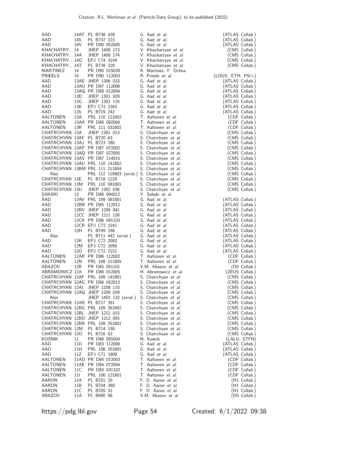| AAD                         |            | 14AT PL B738 428                                               | G. Aad <i>et al.</i>                         | (ATLAS Collab.)                    |
|-----------------------------|------------|----------------------------------------------------------------|----------------------------------------------|------------------------------------|
| AAD                         | 14S        | PL B737 223                                                    | G. Aad et al.                                | (ATLAS Collab.)                    |
| AAD                         | 14V        | PR D90 052005                                                  | G. Aad et al.                                | (ATLAS Collab.)                    |
| KHACHATRY 14                |            | JHEP 1408 173                                                  | V. Khachatryan et al.                        | (CMS Collab.)                      |
| KHACHATRY 14A               |            | JHEP 1408 174                                                  | V. Khachatryan et al.                        | (CMS Collab.)                      |
| KHACHATRY 140               |            | EPJ C74 3149                                                   | V. Khachatryan et al.                        | (CMS Collab.)                      |
| KHACHATRY 14T               |            | PL B739 229                                                    | V. Khachatryan et al.                        | (CMS Collab.)                      |
| MARTINEZ                    | 14         | PR D90 015028                                                  | R. Martinez, F. Ochoa                        |                                    |
| PRIEELS                     | 14         | PR D90 112003                                                  | R. Prieels <i>et al.</i>                     | (LOUV, ETH, PSI+)                  |
| AAD<br>AAD                  |            | 13AE JHEP 1306 033<br>13AO PR D87 112006                       | G. Aad et al.<br>G. Aad et al.               | (ATLAS Collab.)                    |
| AAD                         |            | 13AQ PR D88 012004                                             | G. Aad et al.                                | (ATLAS Collab.)<br>(ATLAS Collab.) |
| AAD                         | 13D        | JHEP 1301 029                                                  | G. Aad et al.                                | (ATLAS Collab.)                    |
| AAD                         | 13G        | JHEP 1301 116                                                  | G. Aad et al.                                | (ATLAS Collab.)                    |
| AAD                         | 13K        | EPJ C73 2263                                                   | G. Aad et al.                                | (ATLAS Collab.)                    |
| AAD                         | 13S        | PL B719 242                                                    | G. Aad et al.                                | (ATLAS Collab.)                    |
| <b>AALTONEN</b>             | 13A        | PRL 110 121802                                                 | T. Aaltonen et al.                           | (CDF Collab.)                      |
| AALTONEN                    |            | 13AA PR D88 092004                                             | T. Aaltonen et al.                           | (CDF Collab.)                      |
| AALTONEN                    | 13R        | PRL 111 031802                                                 | T. Aaltonen et al.                           | (CDF Collab.)                      |
| CHATRCHYAN 13A              |            | JHEP 1301 013                                                  | S. Chatrchyan et al.                         | (CMS Collab.)                      |
| CHATRCHYAN 13AF PL B720 63  |            |                                                                | S. Chatrchyan et al.                         | (CMS Collab.)                      |
| CHATRCHYAN 13AJ PL B723 280 |            |                                                                | S. Chatrchyan et al.                         | (CMS Collab.)                      |
|                             |            | CHATRCHYAN 13AP PR D87 072002<br>CHATRCHYAN 13AQ PR D87 072005 | S. Chatrchyan et al.<br>S. Chatrchyan et al. | (CMS Collab.)<br>(CMS Collab.)     |
|                             |            | CHATRCHYAN 13AS PR D87 114015                                  | S. Chatrchyan et al.                         | (CMS Collab.)                      |
|                             |            | CHATRCHYAN 13AU PRL 110 141802                                 | S. Chatrchyan et al.                         | (CMS Collab.)                      |
|                             |            | CHATRCHYAN 13BM PRL 111 211804                                 | S. Chatrchyan et al.                         | (CMS Collab.)                      |
| Also                        |            | PRL 112 119903 (errat.) S. Chatrchyan et al.                   |                                              | (CMS Collab.)                      |
| CHATRCHYAN 13E              |            | PL B718 1229                                                   | S. Chatrchyan et al.                         | (CMS Collab.)                      |
|                             |            | CHATRCHYAN 13M PRL 110 081801                                  | S. Chatrchyan et al.                         | (CMS Collab.)                      |
| CHATRCHYAN 13U              |            | JHEP 1302 036                                                  | S. Chatrchyan et al.                         | (CMS Collab.)                      |
| SAKAKI                      | 13         | PR D88 094012                                                  | Y. Sakaki et al.                             |                                    |
| AAD                         |            | 12AV PRL 109 081801                                            | G. Aad et al.                                | (ATLAS Collab.)                    |
| AAD                         |            | 12BB PR D85 112012                                             | G. Aad et al.                                | (ATLAS Collab.)                    |
| AAD                         |            | 12BV JHEP 1209 041                                             | G. Aad et al.                                | (ATLAS Collab.)                    |
| AAD<br>AAD                  |            | 12CC JHEP 1211 138<br>12CK PR D86 091103                       | G. Aad et al.<br>G. Aad et al.               | (ATLAS Collab.)<br>(ATLAS Collab.) |
| AAD                         |            | 12CR EPJ C72 2241                                              | G. Aad et al.                                | (ATLAS Collab.)                    |
| AAD                         | 12H        | PL B709 158                                                    | G. Aad et al.                                | (ATLAS Collab.)                    |
| Also                        |            | PL B711 442 (errat.)                                           | G. Aad et al.                                | (ATLAS Collab.)                    |
| AAD                         | 12K        | EPJ C72 2083                                                   | G. Aad et al.                                | (ATLAS Collab.)                    |
| AAD                         | 12M        | EPJ C72 2056                                                   | G. Aad et al.                                | (ATLAS Collab.)                    |
| AAD                         | 120        | EPJ C72 2151                                                   | G. Aad et al.                                | (ATLAS Collab.)                    |
| AALTONEN                    |            | 12AR PR D86 112002                                             | T. Aaltonen et al.                           | (CDF Collab.)                      |
| AALTONEN                    | 12N        | PRL 108 211805                                                 | T. Aaltonen et al.                           | (CDF Collab.)                      |
| ABAZOV                      | 12R        | PR D85 051101                                                  | V.M. Abazov et al.                           | (D0 Collab.)                       |
| ABRAMOWICZ 12A              |            | PR D86 012005<br>CHATRCHYAN 12AF PRL 109 141801                | H. Abramowicz et al.                         | (ZEUS Collab.)                     |
|                             |            | CHATRCHYAN 12AG PR D86 052013                                  | S. Chatrchyan et al.                         | (CMS Collab.)<br>(CMS Collab.)     |
| CHATRCHYAN 12AI             |            | JHEP 1208 110                                                  | S. Chatrchyan et al.<br>S. Chatrchyan et al. | (CMS Collab.)                      |
|                             |            | CHATRCHYAN 12AQ JHEP 1209 029                                  | S. Chatrchyan et al.                         | (CMS Collab.)                      |
| Also                        |            | JHEP 1403 132 (errat.)                                         | S. Chatrchyan et al.                         | (CMS Collab.)                      |
| CHATRCHYAN 12AR PL B717 351 |            |                                                                | S. Chatrchyan <i>et al.</i>                  | (CMS Collab.)                      |
|                             |            | CHATRCHYAN 12BG PRL 109 261802                                 | S. Chatrchyan <i>et al.</i>                  | (CMS Collab.)                      |
|                             |            | CHATRCHYAN 12BL JHEP 1212 015                                  | S. Chatrchyan <i>et al.</i>                  | (CMS Collab.)                      |
|                             |            | CHATRCHYAN 12BO JHEP 1212 055                                  | S. Chatrchyan <i>et al.</i>                  | (CMS Collab.)                      |
|                             |            | CHATRCHYAN 12BR PRL 109 251801                                 | S. Chatrchyan et al.                         | (CMS Collab.)                      |
| CHATRCHYAN 12M              |            | PL B714 158                                                    | S. Chatrchyan <i>et al.</i>                  | (CMS Collab.)                      |
| CHATRCHYAN 12O<br>KOSNIK    | 12         | PL B716 82                                                     | S. Chatrchyan <i>et al.</i>                  | (CMS Collab.)                      |
| AAD                         | 11D        | PR D86 055004<br>PR D83 112006                                 | N. Kosnik<br>G. Aad et al.                   | (LALO, STFN)<br>(ATLAS Collab.)    |
| AAD                         | 11H        | PRL 106 251801                                                 | G. Aad et al.                                | (ATLAS Collab.)                    |
| AAD                         | 11Z        | EPJ C71 1809                                                   | G. Aad <i>et al.</i>                         | (ATLAS Collab.)                    |
| AALTONEN                    |            | 11AD PR D84 072003                                             | T. Aaltonen et al.                           | (CDF Collab.)                      |
| AALTONEN                    |            | 11AE PR D84 072004                                             | T. Aaltonen <i>et al.</i>                    | (CDF Collab.)                      |
| AALTONEN                    | 11C        | PR D83 031102                                                  | T. Aaltonen et al.                           | (CDF Collab.)                      |
| AALTONEN                    | 111        | PRL 106 121801                                                 | T. Aaltonen et al.                           | (CDF Collab.)                      |
| AARON                       | 11A        | PL B701 20                                                     | F. D. Aaron et al.                           | (H1 Collab.)                       |
| AARON                       | 11B<br>11C | PL B704 388                                                    | F. D. Aaron et al.<br>F. D. Aaron et al.     | (H1 Collab.)                       |
| AARON<br>ABAZOV             | 11A        | PL B705 52<br>PL B695 88                                       | V.M. Abazov <i>et al.</i>                    | (H1 Collab.)<br>(D0 Collab.)       |
|                             |            |                                                                |                                              |                                    |

https://pdg.lbl.gov Page 54 Created: 6/1/2022 09:38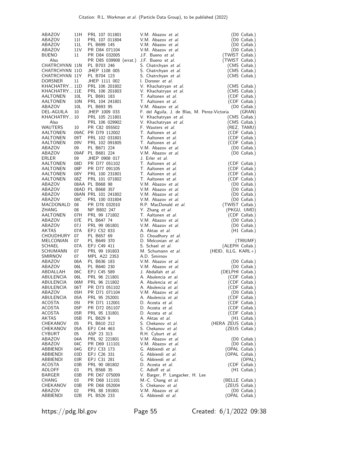| ABAZOV                           | 11H                   | PRL 107 011801                   | V.M. Abazov <i>et al.</i>                                          | (D0 Collab.)                     |
|----------------------------------|-----------------------|----------------------------------|--------------------------------------------------------------------|----------------------------------|
| ABAZOV                           | 111                   | PRL 107 011804                   | V.M. Abazov <i>et al.</i>                                          | (D0 Collab.)                     |
| ABAZOV<br>ABAZOV                 | 11L<br>11 V           | PL B699 145<br>PR D84 071104     | V.M. Abazov et al.<br>V.M. Abazov <i>et al.</i>                    | (D0 Collab.)<br>(D0 Collab.)     |
| <b>BUENO</b>                     | 11                    | PR D84 032005                    | J.F. Bueno <i>et al.</i>                                           | (TWIST Collab.)                  |
| Also                             |                       | PR D85 039908 (errat.)           | J.F. Bueno et al.                                                  | (TWIST Collab.)                  |
| CHATRCHYAN 11N                   |                       | PL B703 246                      | S. Chatrchyan et al.                                               | (CMS Collab.)                    |
| CHATRCHYAN 110                   |                       | JHEP 1108 005                    | S. Chatrchyan <i>et al.</i>                                        | (CMS Collab.)                    |
| CHATRCHYAN 11Y<br><b>DORSNER</b> | 11                    | PL B704 123<br>JHEP 1111 002     | S. Chatrchyan et al.<br>I. Dorsner et al.                          | (CMS Collab.)                    |
| KHACHATRY 11D                    |                       | PRL 106 201802                   | V. Khachatryan et al.                                              | (CMS Collab.)                    |
| KHACHATRY 11E                    |                       | PRL 106 201803                   | V. Khachatryan et al.                                              | (CMS Collab.)                    |
| AALTONEN                         | 10L                   | PL B691 183                      | T. Aaltonen <i>et al.</i>                                          | (CDF Collab.)                    |
| AALTONEN                         | 10N                   | PRL 104 241801                   | T. Aaltonen <i>et al.</i>                                          | (CDF Collab.)                    |
| ABAZOV<br>DEL-AGUILA             | 10 <sub>L</sub><br>10 | PL B693 95<br>JHEP 1009 033      | V.M. Abazov et al.<br>F. del Aguila, J. de Blas, M. Perez-Victoria | (D0 Collab.)<br>(GRAN)           |
| KHACHATRY 10                     |                       | PRL 105 211801                   | V. Khachatryan et al.                                              | (CMS Collab.)                    |
| Also                             |                       | PRL 106 029902                   | V. Khachatryan et al.                                              | (CMS Collab.)                    |
| <b>WAUTERS</b>                   | 10                    | PR C82 055502                    | F. Wauters <i>et al.</i>                                           | (REZ, TAMU)                      |
| AALTONEN                         |                       | 09AC PR D79 112002               | T. Aaltonen <i>et al.</i>                                          | (CDF Collab.)                    |
| AALTONEN<br>AALTONEN             | 09T<br>09V            | PRL 102 031801<br>PRL 102 091805 | T. Aaltonen <i>et al.</i><br>T. Aaltonen <i>et al.</i>             | (CDF Collab.)<br>(CDF Collab.)   |
| ABAZOV                           | 09                    | PL B671 224                      | V.M. Abazov et al.                                                 | (D0 Collab.)                     |
| ABAZOV                           |                       | 09AF PL B681 224                 | V.M. Abazov et al.                                                 | (D0 Collab.)                     |
| ERLER                            | 09                    | JHEP 0908 017                    | J. Erler <i>et al.</i>                                             |                                  |
| AALTONEN                         | 08D                   | PR D77 051102                    | T. Aaltonen et al.                                                 | (CDF Collab.)                    |
| AALTONEN<br>AALTONEN             | 08P<br>08Y            | PR D77 091105<br>PRL 100 231801  | T. Aaltonen et al.<br>T. Aaltonen et al.                           | (CDF Collab.)<br>(CDF Collab.)   |
| AALTONEN                         | 08Z                   | PRL 101 071802                   | T. Aaltonen et al.                                                 | (CDF Collab.)                    |
| ABAZOV                           |                       | 08AA PL B668 98                  | V.M. Abazov et al.                                                 | (D0 Collab.)                     |
| ABAZOV                           |                       | 08AD PL B668 357                 | V.M. Abazov <i>et al.</i>                                          | (D0 Collab.)                     |
| ABAZOV                           |                       | 08AN PRL 101 241802              | V.M. Abazov et al.                                                 | (D0 Collab.)                     |
| ABAZOV<br>MACDONALD 08           | 08C                   | PRL 100 031804<br>PR D78 032010  | V.M. Abazov et al.<br>R.P. MacDonald et al.                        | (D0 Collab.)<br>(TWIST Collab.)  |
| ZHANG                            | 08                    | NP B802 247                      | Y. Zhang et al.                                                    | (PKGU, UMD)                      |
| AALTONEN                         | 07H                   | PRL 99 171802                    | T. Aaltonen <i>et al.</i>                                          | (CDF Collab.)                    |
| ABAZOV                           | 07E                   | PL B647 74                       | V.M. Abazov et al.                                                 | (D0 Collab.)                     |
| ABAZOV                           | 07 J                  | PRL 99 061801                    | V.M. Abazov et al.                                                 | (D0 Collab.)                     |
| AKTAS<br>CHOUDHURY               | 07A<br>07             | EPJ C52 833<br>PL B657 69        | A. Aktas <i>et al.</i><br>D. Choudhury et al.                      | (H1 Collab.)                     |
| MELCONIAN                        | 07                    | PL B649 370                      | D. Melconian et al.                                                | (TRIUMF)                         |
| SCHAEL                           | 07A                   | EPJ C49 411                      | S. Schael et al.                                                   | (ALEPH Collab.)                  |
| SCHUMANN                         | 07                    | PRL 99 191803                    | M. Schumann et al.                                                 | $(HEID, ILLG, KARL+)$            |
| SMIRNOV                          | 07                    | MPL A22 2353                     | A.D. Smirnov                                                       |                                  |
| ABAZOV                           | 06A                   | PL B636 183                      | V.M. Abazov et al.                                                 | (D0 Collab.)                     |
| ABAZOV<br>ABDALLAH               | 06L<br>06C            | PL B640 230<br>EPJ C45 589       | V.M. Abazov et al.<br>J. Abdallah <i>et al.</i>                    | (D0 Collab.)<br>(DELPHI Collab.) |
| ABULENCIA                        | 06L                   | PRL 96 211801                    | A. Abulencia et al.                                                | (CDF Collab.)                    |
| ABULENCIA                        | 06M                   | PRL 96 211802                    | A. Abulencia et al.                                                | (CDF Collab.)                    |
| ABULENCIA                        | 06T                   | PR D73 051102                    | A. Abulencia <i>et al.</i>                                         | (CDF Collab.)                    |
| ABAZOV                           | 05H                   | PR D71 071104                    | V.M. Abazov <i>et al.</i>                                          | (D0 Collab.)                     |
| ABULENCIA<br><b>ACOSTA</b>       | 05A<br>051            | PRL 95 252001<br>PR D71 112001   | A. Abulencia <i>et al.</i><br>D. Acosta <i>et al.</i>              | (CDF Collab.)<br>(CDF Collab.)   |
| <b>ACOSTA</b>                    | 05P                   | PR D72 051107                    | D. Acosta <i>et al.</i>                                            | (CDF Collab.)                    |
| ACOSTA                           | 05R                   | PRL 95 131801                    | D. Acosta et al.                                                   | (CDF Collab.)                    |
| AKTAS                            | 05B                   | PL B629 9                        | A. Aktas <i>et al.</i>                                             | (H1 Collab.)                     |
| CHEKANOV                         | 05                    | PL B610 212                      | S. Chekanov et al.                                                 | (HERA ZEUS Collab.)              |
| CHEKANOV<br>CYBURT               | 05A<br>05             | EPJ C44 463<br>ASP 23 313        | S. Chekanov <i>et al.</i><br>R.H. Cyburt et al.                    | (ZEUS Collab.)                   |
| ABAZOV                           | 04A                   | PRL 92 221801                    | V.M. Abazov et al.                                                 | (D0 Collab.)                     |
| ABAZOV                           | 04C                   | PR D69 111101                    | V.M. Abazov <i>et al.</i>                                          | (D0 Collab.)                     |
| ABBIENDI                         | 04G                   | EPJ C33 173                      | G. Abbiendi et al.                                                 | (OPAL Collab.)                   |
| <b>ABBIENDI</b>                  | 03D                   | EPJ C26 331                      | G. Abbiendi et al.                                                 | (OPAL Collab.)                   |
| ABBIENDI                         | 03R                   | EPJ C31 281                      | G. Abbiendi et al.<br>D. Acosta et al.                             | (OPAL)                           |
| ACOSTA<br>ADLOFF                 | 03B<br>03             | PRL 90 081802<br>PL B568 35      | C. Adloff et al.                                                   | (CDF Collab.)<br>$(H1$ Collab.)  |
| BARGER                           | 03B                   | PR D67 075009                    | V. Barger, P. Langacker, H. Lee                                    |                                  |
| CHANG                            | 03                    | PR D68 111101                    | M.-C. Chang et al.                                                 | (BELLE Collab.)                  |
| CHEKANOV                         | 03B                   | PR D68 052004                    | S. Chekanov <i>et al.</i>                                          | (ZEUS Collab.)                   |
| ABAZOV                           | 02                    | PRL 88 191801                    | V.M. Abazov et al.                                                 | $(D0$ Collab.)                   |
| ABBIENDI                         | 02B                   | PL B526 233                      | G. Abbiendi et al.                                                 | (OPAL Collab.)                   |

https://pdg.lbl.gov Page 55 Created: 6/1/2022 09:38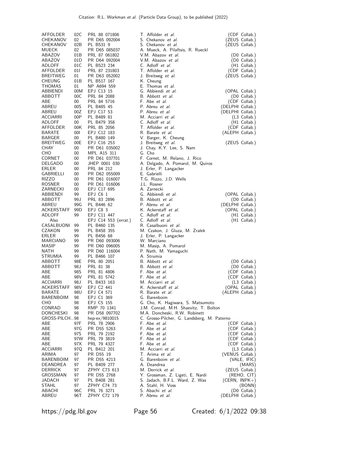| AFFOLDER<br>CHEKANOV<br>CHEKANOV<br>MUECK | 02C<br>02<br>02B<br>02 | PRL 88 071806<br>PR D65 092004<br>PL B531 9<br>PR D65 085037 | T. Affolder <i>et al.</i><br>S. Chekanov et al.<br>S. Chekanov et al.<br>A. Mueck, A. Pilaftsis, R. Rueckl            | (CDF Collab.)<br>(ZEUS Collab.)<br>(ZEUS Collab.) |
|-------------------------------------------|------------------------|--------------------------------------------------------------|-----------------------------------------------------------------------------------------------------------------------|---------------------------------------------------|
| ABAZOV                                    | 01B                    | PRL 87 061802                                                | V.M. Abazov et al.                                                                                                    | (D0 Collab.)                                      |
| ABAZOV                                    | 01D                    | PR D64 092004                                                | V.M. Abazov et al.                                                                                                    | (D0 Collab.)                                      |
| ADLOFF                                    | 01C                    | PL B523 234                                                  | C. Adloff et al.                                                                                                      | (H1 Collab.)                                      |
| AFFOLDER                                  | 011                    | PRL 87 231803                                                | T. Affolder et al.                                                                                                    | (CDF Collab.)                                     |
| <b>BREITWEG</b>                           | 01                     | PR D63 052002                                                | J. Breitweg <i>et al.</i>                                                                                             | (ZEUS Collab.)                                    |
| <b>CHEUNG</b>                             | 01B                    | PL B517 167                                                  | K. Cheung                                                                                                             | (OPAL Collab.)                                    |
| THOMAS                                    | 01                     | NP A694 559                                                  | E. Thomas et al.                                                                                                      |                                                   |
| ABBIENDI                                  | 00M                    | EPJ C13 15                                                   | G. Abbiendi et al.                                                                                                    |                                                   |
| ABBOTT                                    | 00C                    | PRL 84 2088                                                  | B. Abbott et al.                                                                                                      | (D0 Collab.)                                      |
| ABE                                       | 00                     | PRL 84 5716                                                  | F. Abe et al.                                                                                                         | (CDF Collab.)                                     |
| ABREU                                     | 00S                    | PL B485 45                                                   | P. Abreu et al.                                                                                                       | (DELPHI Collab.)                                  |
| ABREU                                     | 00Z                    | EPJ C17 53                                                   | P. Abreu et al.                                                                                                       | (DELPHI Collab.)                                  |
| ACCIARRI                                  | 00P                    | PL B489 81                                                   | M. Acciarri et al.                                                                                                    | $(L3$ Collab.)                                    |
| ADLOFF                                    | 00                     | PL B479 358                                                  | C. Adloff <i>et al.</i>                                                                                               | $(H1$ Collab.)                                    |
| AFFOLDER                                  | 00K                    | PRL 85 2056                                                  | T. Affolder et al.                                                                                                    | (CDF Collab.)                                     |
| BARATE                                    | 00I                    | EPJ C12 183                                                  | R. Barate <i>et al.</i>                                                                                               | (ALEPH Collab.)                                   |
| <b>BARGER</b>                             | 00                     | PL B480 149                                                  | V. Barger, K. Cheung                                                                                                  | (ZEUS Collab.)                                    |
| <b>BREITWEG</b>                           | 00E                    | EPJ C16 253                                                  | J. Breitweg et al.                                                                                                    |                                                   |
| CHAY                                      | 00                     | PR D61 035002                                                | J. Chay, K.Y. Lee, S. Nam                                                                                             |                                                   |
| CHO                                       | 00                     | MPL A15 311                                                  | G. Cho                                                                                                                |                                                   |
| CORNET                                    | 00                     | PR D61 037701                                                | F. Cornet, M. Relano, J. Rico                                                                                         |                                                   |
| DELGADO                                   | 00                     | JHEP 0001 030                                                | A. Delgado, A. Pomarol, M. Quiros                                                                                     |                                                   |
| <b>ERLER</b>                              | 00                     | PRL 84 212                                                   | J. Erler, P. Langacker                                                                                                |                                                   |
| GABRIELLI                                 | 00                     | PR D62 055009                                                | E. Gabrielli                                                                                                          |                                                   |
| <b>RIZZO</b>                              | 00                     | PR D61 016007                                                | T.G. Rizzo, J.D. Wells                                                                                                |                                                   |
| ROSNER                                    | 00                     | PR D61 016006                                                | J.L. Rosner                                                                                                           |                                                   |
| ZARNECKI                                  | 00                     | EPJ C17 695                                                  | A. Zarnecki                                                                                                           |                                                   |
| ABBIENDI                                  | 99                     | EPJ C6 1                                                     | G. Abbiendi et al.                                                                                                    | (OPAL Collab.)                                    |
| ABBOTT                                    | 99 J                   | PRL 83 2896                                                  | B. Abbott et al.                                                                                                      | (D0 Collab.)                                      |
| ABREU                                     | 99G                    | PL B446 62                                                   | P. Abreu et al.                                                                                                       | (DELPHI Collab.)                                  |
| ACKERSTAFF                                | 99 <sub>D</sub>        | EPJ C8 3                                                     | K. Ackerstaff et al.                                                                                                  | (OPAL Collab.)                                    |
| ADLOFF                                    | 99                     | EPJ C11 447                                                  | C. Adloff et al.                                                                                                      | (H1 Collab.)                                      |
| Also<br>CASALBUONI<br>CZAKON              | 99<br>99               | EPJ C14 553 (errat.)<br>PL B460 135<br>PL B458 355           | C. Adloff et al.<br>R. Casalbuoni et al.<br>M. Czakon, J. Gluza, M. Zralek                                            | (H1 Collab.)                                      |
| ERLER                                     | 99                     | PL B456 68                                                   | J. Erler, P. Langacker                                                                                                |                                                   |
| MARCIANO                                  | 99                     | PR D60 093006                                                | W. Marciano                                                                                                           |                                                   |
| MASIP                                     | 99                     | PR D60 096005                                                | M. Masip, A. Pomarol                                                                                                  |                                                   |
| NATH                                      | 99                     | PR D60 116004                                                | P. Nath, M. Yamaguchi                                                                                                 | (D0 Collab.)                                      |
| STRUMIA                                   | 99                     | PL B466 107                                                  | A. Strumia                                                                                                            |                                                   |
| ABBOTT                                    | 98E                    | PRL 80 2051                                                  | B. Abbott et al.                                                                                                      |                                                   |
| ABBOTT<br>ABE                             | 98 J<br>98S<br>98V     | PRL 81 38<br>PRL 81 4806                                     | B. Abbott et al.<br>F. Abe <i>et al.</i>                                                                              | (D0 Collab.)<br>(CDF Collab.)                     |
| ABE<br>ACCIARRI<br>ACKERSTAFF             | 98J<br>98V             | PRL 81 5742<br>PL B433 163<br>EPJ C2 441                     | F. Abe <i>et al.</i><br>M. Acciarri et al.<br>K. Ackerstaff et al.                                                    | (CDF Collab.)<br>$(L3$ Collab.)<br>(OPAL Collab.) |
| BARATE                                    | 98U                    | EPJ C4 571                                                   | R. Barate <i>et al.</i>                                                                                               | (ALEPH Collab.)                                   |
| BARENBOIM                                 | 98                     | EPJ C1 369                                                   | G. Barenboim                                                                                                          |                                                   |
| CHO                                       | 98                     | EPJ C5 155                                                   | G. Cho, K. Hagiwara, S. Matsumoto                                                                                     |                                                   |
| CONRAD<br>DONCHESKI<br>GROSS-PILCH98      | 98<br>98               | RMP 70 1341<br>PR D58 097702<br>hep-ex/9810015               | J.M. Conrad, M.H. Shaevitz, T. Bolton<br>M.A. Doncheski, R.W. Robinett<br>C. Grosso-Pilcher, G. Landsberg, M. Paterno |                                                   |
| ABE                                       | 97F                    | PRL 78 2906                                                  | F. Abe <i>et al.</i>                                                                                                  | (CDF Collab.)                                     |
| ABE                                       | 97G                    | PR D55 5263                                                  | F. Abe et al.                                                                                                         | (CDF Collab.)                                     |
| ABE                                       | 97S                    | PRL 79 2192                                                  | F. Abe <i>et al.</i>                                                                                                  | (CDF Collab.)                                     |
| ABE<br>ABE<br>ACCIARRI                    | 97W<br>97X             | PRL 79 3819<br>PRL 79 4327<br>PL B412 201                    | F. Abe <i>et al.</i><br>F. Abe <i>et al.</i>                                                                          | (CDF Collab.)<br>(CDF Collab.)                    |
| ARIMA<br>BARENBOIM                        | 97Q<br>97<br>97        | PR D55 19<br>PR D55 4213                                     | M. Acciarri et al.<br>T. Arima <i>et al.</i><br>G. Barenboim et al.                                                   | (L3 Collab.)<br>(VENUS Collab.)<br>(VALE, IFIC)   |
| DEANDREA                                  | 97                     | PL B409 277                                                  | A. Deandrea                                                                                                           | (MARS)                                            |
| DERRICK                                   | 97                     | ZPHY C73 613                                                 | M. Derrick et al.                                                                                                     | (ZEUS Collab.)                                    |
| GROSSMAN                                  | 97                     | PR D55 2768                                                  | Y. Grossman, Z. Ligeti, E. Nardi                                                                                      | (REHO, CIT)                                       |
| JADACH                                    | 97                     | PL B408 281                                                  | S. Jadach, B.F.L. Ward, Z. Was                                                                                        | (CERN, INPK+)                                     |
| STAHL                                     | 97                     | ZPHY C74 73                                                  | A. Stahl, H. Voss                                                                                                     | (BONN)                                            |
| ABACHI                                    | 96C                    | PRL 76 3271                                                  | S. Abachi et al.                                                                                                      | (D0 Collab.)                                      |
| ABREU                                     | 96T                    | ZPHY C72 179                                                 | P. Abreu et al.                                                                                                       | (DELPHI Collab.)                                  |

https://pdg.lbl.gov Page 56 Created: 6/1/2022 09:38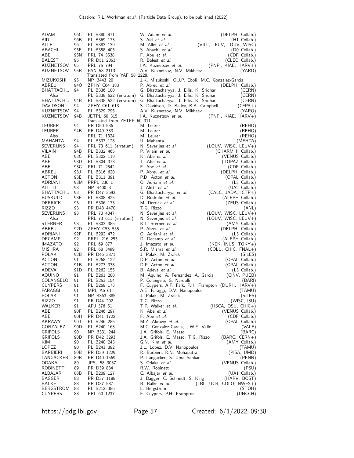| ADAM                             | 96C                   | PL B380 471                                    | W. Adam et al.                                                                   | (DELPHI Collab.)                               |
|----------------------------------|-----------------------|------------------------------------------------|----------------------------------------------------------------------------------|------------------------------------------------|
| AID                              | 96B                   | PL B369 173                                    | S. Aid <i>et al.</i>                                                             | $(H1$ Collab.)                                 |
| ALLET                            | 96                    | PL B383 139                                    | M. Allet et al.                                                                  | (VILL, LEUV, LOUV, WISC)                       |
| ABACHI                           | 95E                   | PL B358 405                                    | S. Abachi et al.                                                                 | (D0 Collab.)                                   |
| ABE                              | 95N                   | PRL 74 3538                                    | F. Abe <i>et al.</i>                                                             | (CDF Collab.)                                  |
| BALEST                           | 95                    | PR D51 2053                                    | R. Balest et al.<br>I.A. Kuznetsov et al.                                        | (CLEO Collab.)<br>(PNPI, KIAE, HARV+)          |
| KUZNETSOV<br>KUZNETSOV           | 95<br>95B             | PRL 75 794<br>PAN 58 2113                      | A.V. Kuznetsov, N.V. Mikheev                                                     | (YARO)                                         |
|                                  |                       | Translated from YAF 58 2228.                   |                                                                                  |                                                |
| MIZUKOSHI                        | 95                    | NP B443 20                                     | J.K. Mizukoshi, O.J.P. Eboli, M.C. Gonzalez-Garcia                               |                                                |
| ABREU                            | 94O                   | ZPHY C64 183                                   | P. Abreu et al.                                                                  | (DELPHI Collab.)                               |
| BHATTACH                         | 94                    | PL B336 100                                    | G. Bhattacharyya, J. Ellis, K. Sridhar                                           | (CERN)                                         |
| Also<br>BHATTACH                 | 94B                   | PL B338 522 (erratum)<br>PL B338 522 (erratum) | G. Bhattacharyya, J. Ellis, K. Sridhar<br>G. Bhattacharyya, J. Ellis, K. Sridhar | (CERN)<br>(CERN)                               |
| DAVIDSON                         | 94                    | ZPHY C61 613                                   | S. Davidson, D. Bailey, B.A. Campbell                                            | $(CFPA+)$                                      |
| KUZNETSOV                        | 94                    | PL B329 295                                    | A.V. Kuznetsov, N.V. Mikheev                                                     | (YARO)                                         |
| KUZNETSOV                        | 94B                   | <b>JETPL 60 315</b>                            | I.A. Kuznetsov et al.                                                            | $(PNPI, KIAE, HARV+)$                          |
|                                  |                       | Translated from ZETFP 60 311.                  |                                                                                  |                                                |
| LEURER<br>LEURER                 | 94<br>94B             | PR D50 536<br>PR D49 333                       | M. Leurer<br>M. Leurer                                                           | (REHO)                                         |
| Also                             |                       | PRL 71 1324                                    | M. Leurer                                                                        | (REHO)<br>(REHO)                               |
| MAHANTA                          | 94                    | PL B337 128                                    | U. Mahanta                                                                       | (MEHTA)                                        |
| SEVERIJNS                        | 94                    | PRL 73 611 (erratum)                           | N. Severijns et al.                                                              | $(LOUV, WISC, LEUV+)$                          |
| VILAIN                           | 94B                   | PL B332 465                                    | P. Vilain et al.                                                                 | (CHARM II Collab.)                             |
| ABE                              | 93C                   | PL B302 119                                    | K. Abe <i>et al.</i>                                                             | (VENUS Collab.)                                |
| ABE                              | 93D                   | PL B304 373                                    | T. Abe et al.                                                                    | (TOPAZ Collab.)                                |
| ABE                              | 93G                   | PRL 71 2542                                    | F. Abe et al.                                                                    | (CDF Collab.)                                  |
| ABREU<br>ACTON                   | 93 J<br>93E           | PL B316 620<br>PL B311 391                     | P. Abreu et al.<br>P.D. Acton et al.                                             | (DELPHI Collab.)<br>(OPAL Collab.)             |
| ADRIANI                          | 93M                   | PRPL 236 1                                     | O. Adriani et al.                                                                | (L3 Collab.)                                   |
| ALITTI                           | 93                    | NP B400 3                                      | J. Alitti et al.                                                                 | (UA2 Collab.)                                  |
| BHATTACH                         | 93                    | PR D47 3693                                    | G. Bhattacharyya et al.                                                          | $(CALC, JADA, ICTP+)$                          |
| <b>BUSKULIC</b>                  | 93F                   | PL B308 425                                    | D. Buskulic et al.                                                               | (ALEPH Collab.)                                |
| <b>DERRICK</b>                   | 93                    | PL B306 173                                    | M. Derrick et al.                                                                | (ZEUS Collab.)                                 |
| RIZZO                            | 93                    | PR D48 4470                                    | T.G. Rizzo                                                                       | (ANL)                                          |
| SEVERIJNS<br>Also                | 93                    | PRL 70 4047<br>PRL 73 611 (erratum)            | N. Severijns <i>et al.</i><br>N. Severijns et al.                                | $(LOUV, WISC, LEUV+)$<br>$(LOUV, WISC, LEUV+)$ |
| STERNER                          | 93                    | PL B303 385                                    | K.L. Sterner et al.                                                              | (AMY Collab.)                                  |
| ABREU                            | 92D                   | ZPHY C53 555                                   | P. Abreu et al.                                                                  | (DELPHI Collab.)                               |
| ADRIANI                          | 92F                   | PL B292 472                                    | O. Adriani et al.                                                                | (L3 Collab.)                                   |
| DECAMP                           | 92                    | PRPL 216 253                                   | D. Decamp et al.                                                                 | (ALEPH Collab.)                                |
| <b>IMAZATO</b>                   | 92                    | PRL 69 877                                     | J. Imazato et al.                                                                | $(KEK, INUS, TOKY+)$                           |
| MISHRA                           | 92                    | PRL 68 3499                                    | S.R. Mishra et al.                                                               | $(COLU, CHIC, FNAL+)$                          |
| <b>POLAK</b><br>ACTON            | 92B<br>91             | PR D46 3871<br>PL B268 122                     | J. Polak, M. Zralek<br>D.P. Acton et al.                                         | (SILES)<br>(OPAL Collab.)                      |
| ACTON                            | 91B                   | PL B273 338                                    | D.P. Acton et al.                                                                | (OPAL Collab.)                                 |
| ADEVA                            | 91D                   | PL B262 155                                    | B. Adeva et al.                                                                  | (L3 Collab.)                                   |
| AQUINO                           | 91                    | PL B261 280                                    | M. Aquino, A. Fernandez, A. Garcia                                               | (CINV, PUEB)                                   |
| COLANGELO                        | 91                    | PL B253 154                                    | P. Colangelo, G. Nardulli                                                        | (BARI)                                         |
| <b>CUYPERS</b>                   | 91                    | PL B259 173                                    | F. Cuypers, A.F. Falk, P.H. Frampton (DURH, HARV+)                               |                                                |
| FARAGGI                          | 91                    | MPL A6 61                                      | A.E. Faraggi, D.V. Nanopoulos                                                    | (TAMU)                                         |
| POLAK<br>RIZZO                   | 91<br>91              | NP B363 385<br>PR D44 202                      | J. Polak, M. Zralek<br>T.G. Rizzo                                                | (SILES)<br>(WISC, ISU)                         |
| WALKER                           | 91                    | APJ 376 51                                     | T.P. Walker et al.                                                               | $(HSCA, OSU, CHIC+)$                           |
| ABE                              | 90F                   | PL B246 297                                    | K. Abe <i>et al.</i>                                                             | (VENUS Collab.)                                |
| ABE                              | 90H                   | PR D41 1722                                    | F. Abe <i>et al.</i>                                                             | (CDF Collab.)                                  |
| AKRAWY                           | 90 J                  | PL B246 285                                    | M.Z. Akrawy et al.                                                               | (OPAL Collab.)                                 |
| GONZALEZ                         | 90 <sub>D</sub>       | PL B240 163                                    | M.C. Gonzalez-Garcia, J.W.F. Valle                                               | (VALE)                                         |
| <b>GRIFOLS</b><br><b>GRIFOLS</b> | 90<br>90 <sub>D</sub> | NP B331 244                                    | J.A. Grifols, E. Masso<br>J.A. Grifols, E. Masso, T.G. Rizzo                     | (BARC)                                         |
| KIM                              | 90                    | PR D42 3293<br>PL B240 243                     | G.N. Kim et al.                                                                  | (BARC, CERN+)<br>(AMY Collab.)                 |
| LOPEZ                            | 90                    | PL B241 392                                    | J.L. Lopez, D.V. Nanopoulos                                                      | (TAMU)                                         |
| BARBIERI                         | 89B                   | PR D39 1229                                    | R. Barbieri, R.N. Mohapatra                                                      | (PISA, UMD)                                    |
| LANGACKER                        | 89B                   | PR D40 1569                                    | P. Langacker, S. Uma Sankar                                                      | (PENN)                                         |
| ODAKA                            | 89                    | JPSJ 58 3037                                   | S. Odaka <i>et al.</i>                                                           | (VENUS Collab.)                                |
| ROBINETT                         | 89                    | PR D39 834                                     | R.W. Robinett                                                                    | (PSU)                                          |
| ALBAJAR<br>BAGGER                | 88B<br>88             | PL B209 127<br>PR D37 1188                     | C. Albajar et al.<br>J. Bagger, C. Schmidt, S. King                              | (UA1 Collab.)<br>(HARV, BOST)                  |
| BALKE                            | 88                    | PR D37 587                                     | B. Balke <i>et al.</i>                                                           | $(EBL, UCB, COLO, NWES+)$                      |
| BERGSTROM                        | 88                    | PL B212 386                                    | L. Bergstrom                                                                     | (STOH)                                         |
| <b>CUYPERS</b>                   | 88                    | PRL 60 1237                                    | F. Cuypers, P.H. Frampton                                                        | (UNCCH)                                        |

https://pdg.lbl.gov Page 57 Created: 6/1/2022 09:38